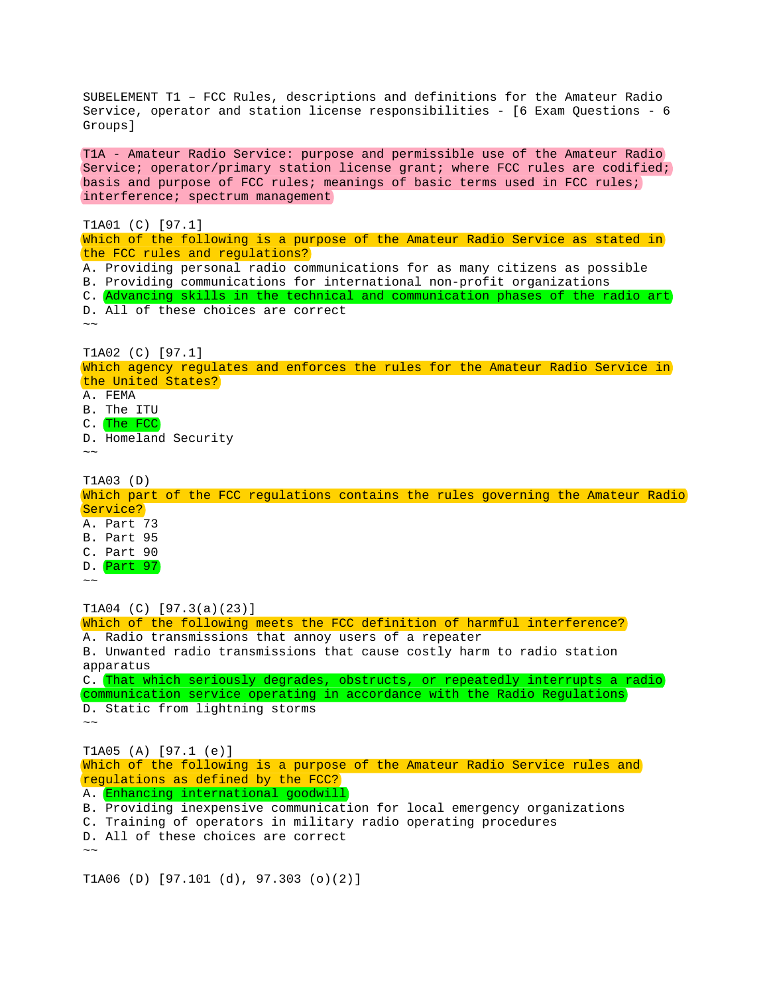SUBELEMENT T1 – FCC Rules, descriptions and definitions for the Amateur Radio Service, operator and station license responsibilities - [6 Exam Questions - 6 Groups]

T1A - Amateur Radio Service: purpose and permissible use of the Amateur Radio Service; operator/primary station license grant; where FCC rules are codified; basis and purpose of FCC rules; meanings of basic terms used in FCC rules; interference; spectrum management

T1A01 (C) [97.1] Which of the following is a purpose of the Amateur Radio Service as stated in the FCC rules and regulations?

A. Providing personal radio communications for as many citizens as possible

B. Providing communications for international non-profit organizations

C. Advancing skills in the technical and communication phases of the radio art

D. All of these choices are correct  $\sim\sim$ 

```
T1A02 (C) [97.1]
```
Which agency regulates and enforces the rules for the Amateur Radio Service in the United States?

- A. FEMA
- B. The ITU
- C. The FCC
- D. Homeland Security

 $\sim\sim$ 

T1A03 (D)

Which part of the FCC regulations contains the rules governing the Amateur Radio Service? A. Part 73

B. Part 95 C. Part 90

D. Part 97

 $\sim\sim$ 

T1A04 (C) [97.3(a)(23)]

Which of the following meets the FCC definition of harmful interference? A. Radio transmissions that annoy users of a repeater

B. Unwanted radio transmissions that cause costly harm to radio station

apparatus C. That which seriously degrades, obstructs, or repeatedly interrupts a radio communication service operating in accordance with the Radio Regulations

D. Static from lightning storms  $\sim$  ~

T1A05 (A) [97.1 (e)] Which of the following is a purpose of the Amateur Radio Service rules and regulations as defined by the FCC? A. Enhancing international goodwill

B. Providing inexpensive communication for local emergency organizations

C. Training of operators in military radio operating procedures

D. All of these choices are correct

~~

T1A06 (D) [97.101 (d), 97.303 (o)(2)]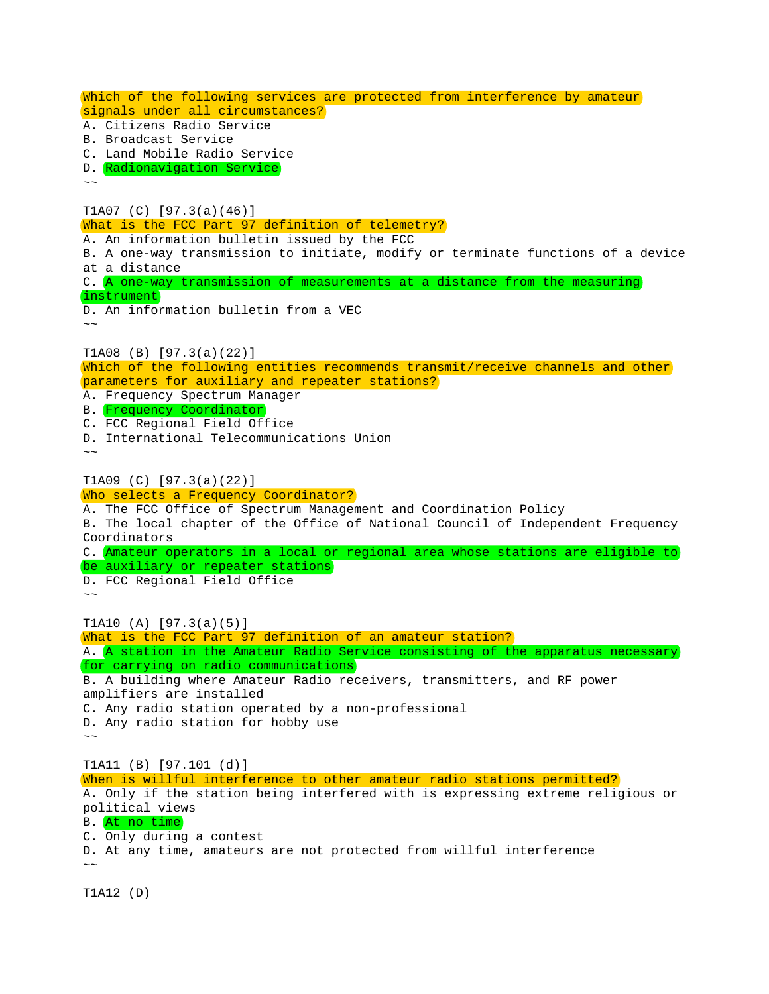```
Which of the following services are protected from interference by amateur
signals under all circumstances?
A. Citizens Radio Service
B. Broadcast Service
C. Land Mobile Radio Service
D. Radionavigation Service
\sim\simT1A07 (C) [97.3(a)(46)]
What is the FCC Part 97 definition of telemetry?
A. An information bulletin issued by the FCC
B. A one-way transmission to initiate, modify or terminate functions of a device
at a distance
C. A one-way transmission of measurements at a distance from the measuring
instrument
D. An information bulletin from a VEC
\sim\simT1A08 (B) [97.3(a)(22)]
Which of the following entities recommends transmit/receive channels and other
parameters for auxiliary and repeater stations?
A. Frequency Spectrum Manager
B. Frequency Coordinator
C. FCC Regional Field Office
D. International Telecommunications Union
\sim \simT1A09 (C) [97.3(a)(22)]
Who selects a Frequency Coordinator?
A. The FCC Office of Spectrum Management and Coordination Policy
B. The local chapter of the Office of National Council of Independent Frequency
Coordinators
C. Amateur operators in a local or regional area whose stations are eligible to
be auxiliary or repeater stations
D. FCC Regional Field Office
\sim\simT1A10 (A) [97.3(a)(5)]
What is the FCC Part 97 definition of an amateur station?
A. A station in the Amateur Radio Service consisting of the apparatus necessary
for carrying on radio communications
B. A building where Amateur Radio receivers, transmitters, and RF power
amplifiers are installed
C. Any radio station operated by a non-professional
D. Any radio station for hobby use
\sim \simT1A11 (B) [97.101 (d)]
When is willful interference to other amateur radio stations permitted?
A. Only if the station being interfered with is expressing extreme religious or
political views
B. At no time
C. Only during a contest
D. At any time, amateurs are not protected from willful interference
\sim\simT1A12 (D)
```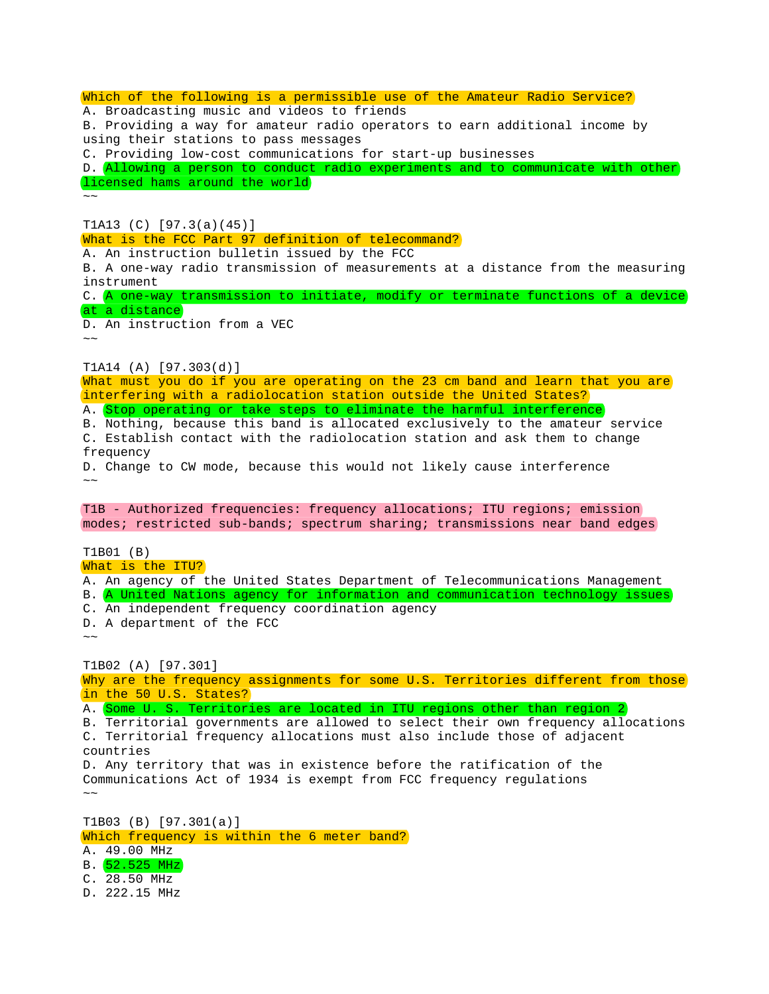Which of the following is a permissible use of the Amateur Radio Service? A. Broadcasting music and videos to friends B. Providing a way for amateur radio operators to earn additional income by using their stations to pass messages C. Providing low-cost communications for start-up businesses D. Allowing a person to conduct radio experiments and to communicate with other licensed hams around the world  $\sim\sim$ T1A13 (C) [97.3(a)(45)] What is the FCC Part 97 definition of telecommand? A. An instruction bulletin issued by the FCC B. A one-way radio transmission of measurements at a distance from the measuring instrument C. A one-way transmission to initiate, modify or terminate functions of a device at a distance D. An instruction from a VEC  $\sim\sim$ T1A14 (A) [97.303(d)] What must you do if you are operating on the 23 cm band and learn that you are interfering with a radiolocation station outside the United States? A. Stop operating or take steps to eliminate the harmful interference B. Nothing, because this band is allocated exclusively to the amateur service C. Establish contact with the radiolocation station and ask them to change frequency D. Change to CW mode, because this would not likely cause interference  $\sim\sim$ T1B - Authorized frequencies: frequency allocations; ITU regions; emission modes; restricted sub-bands; spectrum sharing; transmissions near band edges T1B01 (B) What is the ITU? A. An agency of the United States Department of Telecommunications Management B. A United Nations agency for information and communication technology issues C. An independent frequency coordination agency D. A department of the FCC  $\sim\sim$ T1B02 (A) [97.301] Why are the frequency assignments for some U.S. Territories different from those in the 50 U.S. States? A. Some U. S. Territories are located in ITU regions other than region 2 B. Territorial governments are allowed to select their own frequency allocations C. Territorial frequency allocations must also include those of adjacent countries D. Any territory that was in existence before the ratification of the Communications Act of 1934 is exempt from FCC frequency regulations  $\sim\sim$ T1B03 (B) [97.301(a)] Which frequency is within the 6 meter band? A. 49.00 MHz B. 52.525 MHz C. 28.50 MHz

D. 222.15 MHz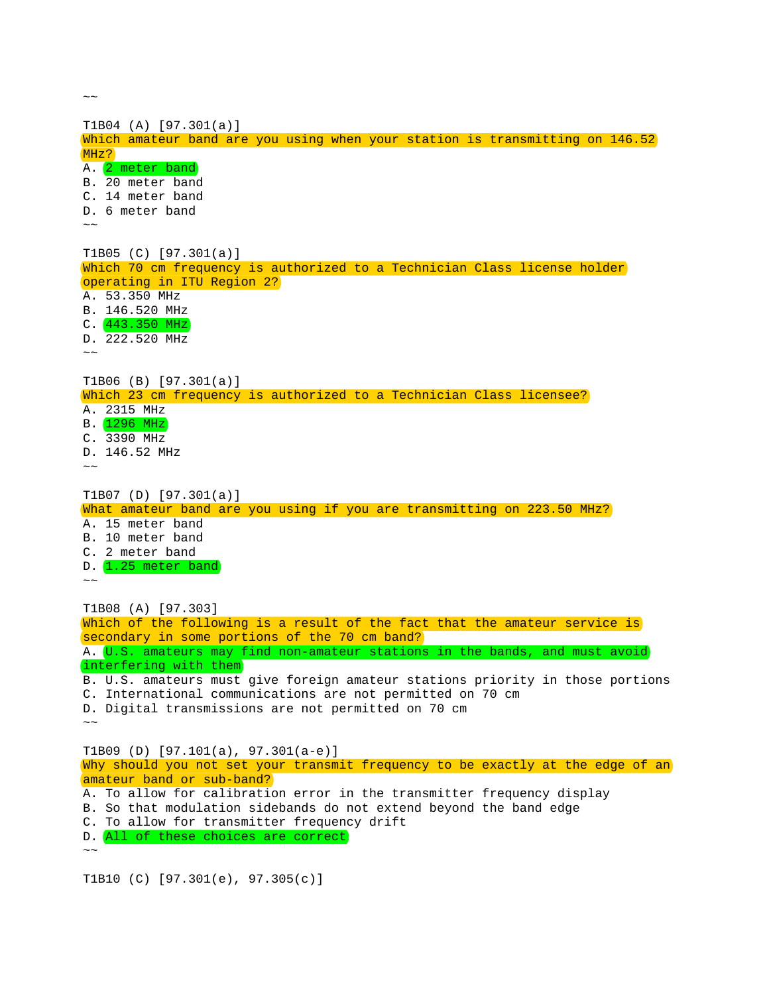$\sim$   $\sim$ 

T1B04 (A) [97.301(a)] Which amateur band are you using when your station is transmitting on 146.52 MHz? A. 2 meter band B. 20 meter band C. 14 meter band D. 6 meter band  $\sim$  ~ T1B05 (C) [97.301(a)] Which 70 cm frequency is authorized to a Technician Class license holder operating in ITU Region 2? A. 53.350 MHz B. 146.520 MHz C. 443.350 MHz D. 222.520 MHz ~~ T1B06 (B) [97.301(a)] Which 23 cm frequency is authorized to a Technician Class licensee? A. 2315 MHz B. 1296 MHz C. 3390 MHz D. 146.52 MHz  $\sim\sim$ T1B07 (D) [97.301(a)] What amateur band are you using if you are transmitting on 223.50 MHz? A. 15 meter band B. 10 meter band C. 2 meter band D. 1.25 meter band  $\sim\, \sim$ T1B08 (A) [97.303] Which of the following is a result of the fact that the amateur service is secondary in some portions of the 70 cm band? A. U.S. amateurs may find non-amateur stations in the bands, and must avoid interfering with them B. U.S. amateurs must give foreign amateur stations priority in those portions C. International communications are not permitted on 70 cm D. Digital transmissions are not permitted on 70 cm  $\sim$  ~ T1B09 (D) [97.101(a), 97.301(a-e)] Why should you not set your transmit frequency to be exactly at the edge of an amateur band or sub-band? A. To allow for calibration error in the transmitter frequency display B. So that modulation sidebands do not extend beyond the band edge C. To allow for transmitter frequency drift D. All of these choices are correct  $\sim\sim$ 

T1B10 (C) [97.301(e), 97.305(c)]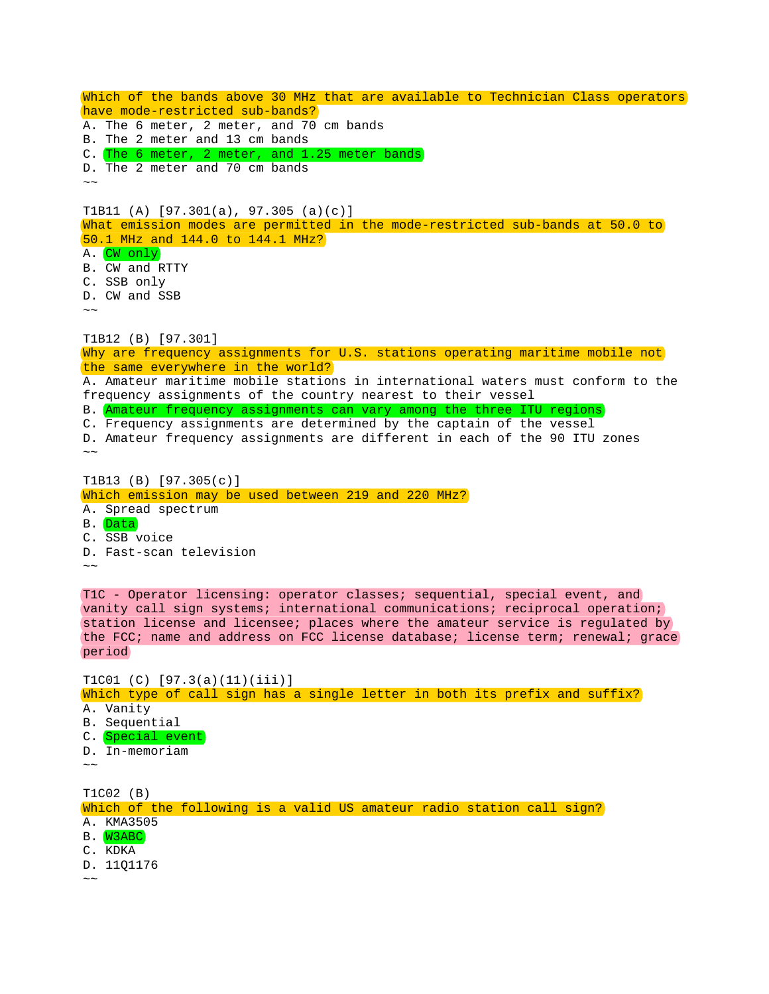Which of the bands above 30 MHz that are available to Technician Class operators have mode-restricted sub-bands? A. The 6 meter, 2 meter, and 70 cm bands B. The 2 meter and 13 cm bands C. The 6 meter, 2 meter, and 1.25 meter bands D. The 2 meter and 70 cm bands  $\sim\sim$ T1B11 (A) [97.301(a), 97.305 (a)(c)] What emission modes are permitted in the mode-restricted sub-bands at 50.0 to 50.1 MHz and 144.0 to 144.1 MHz? A. CW only B. CW and RTTY C. SSB only D. CW and SSB  $\sim\sim$ T1B12 (B) [97.301] Why are frequency assignments for U.S. stations operating maritime mobile not the same everywhere in the world? A. Amateur maritime mobile stations in international waters must conform to the frequency assignments of the country nearest to their vessel B. Amateur frequency assignments can vary among the three ITU regions C. Frequency assignments are determined by the captain of the vessel D. Amateur frequency assignments are different in each of the 90 ITU zones  $\sim\sim$ T1B13 (B) [97.305(c)] Which emission may be used between 219 and 220 MHz? A. Spread spectrum B. Data C. SSB voice D. Fast-scan television  $\sim\sim$ T1C - Operator licensing: operator classes; sequential, special event, and vanity call sign systems; international communications; reciprocal operation; station license and licensee; places where the amateur service is regulated by the FCC; name and address on FCC license database; license term; renewal; grace period T1C01 (C) [97.3(a)(11)(iii)] Which type of call sign has a single letter in both its prefix and suffix? A. Vanity B. Sequential C. Special event D. In-memoriam  $\sim\sim$ T1C02 (B) Which of the following is a valid US amateur radio station call sign? A. KMA3505 B. W3ABC C. KDKA D. 11Q1176  $\sim\sim$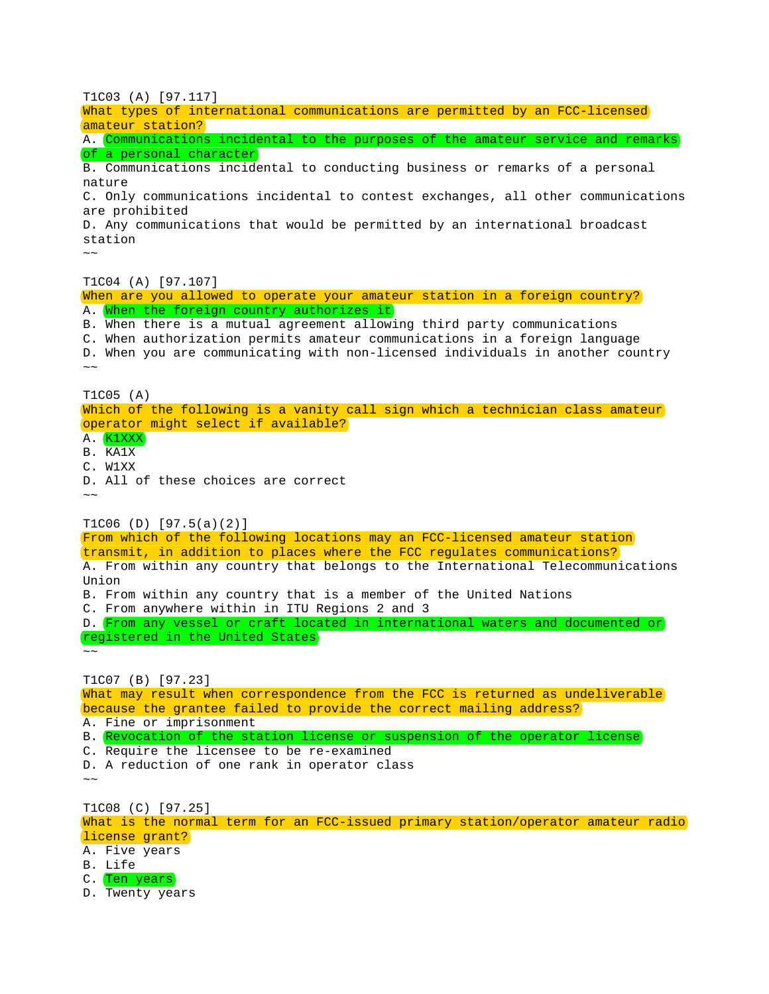T1C03 (A) [97.117] What types of international communications are permitted by an FCC-licensed amateur station? A. Communications incidental to the purposes of the amateur service and remarks of a personal character B. Communications incidental to conducting business or remarks of a personal nature C. Only communications incidental to contest exchanges, all other communications are prohibited D. Any communications that would be permitted by an international broadcast station  $\sim\sim$ T1C04 (A) [97.107] When are you allowed to operate your amateur station in a foreign country? A. When the foreign country authorizes it B. When there is a mutual agreement allowing third party communications C. When authorization permits amateur communications in a foreign language D. When you are communicating with non-licensed individuals in another country  $\sim\sim$ T1C05 (A) Which of the following is a vanity call sign which a technician class amateur operator might select if available? A. K1XXX B. KA1X C. W1XX D. All of these choices are correct  $\sim\!\sim$ T1C06 (D) [97.5(a)(2)] From which of the following locations may an FCC-licensed amateur station transmit, in addition to places where the FCC regulates communications? A. From within any country that belongs to the International Telecommunications Union B. From within any country that is a member of the United Nations C. From anywhere within in ITU Regions 2 and 3 D. From any vessel or craft located in international waters and documented or registered in the United States  $\sim\sim$ T1C07 (B) [97.23] What may result when correspondence from the FCC is returned as undeliverable because the grantee failed to provide the correct mailing address? A. Fine or imprisonment B. Revocation of the station license or suspension of the operator license C. Require the licensee to be re-examined D. A reduction of one rank in operator class  $\sim$  ~ T1C08 (C) [97.25] What is the normal term for an FCC-issued primary station/operator amateur radio license grant? A. Five years B. Life C. Ten years D. Twenty years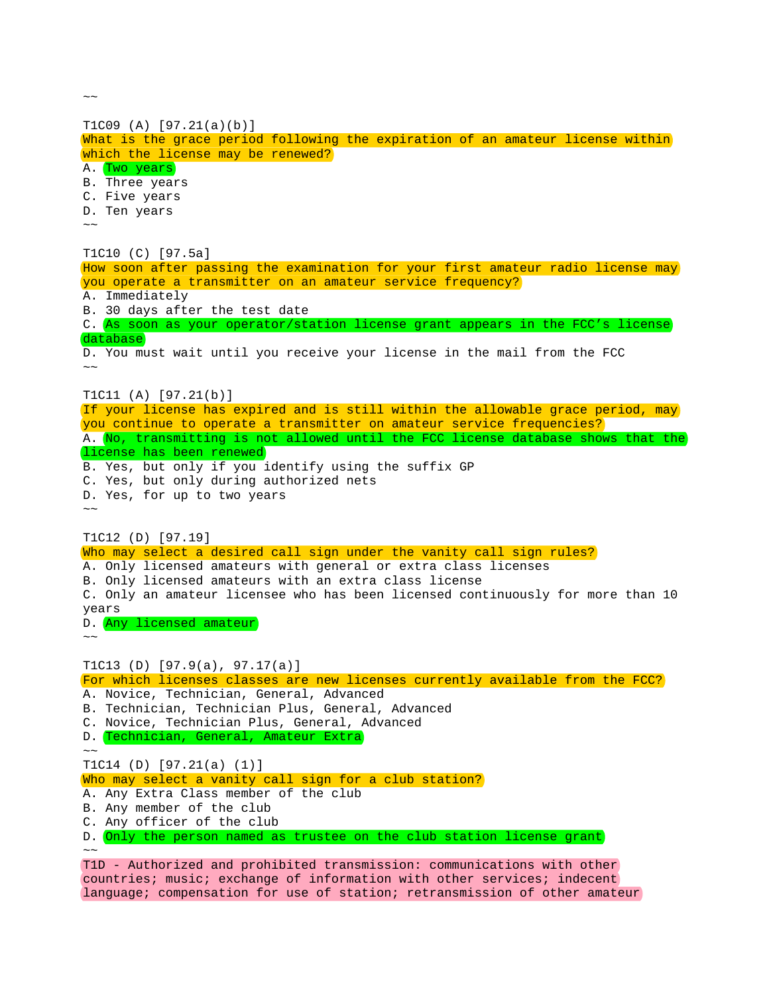$\sim$  ~

T1C09 (A) [97.21(a)(b)] What is the grace period following the expiration of an amateur license within which the license may be renewed? A. Two years B. Three years C. Five years D. Ten years  $\sim\sim$ T1C10 (C) [97.5a] How soon after passing the examination for your first amateur radio license may you operate a transmitter on an amateur service frequency? A. Immediately B. 30 days after the test date C. As soon as your operator/station license grant appears in the FCC's license database D. You must wait until you receive your license in the mail from the FCC  $\sim\sim$ T1C11 (A) [97.21(b)] If your license has expired and is still within the allowable grace period, may you continue to operate a transmitter on amateur service frequencies? A. No, transmitting is not allowed until the FCC license database shows that the license has been renewed B. Yes, but only if you identify using the suffix GP C. Yes, but only during authorized nets D. Yes, for up to two years ~~ T1C12 (D) [97.19] Who may select a desired call sign under the vanity call sign rules? A. Only licensed amateurs with general or extra class licenses B. Only licensed amateurs with an extra class license C. Only an amateur licensee who has been licensed continuously for more than 10 years D. Any licensed amateur  $\sim$  ~ T1C13 (D) [97.9(a), 97.17(a)] For which licenses classes are new licenses currently available from the FCC? A. Novice, Technician, General, Advanced B. Technician, Technician Plus, General, Advanced C. Novice, Technician Plus, General, Advanced D. Technician, General, Amateur Extra  $\sim\sim$ T1C14 (D) [97.21(a) (1)] Who may select a vanity call sign for a club station? A. Any Extra Class member of the club B. Any member of the club C. Any officer of the club D. Only the person named as trustee on the club station license grant  $\sim$  ~ T1D - Authorized and prohibited transmission: communications with other countries; music; exchange of information with other services; indecent language; compensation for use of station; retransmission of other amateur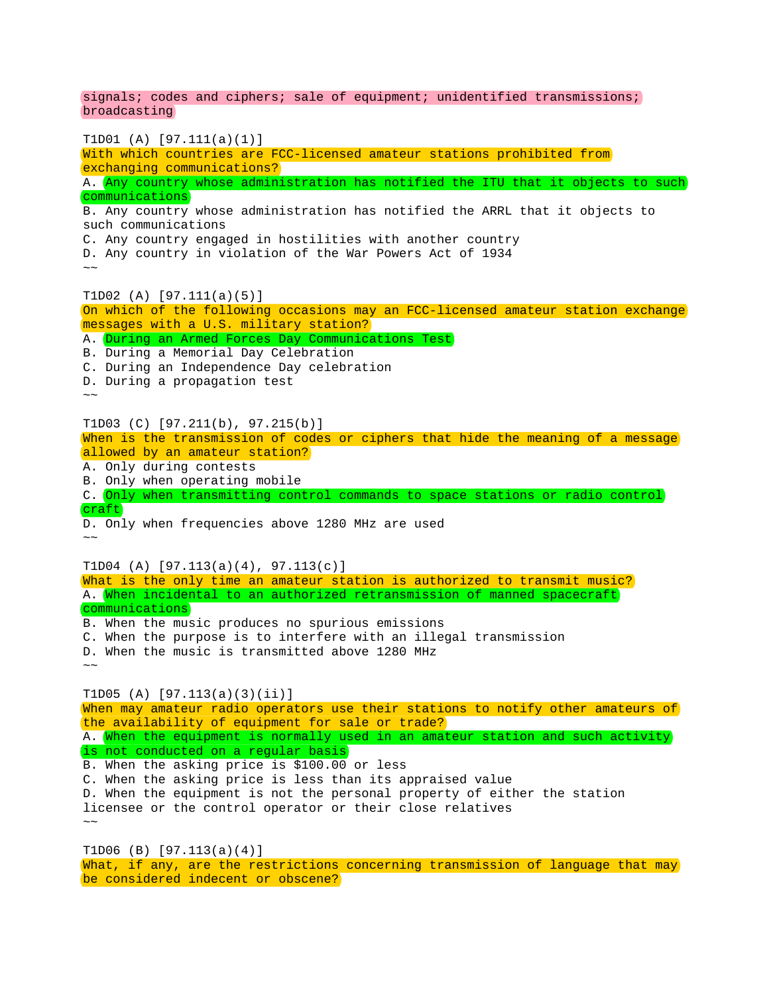signals; codes and ciphers; sale of equipment; unidentified transmissions; broadcasting

T1D01 (A) [97.111(a)(1)] With which countries are FCC-licensed amateur stations prohibited from exchanging communications? A. Any country whose administration has notified the ITU that it objects to such communications B. Any country whose administration has notified the ARRL that it objects to such communications C. Any country engaged in hostilities with another country D. Any country in violation of the War Powers Act of 1934  $\sim\sim$ T1D02 (A) [97.111(a)(5)] On which of the following occasions may an FCC-licensed amateur station exchange messages with a U.S. military station? A. During an Armed Forces Day Communications Test B. During a Memorial Day Celebration C. During an Independence Day celebration D. During a propagation test  $\sim$  ~ T1D03 (C) [97.211(b), 97.215(b)] When is the transmission of codes or ciphers that hide the meaning of a message allowed by an amateur station? A. Only during contests B. Only when operating mobile C. Only when transmitting control commands to space stations or radio control craft D. Only when frequencies above 1280 MHz are used  $\sim\sim$ T1D04 (A) [97.113(a)(4), 97.113(c)] What is the only time an amateur station is authorized to transmit music? A. When incidental to an authorized retransmission of manned spacecraft communications B. When the music produces no spurious emissions C. When the purpose is to interfere with an illegal transmission D. When the music is transmitted above 1280 MHz  $\sim\,$   $\sim$ T1D05 (A) [97.113(a)(3)(ii)] When may amateur radio operators use their stations to notify other amateurs of the availability of equipment for sale or trade? A. When the equipment is normally used in an amateur station and such activity is not conducted on a regular basis B. When the asking price is \$100.00 or less C. When the asking price is less than its appraised value D. When the equipment is not the personal property of either the station licensee or the control operator or their close relatives  $\sim$   $\sim$ T1D06 (B) [97.113(a)(4)]

What, if any, are the restrictions concerning transmission of language that may be considered indecent or obscene?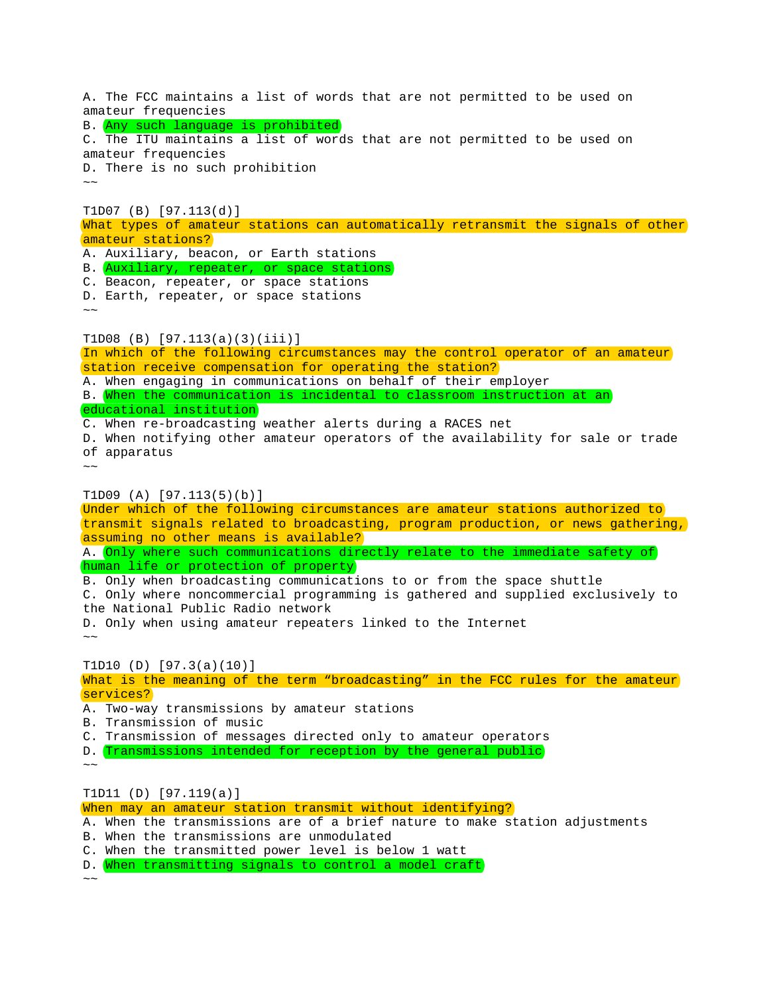A. The FCC maintains a list of words that are not permitted to be used on amateur frequencies B. Any such language is prohibited C. The ITU maintains a list of words that are not permitted to be used on amateur frequencies D. There is no such prohibition  $\sim\sim$ T1D07 (B) [97.113(d)] What types of amateur stations can automatically retransmit the signals of other amateur stations? A. Auxiliary, beacon, or Earth stations B. Auxiliary, repeater, or space stations C. Beacon, repeater, or space stations D. Earth, repeater, or space stations  $\sim\sim$ T1D08 (B) [97.113(a)(3)(iii)] In which of the following circumstances may the control operator of an amateur station receive compensation for operating the station? A. When engaging in communications on behalf of their employer B. When the communication is incidental to classroom instruction at an educational institution C. When re-broadcasting weather alerts during a RACES net D. When notifying other amateur operators of the availability for sale or trade of apparatus  $\sim\sim$ T1D09 (A) [97.113(5)(b)] Under which of the following circumstances are amateur stations authorized to transmit signals related to broadcasting, program production, or news gathering, assuming no other means is available? A. Only where such communications directly relate to the immediate safety of human life or protection of property B. Only when broadcasting communications to or from the space shuttle C. Only where noncommercial programming is gathered and supplied exclusively to the National Public Radio network D. Only when using amateur repeaters linked to the Internet  $\sim\sim$ T1D10 (D) [97.3(a)(10)] What is the meaning of the term "broadcasting" in the FCC rules for the amateur services? A. Two-way transmissions by amateur stations B. Transmission of music C. Transmission of messages directed only to amateur operators D. Transmissions intended for reception by the general public  $\sim$  ~ T1D11 (D) [97.119(a)] When may an amateur station transmit without identifying? A. When the transmissions are of a brief nature to make station adjustments B. When the transmissions are unmodulated C. When the transmitted power level is below 1 watt D. When transmitting signals to control a model craft  $\sim\sim$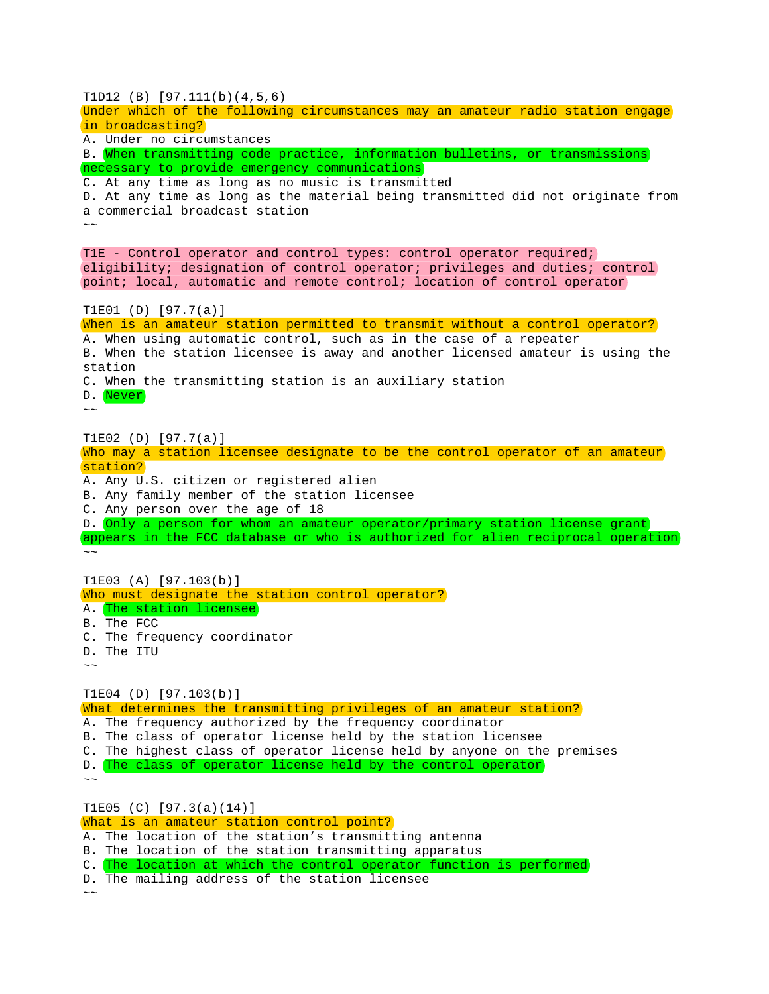T1D12 (B) [97.111(b)(4,5,6) Under which of the following circumstances may an amateur radio station engage in broadcasting? A. Under no circumstances B. When transmitting code practice, information bulletins, or transmissions necessary to provide emergency communications C. At any time as long as no music is transmitted D. At any time as long as the material being transmitted did not originate from a commercial broadcast station  $\sim\sim$ T1E - Control operator and control types: control operator required; eligibility; designation of control operator; privileges and duties; control point; local, automatic and remote control; location of control operator T1E01 (D) [97.7(a)] When is an amateur station permitted to transmit without a control operator? A. When using automatic control, such as in the case of a repeater B. When the station licensee is away and another licensed amateur is using the station C. When the transmitting station is an auxiliary station D. Never  $\sim\, \sim$ T1E02 (D) [97.7(a)] Who may a station licensee designate to be the control operator of an amateur station? A. Any U.S. citizen or registered alien B. Any family member of the station licensee C. Any person over the age of 18 D. Only a person for whom an amateur operator/primary station license grant appears in the FCC database or who is authorized for alien reciprocal operation  $\sim\sim$ T1E03 (A) [97.103(b)] Who must designate the station control operator? A. The station licensee B. The FCC C. The frequency coordinator D. The ITU  $\sim\, \sim$ T1E04 (D) [97.103(b)] What determines the transmitting privileges of an amateur station? A. The frequency authorized by the frequency coordinator B. The class of operator license held by the station licensee C. The highest class of operator license held by anyone on the premises D. The class of operator license held by the control operator  $\sim$  ~ T1E05 (C) [97.3(a)(14)] What is an amateur station control point? A. The location of the station's transmitting antenna B. The location of the station transmitting apparatus C. The location at which the control operator function is performed D. The mailing address of the station licensee  $\sim\sim$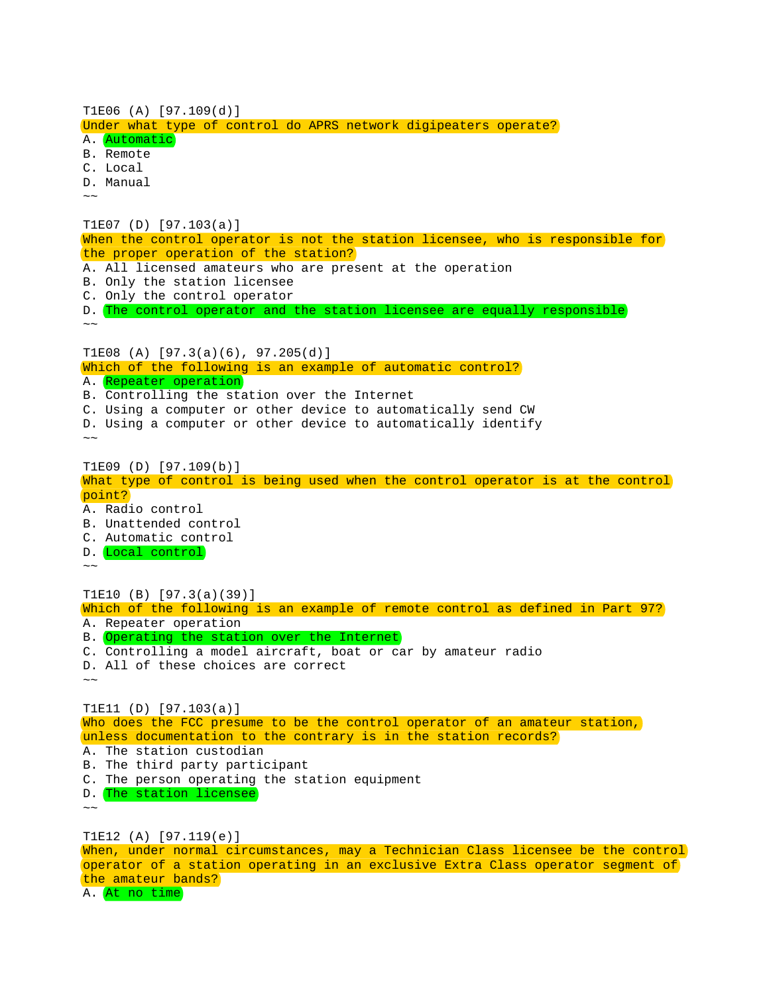T1E06 (A) [97.109(d)] Under what type of control do APRS network digipeaters operate? A. Automatic B. Remote C. Local D. Manual  $\sim\sim$ T1E07 (D) [97.103(a)] When the control operator is not the station licensee, who is responsible for the proper operation of the station? A. All licensed amateurs who are present at the operation B. Only the station licensee C. Only the control operator D. The control operator and the station licensee are equally responsible  $\sim\sim$ T1E08 (A) [97.3(a)(6), 97.205(d)] Which of the following is an example of automatic control? A. Repeater operation B. Controlling the station over the Internet C. Using a computer or other device to automatically send CW D. Using a computer or other device to automatically identify  $\sim\sim$ T1E09 (D) [97.109(b)] What type of control is being used when the control operator is at the control point? A. Radio control B. Unattended control C. Automatic control D. Local control  $\sim\sim$ T1E10 (B) [97.3(a)(39)] Which of the following is an example of remote control as defined in Part 97? A. Repeater operation B. Operating the station over the Internet C. Controlling a model aircraft, boat or car by amateur radio D. All of these choices are correct  $\sim$   $\sim$ T1E11 (D) [97.103(a)] Who does the FCC presume to be the control operator of an amateur station, unless documentation to the contrary is in the station records? A. The station custodian B. The third party participant C. The person operating the station equipment D. The station licensee  $\sim\sim$ T1E12 (A) [97.119(e)] When, under normal circumstances, may a Technician Class licensee be the control operator of a station operating in an exclusive Extra Class operator segment of the amateur bands? A. At no time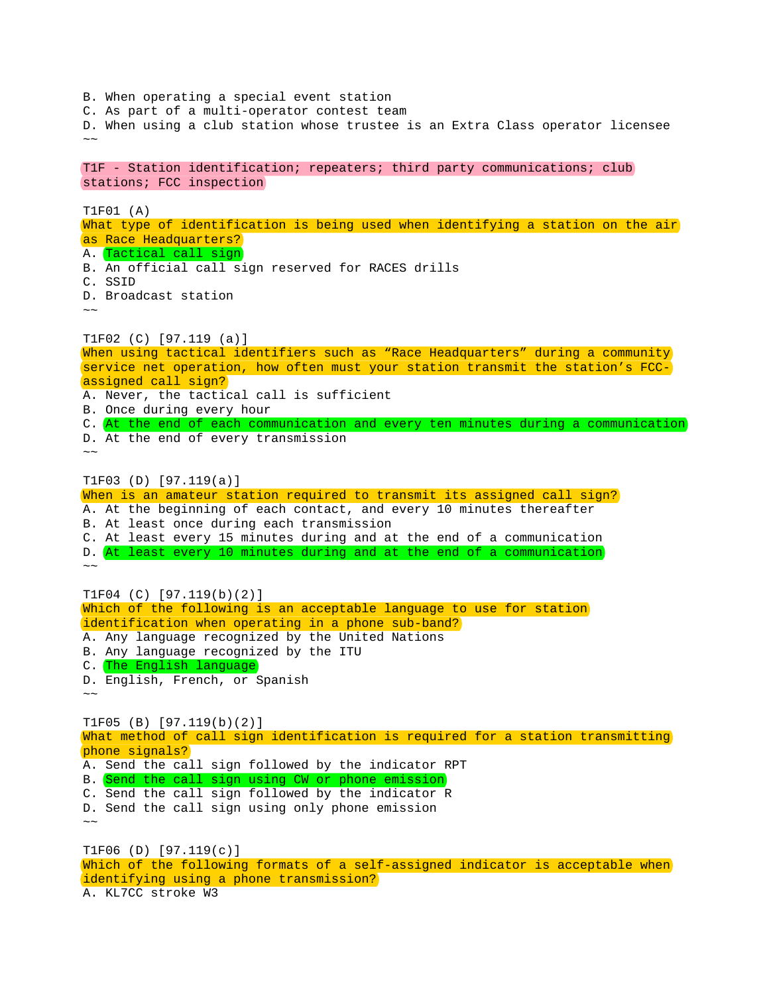B. When operating a special event station C. As part of a multi-operator contest team D. When using a club station whose trustee is an Extra Class operator licensee  $\sim\sim$ T1F - Station identification; repeaters; third party communications; club stations; FCC inspection T1F01 (A) What type of identification is being used when identifying a station on the air as Race Headquarters? A. Tactical call sign B. An official call sign reserved for RACES drills C. SSID D. Broadcast station  $\sim\sim$ T1F02 (C) [97.119 (a)] When using tactical identifiers such as "Race Headquarters" during a community service net operation, how often must your station transmit the station's FCCassigned call sign? A. Never, the tactical call is sufficient B. Once during every hour C. At the end of each communication and every ten minutes during a communication D. At the end of every transmission  $\sim\sim$ T1F03 (D) [97.119(a)] When is an amateur station required to transmit its assigned call sign? A. At the beginning of each contact, and every 10 minutes thereafter B. At least once during each transmission C. At least every 15 minutes during and at the end of a communication D. At least every 10 minutes during and at the end of a communication  $\sim\sim$ T1F04 (C) [97.119(b)(2)] Which of the following is an acceptable language to use for station identification when operating in a phone sub-band? A. Any language recognized by the United Nations B. Any language recognized by the ITU C. The English language D. English, French, or Spanish  $\sim$  ~ T1F05 (B) [97.119(b)(2)] What method of call sign identification is required for a station transmitting phone signals? A. Send the call sign followed by the indicator RPT B. Send the call sign using CW or phone emission C. Send the call sign followed by the indicator R D. Send the call sign using only phone emission  $\sim\, \sim$ T1F06 (D) [97.119(c)] Which of the following formats of a self-assigned indicator is acceptable when identifying using a phone transmission? A. KL7CC stroke W3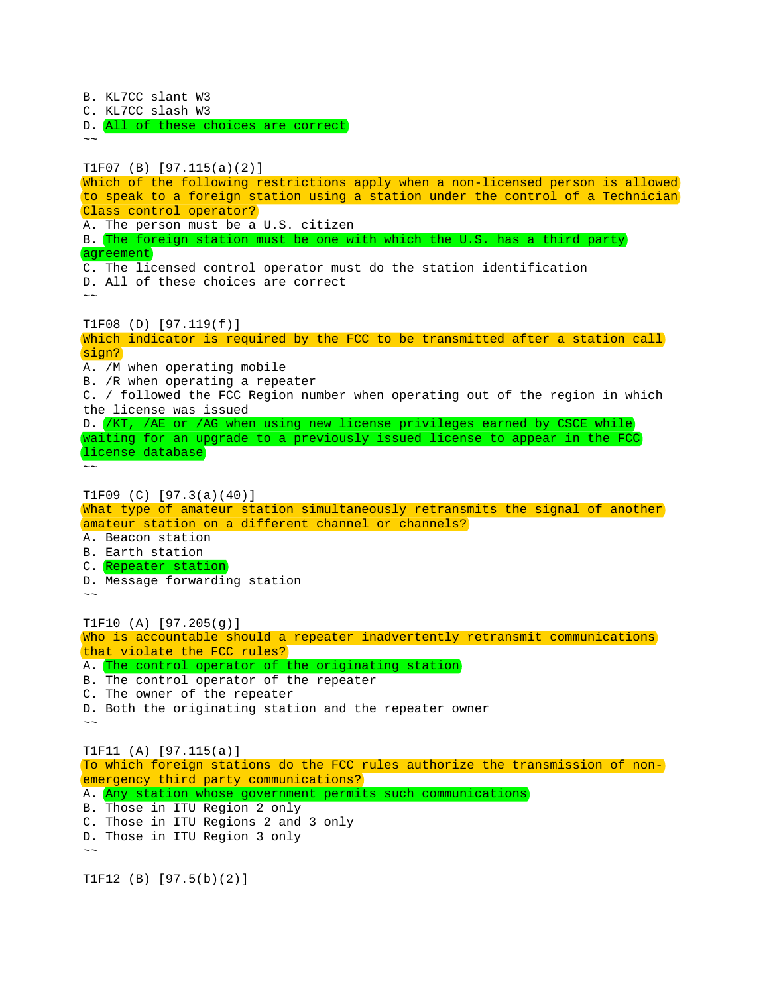B. KL7CC slant W3 C. KL7CC slash W3 D. All of these choices are correct  $\sim\sim$ T1F07 (B) [97.115(a)(2)] Which of the following restrictions apply when a non-licensed person is allowed to speak to a foreign station using a station under the control of a Technician Class control operator? A. The person must be a U.S. citizen B. The foreign station must be one with which the U.S. has a third party agreement C. The licensed control operator must do the station identification D. All of these choices are correct  $\sim$  ~ T1F08 (D) [97.119(f)] Which indicator is required by the FCC to be transmitted after a station call sign? A. /M when operating mobile B. /R when operating a repeater C. / followed the FCC Region number when operating out of the region in which the license was issued D. <mark>/KT, /AE or /AG when using new license privileges earned by CSCE while</mark> waiting for an upgrade to a previously issued license to appear in the FCC license database  $\sim\sim$ T1F09 (C) [97.3(a)(40)] What type of amateur station simultaneously retransmits the signal of another amateur station on a different channel or channels? A. Beacon station B. Earth station C. Repeater station D. Message forwarding station  $\sim\sim$ T1F10 (A) [97.205(g)] Who is accountable should a repeater inadvertently retransmit communications that violate the FCC rules? A. The control operator of the originating station B. The control operator of the repeater C. The owner of the repeater D. Both the originating station and the repeater owner  $\sim\sim$ T1F11 (A) [97.115(a)] To which foreign stations do the FCC rules authorize the transmission of nonemergency third party communications? A. Any station whose government permits such communications B. Those in ITU Region 2 only C. Those in ITU Regions 2 and 3 only D. Those in ITU Region 3 only  $\sim\!\sim$ T1F12 (B) [97.5(b)(2)]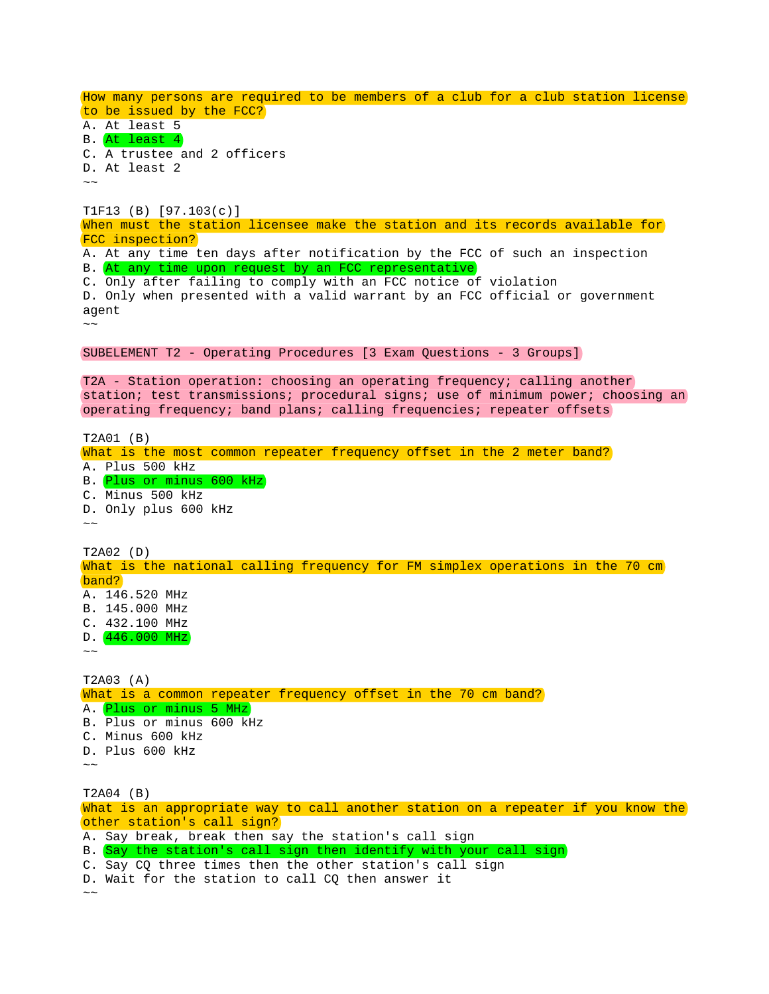How many persons are required to be members of a club for a club station license to be issued by the FCC? A. At least 5 B. At least 4 C. A trustee and 2 officers D. At least 2  $\sim\sim$ T1F13 (B) [97.103(c)] When must the station licensee make the station and its records available for FCC inspection? A. At any time ten days after notification by the FCC of such an inspection B. At any time upon request by an FCC representative C. Only after failing to comply with an FCC notice of violation D. Only when presented with a valid warrant by an FCC official or government agent  $\sim$   $\sim$ SUBELEMENT T2 - Operating Procedures [3 Exam Questions - 3 Groups] T2A - Station operation: choosing an operating frequency; calling another station; test transmissions; procedural signs; use of minimum power; choosing an operating frequency; band plans; calling frequencies; repeater offsets T2A01 (B) What is the most common repeater frequency offset in the 2 meter band? A. Plus 500 kHz B. Plus or minus 600 kHz C. Minus 500 kHz D. Only plus 600 kHz  $\sim\sim$ T2A02 (D) What is the national calling frequency for FM simplex operations in the 70 cm band? A. 146.520 MHz B. 145.000 MHz C. 432.100 MHz D. 446.000 MHz  $\sim$  ~ T2A03 (A) What is a common repeater frequency offset in the 70 cm band? A. Plus or minus 5 MHz B. Plus or minus 600 kHz C. Minus 600 kHz D. Plus 600 kHz  $\sim$  ~ T2A04 (B) What is an appropriate way to call another station on a repeater if you know the other station's call sign? A. Say break, break then say the station's call sign B. Say the station's call sign then identify with your call sign C. Say CQ three times then the other station's call sign D. Wait for the station to call CQ then answer it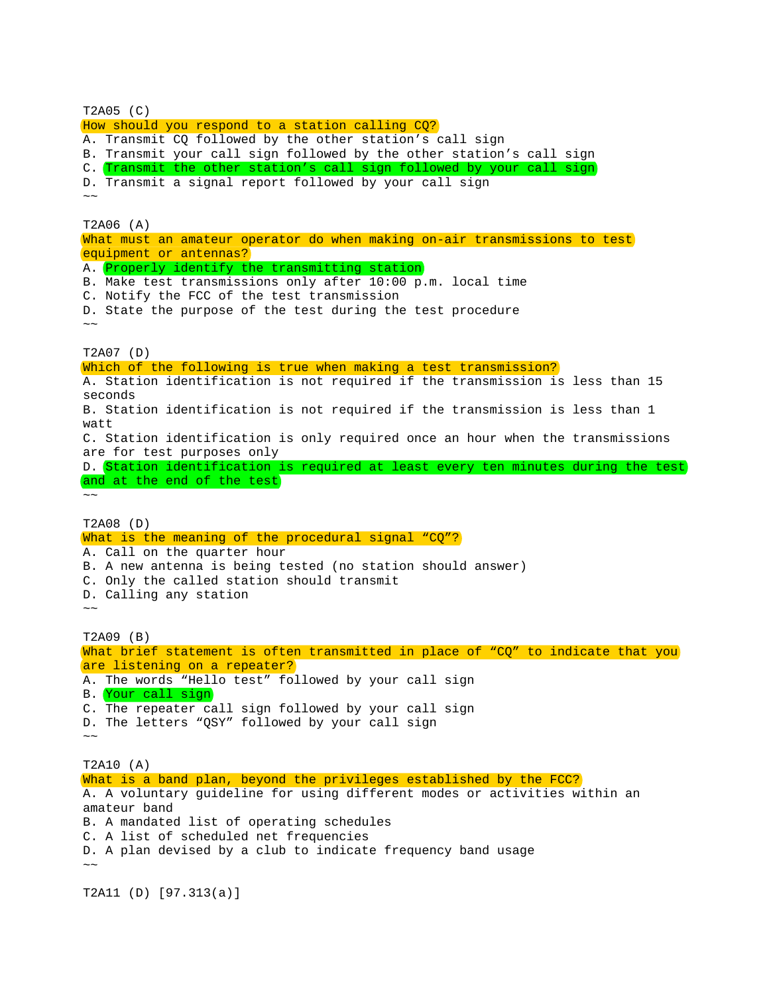T2A05 (C) How should you respond to a station calling CQ? A. Transmit CQ followed by the other station's call sign B. Transmit your call sign followed by the other station's call sign C. Transmit the other station's call sign followed by your call sign D. Transmit a signal report followed by your call sign  $\sim\sim$ T2A06 (A) What must an amateur operator do when making on-air transmissions to test equipment or antennas? A. Properly identify the transmitting station B. Make test transmissions only after 10:00 p.m. local time C. Notify the FCC of the test transmission D. State the purpose of the test during the test procedure  $\sim\sim$ T2A07 (D) Which of the following is true when making a test transmission? A. Station identification is not required if the transmission is less than 15 seconds B. Station identification is not required if the transmission is less than 1 watt C. Station identification is only required once an hour when the transmissions are for test purposes only D. Station identification is required at least every ten minutes during the test and at the end of the test  $\overline{\phantom{a}}$ T2A08 (D) What is the meaning of the procedural signal "CQ"? A. Call on the quarter hour B. A new antenna is being tested (no station should answer) C. Only the called station should transmit D. Calling any station  $\sim$   $\sim$ T2A09 (B) What brief statement is often transmitted in place of "CQ" to indicate that you are listening on a repeater? A. The words "Hello test" followed by your call sign B. Your call sign C. The repeater call sign followed by your call sign D. The letters "QSY" followed by your call sign  $\sim\sim$ T2A10 (A) What is a band plan, beyond the privileges established by the FCC? A. A voluntary guideline for using different modes or activities within an amateur band B. A mandated list of operating schedules C. A list of scheduled net frequencies D. A plan devised by a club to indicate frequency band usage  $\sim\sim$ T2A11 (D) [97.313(a)]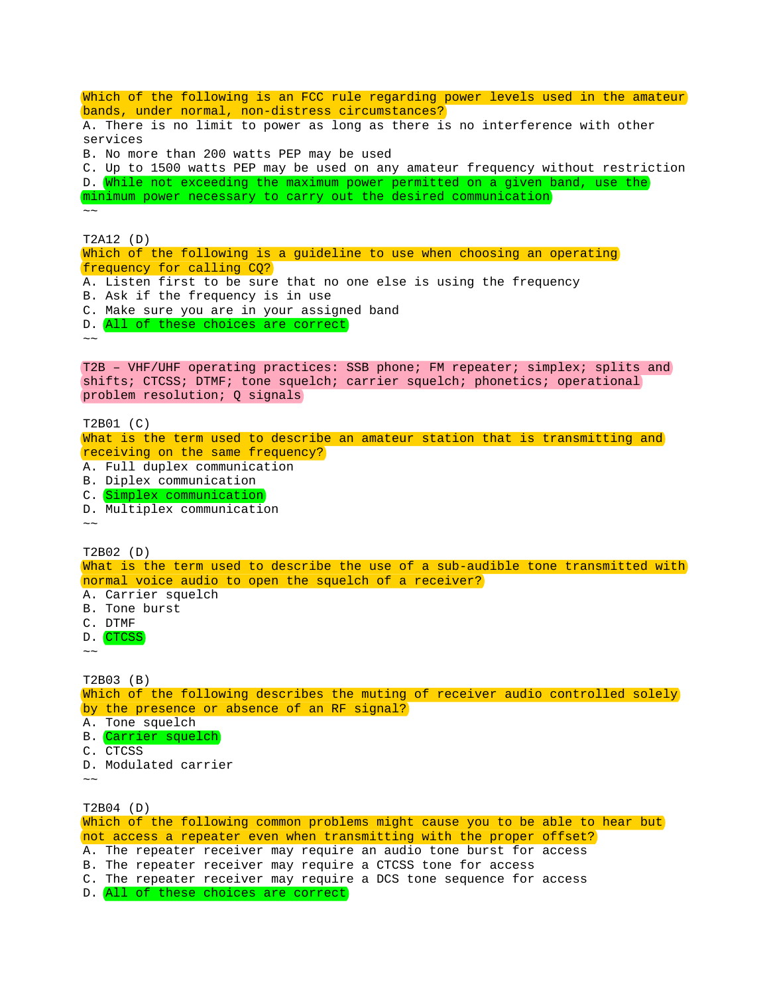Which of the following is an FCC rule regarding power levels used in the amateur bands, under normal, non-distress circumstances? A. There is no limit to power as long as there is no interference with other services B. No more than 200 watts PEP may be used C. Up to 1500 watts PEP may be used on any amateur frequency without restriction D. While not exceeding the maximum power permitted on a given band, use the minimum power necessary to carry out the desired communication  $\sim\sim$ T2A12 (D) Which of the following is a guideline to use when choosing an operating frequency for calling CQ? A. Listen first to be sure that no one else is using the frequency B. Ask if the frequency is in use C. Make sure you are in your assigned band D. All of these choices are correct  $\sim\sim$ T2B – VHF/UHF operating practices: SSB phone; FM repeater; simplex; splits and shifts; CTCSS; DTMF; tone squelch; carrier squelch; phonetics; operational problem resolution; Q signals T2B01 (C) What is the term used to describe an amateur station that is transmitting and receiving on the same frequency? A. Full duplex communication B. Diplex communication C. Simplex communication D. Multiplex communication  $\sim\sim$ T2B02 (D) What is the term used to describe the use of a sub-audible tone transmitted with normal voice audio to open the squelch of a receiver? A. Carrier squelch B. Tone burst C. DTMF D. CTCSS  $\sim$   $\sim$ T2B03 (B) Which of the following describes the muting of receiver audio controlled solely by the presence or absence of an RF signal? A. Tone squelch B. Carrier squelch C. CTCSS D. Modulated carrier  $\sim$  ~ T2B04 (D) Which of the following common problems might cause you to be able to hear but not access a repeater even when transmitting with the proper offset? A. The repeater receiver may require an audio tone burst for access B. The repeater receiver may require a CTCSS tone for access

C. The repeater receiver may require a DCS tone sequence for access

D. All of these choices are correct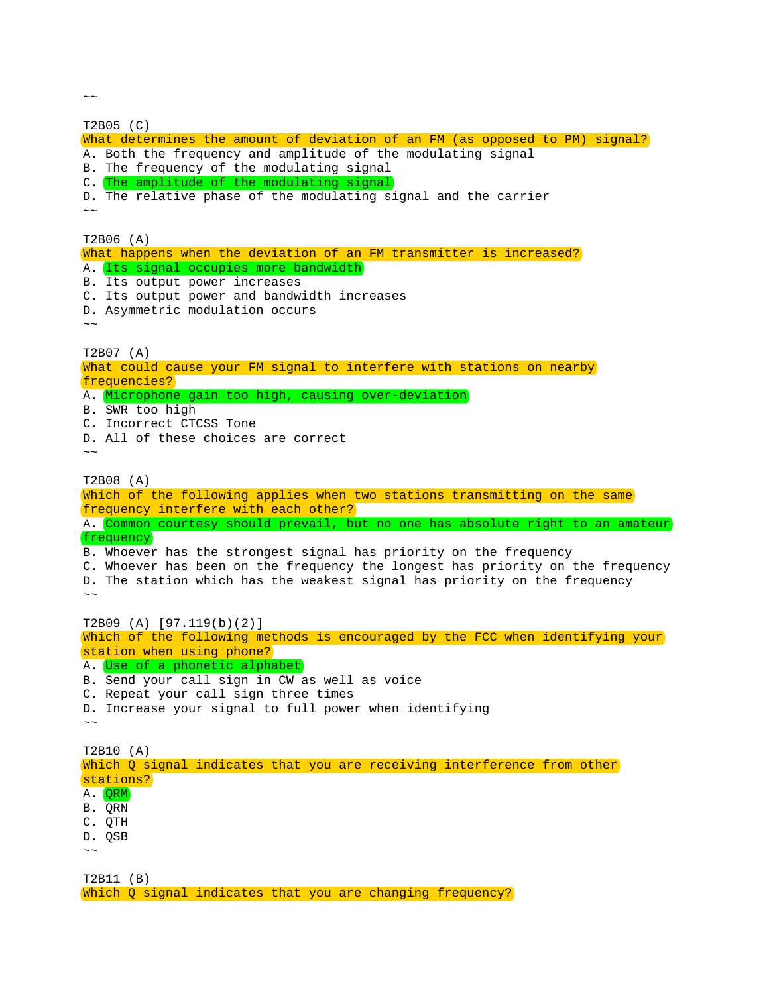$\sim$   $\sim$ 

T2B05 (C) What determines the amount of deviation of an FM (as opposed to PM) signal? A. Both the frequency and amplitude of the modulating signal B. The frequency of the modulating signal C. The amplitude of the modulating signal D. The relative phase of the modulating signal and the carrier  $\sim\, \sim$ T2B06 (A) What happens when the deviation of an FM transmitter is increased? A. Its signal occupies more bandwidth B. Its output power increases C. Its output power and bandwidth increases D. Asymmetric modulation occurs  $\sim\sim$ T2B07 (A) What could cause your FM signal to interfere with stations on nearby frequencies? A. Microphone gain too high, causing over-deviation B. SWR too high C. Incorrect CTCSS Tone D. All of these choices are correct  $\sim\sim$ T2B08 (A) Which of the following applies when two stations transmitting on the same frequency interfere with each other? A. Common courtesy should prevail, but no one has absolute right to an amateur frequency B. Whoever has the strongest signal has priority on the frequency C. Whoever has been on the frequency the longest has priority on the frequency D. The station which has the weakest signal has priority on the frequency  $\sim\sim$ T2B09 (A) [97.119(b)(2)] Which of the following methods is encouraged by the FCC when identifying your station when using phone? A. Use of a phonetic alphabet B. Send your call sign in CW as well as voice C. Repeat your call sign three times D. Increase your signal to full power when identifying  $\sim$  ~ T2B10 (A) Which Q signal indicates that you are receiving interference from other stations? A. QRM B. QRN C. QTH D. QSB  $\sim\,$ T2B11 (B) Which Q signal indicates that you are changing frequency?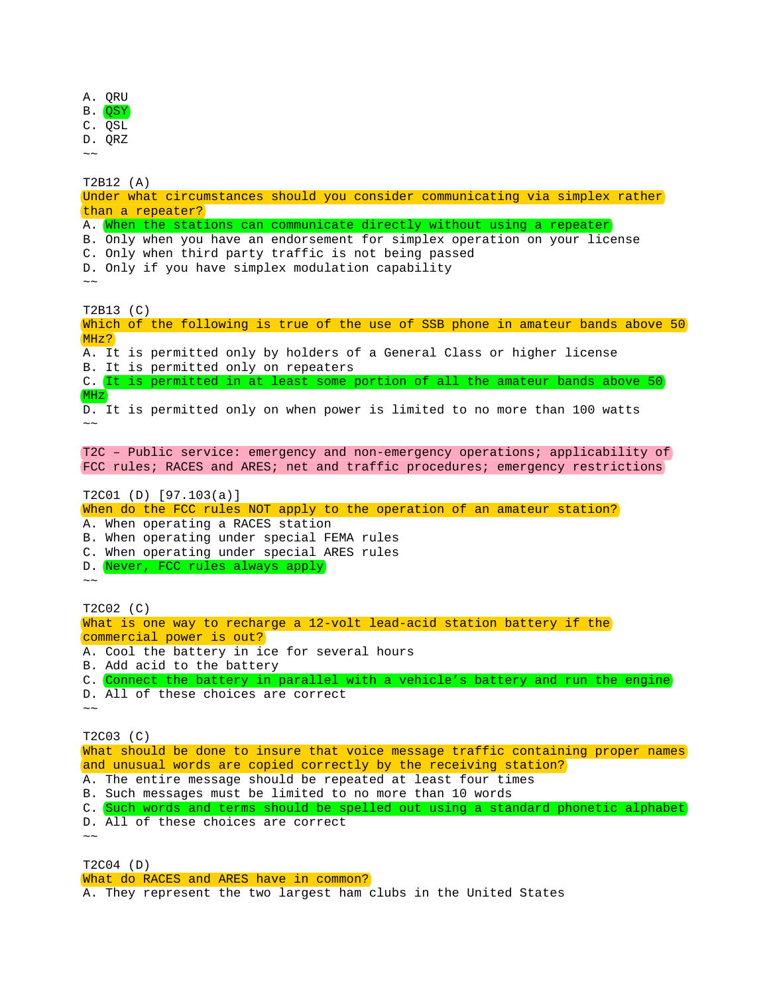| A. QRU                                                                                       |
|----------------------------------------------------------------------------------------------|
| B. QSY                                                                                       |
| C. QSL                                                                                       |
| D. QRZ                                                                                       |
| $\sim$ $\sim$                                                                                |
| T2B12 (A)                                                                                    |
| Under what circumstances should you consider communicating via simplex rather                |
| than a repeater?                                                                             |
| A. When the stations can communicate directly without using a repeater                       |
| B. Only when you have an endorsement for simplex operation on your license                   |
| C. Only when third party traffic is not being passed                                         |
| D. Only if you have simplex modulation capability                                            |
| $\sim\,$                                                                                     |
|                                                                                              |
| T2B13 (C)                                                                                    |
| Which of the following is true of the use of SSB phone in amateur bands above 50             |
| $MHz$ ?                                                                                      |
| A. It is permitted only by holders of a General Class or higher license                      |
| B. It is permitted only on repeaters                                                         |
| C. It is permitted in at least some portion of all the amateur bands above 50                |
| MHz                                                                                          |
| D. It is permitted only on when power is limited to no more than 100 watts                   |
| $\sim\!$                                                                                     |
| T2C - Public service: emergency and non-emergency operations; applicability of               |
| FCC rules; RACES and ARES; net and traffic procedures; emergency restrictions                |
|                                                                                              |
| T2C01(D) [97.103(a)]                                                                         |
| When do the FCC rules NOT apply to the operation of an amateur station?                      |
| A. When operating a RACES station                                                            |
| B. When operating under special FEMA rules                                                   |
| C. When operating under special ARES rules                                                   |
| D. Never, FCC rules always apply                                                             |
| $\sim\,$                                                                                     |
|                                                                                              |
| T2C02 (C)                                                                                    |
| What is one way to recharge a 12-volt lead-acid station battery if the                       |
| commercial power is out?                                                                     |
| A. Cool the battery in ice for several hours                                                 |
| B. Add acid to the battery                                                                   |
| C. Connect the battery in parallel with a vehicle's battery and run the engine               |
| D. All of these choices are correct                                                          |
|                                                                                              |
|                                                                                              |
| T2C03(C)<br>What should be done to insure that voice message traffic containing proper names |
| and unusual words are copied correctly by the receiving station?                             |
| A. The entire message should be repeated at least four times                                 |
| B. Such messages must be limited to no more than 10 words                                    |
| C. Such words and terms should be spelled out using a standard phonetic alphabet             |
|                                                                                              |
| D. All of these choices are correct                                                          |

T2C04 (D)

What do RACES and ARES have in common? A. They represent the two largest ham clubs in the United States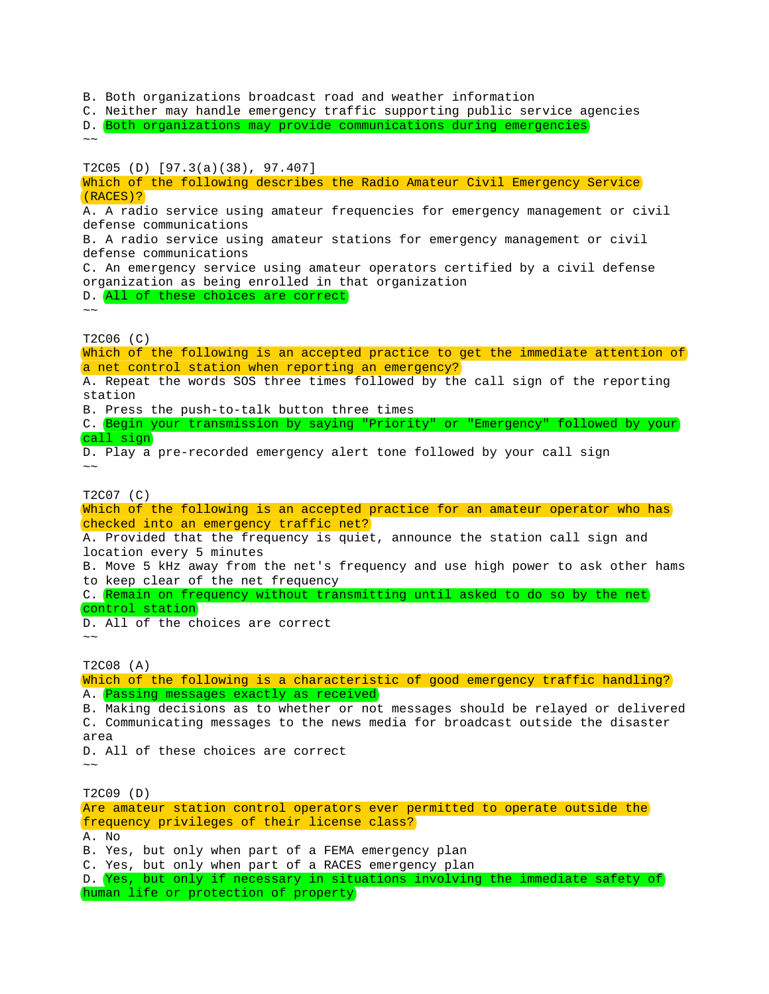B. Both organizations broadcast road and weather information C. Neither may handle emergency traffic supporting public service agencies D. Both organizations may provide communications during emergencies  $\sim\sim$ T2C05 (D) [97.3(a)(38), 97.407] Which of the following describes the Radio Amateur Civil Emergency Service (RACES)? A. A radio service using amateur frequencies for emergency management or civil defense communications B. A radio service using amateur stations for emergency management or civil defense communications C. An emergency service using amateur operators certified by a civil defense organization as being enrolled in that organization D. All of these choices are correct  $\sim$  ~ T2C06 (C) Which of the following is an accepted practice to get the immediate attention of a net control station when reporting an emergency? A. Repeat the words SOS three times followed by the call sign of the reporting station B. Press the push-to-talk button three times C. Begin your transmission by saying "Priority" or "Emergency" followed by your call sign D. Play a pre-recorded emergency alert tone followed by your call sign  $\sim\sim$ T2C07 (C) Which of the following is an accepted practice for an amateur operator who has checked into an emergency traffic net? A. Provided that the frequency is quiet, announce the station call sign and location every 5 minutes B. Move 5 kHz away from the net's frequency and use high power to ask other hams to keep clear of the net frequency C. Remain on frequency without transmitting until asked to do so by the net control station D. All of the choices are correct  $\sim$  ~ T2C08 (A) Which of the following is a characteristic of good emergency traffic handling? A. Passing messages exactly as received B. Making decisions as to whether or not messages should be relayed or delivered C. Communicating messages to the news media for broadcast outside the disaster area D. All of these choices are correct  $\sim$  ~ T2C09 (D) Are amateur station control operators ever permitted to operate outside the frequency privileges of their license class? A. No B. Yes, but only when part of a FEMA emergency plan C. Yes, but only when part of a RACES emergency plan D. Yes, but only if necessary in situations involving the immediate safety of human life or protection of property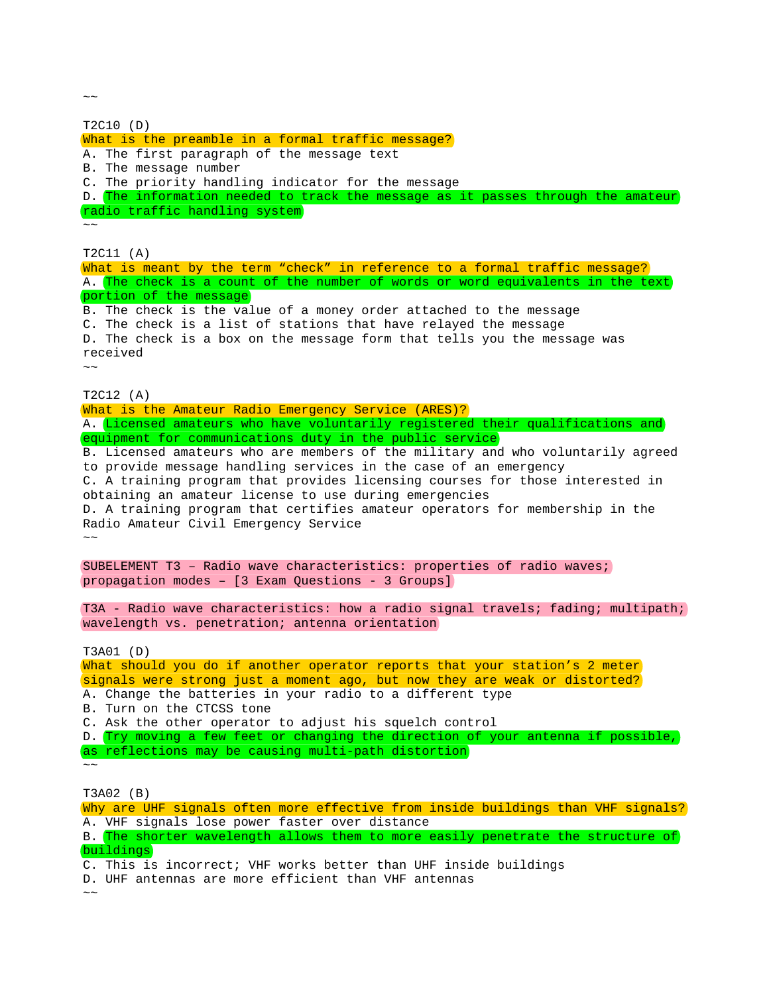$\sim$   $\sim$ 

T2C10 (D) What is the preamble in a formal traffic message? A. The first paragraph of the message text B. The message number C. The priority handling indicator for the message D. The information needed to track the message as it passes through the amateur radio traffic handling system  $\sim\sim$ T2C11 (A) What is meant by the term "check" in reference to a formal traffic message? A. The check is a count of the number of words or word equivalents in the text portion of the message B. The check is the value of a money order attached to the message C. The check is a list of stations that have relayed the message D. The check is a box on the message form that tells you the message was received  $\sim\sim$ T2C12 (A) What is the Amateur Radio Emergency Service (ARES)? A. Licensed amateurs who have voluntarily registered their qualifications and equipment for communications duty in the public service B. Licensed amateurs who are members of the military and who voluntarily agreed to provide message handling services in the case of an emergency C. A training program that provides licensing courses for those interested in obtaining an amateur license to use during emergencies D. A training program that certifies amateur operators for membership in the Radio Amateur Civil Emergency Service  $\sim\sim$ SUBELEMENT T3 – Radio wave characteristics: properties of radio waves; propagation modes – [3 Exam Questions - 3 Groups] T3A - Radio wave characteristics: how a radio signal travels; fading; multipath; wavelength vs. penetration; antenna orientation T3A01 (D) What should you do if another operator reports that your station's 2 meter signals were strong just a moment ago, but now they are weak or distorted? A. Change the batteries in your radio to a different type B. Turn on the CTCSS tone C. Ask the other operator to adjust his squelch control D. Try moving a few feet or changing the direction of your antenna if possible, as reflections may be causing multi-path distortion  $\sim$ T3A02 (B) Why are UHF signals often more effective from inside buildings than VHF signals? A. VHF signals lose power faster over distance B. The shorter wavelength allows them to more easily penetrate the structure of buildings C. This is incorrect; VHF works better than UHF inside buildings D. UHF antennas are more efficient than VHF antennas  $\sim$  ~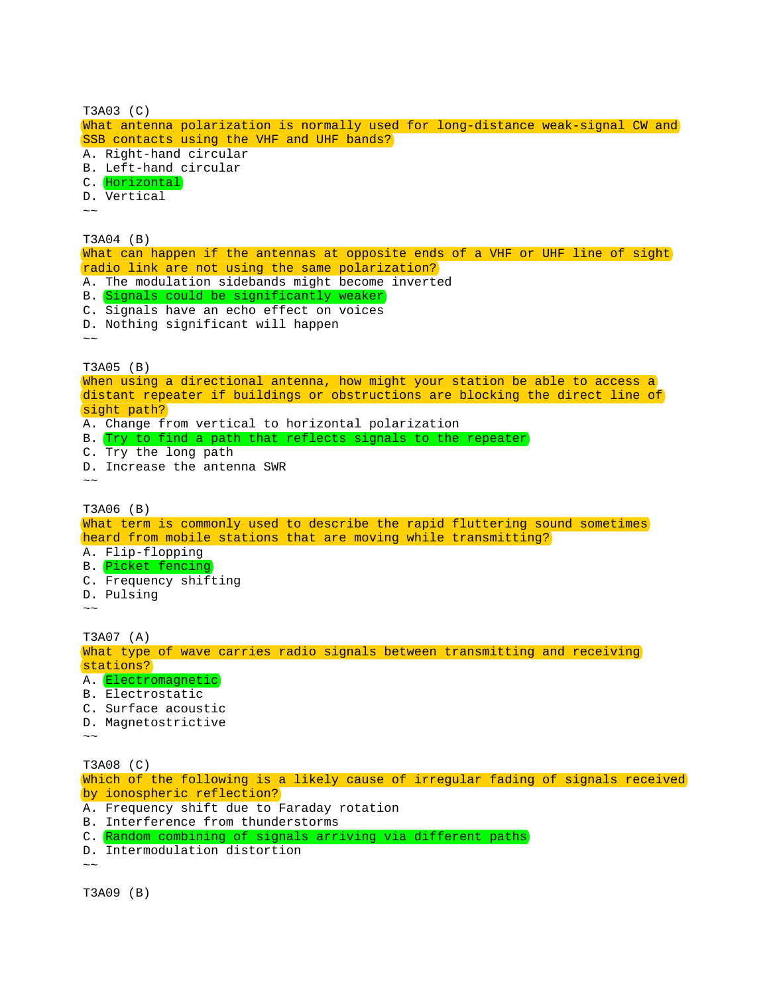T3A03 (C) What antenna polarization is normally used for long-distance weak-signal CW and SSB contacts using the VHF and UHF bands? A. Right-hand circular B. Left-hand circular C. Horizontal D. Vertical  $\sim\sim$ T3A04 (B) What can happen if the antennas at opposite ends of a VHF or UHF line of sight radio link are not using the same polarization? A. The modulation sidebands might become inverted B. Signals could be significantly weaker C. Signals have an echo effect on voices D. Nothing significant will happen  $\sim\sim$ T3A05 (B) When using a directional antenna, how might your station be able to access a distant repeater if buildings or obstructions are blocking the direct line of sight path? A. Change from vertical to horizontal polarization B. Try to find a path that reflects signals to the repeater C. Try the long path D. Increase the antenna SWR  $\sim\sim$ T3A06 (B) What term is commonly used to describe the rapid fluttering sound sometimes heard from mobile stations that are moving while transmitting? A. Flip-flopping B. Picket fencing C. Frequency shifting D. Pulsing  $\sim$   $\sim$ T3A07 (A) What type of wave carries radio signals between transmitting and receiving stations? A. Electromagnetic B. Electrostatic C. Surface acoustic D. Magnetostrictive  $\sim\sim$ T3A08 (C) Which of the following is a likely cause of irregular fading of signals received by ionospheric reflection? A. Frequency shift due to Faraday rotation B. Interference from thunderstorms C. Random combining of signals arriving via different paths D. Intermodulation distortion  $\sim\sim$ 

T3A09 (B)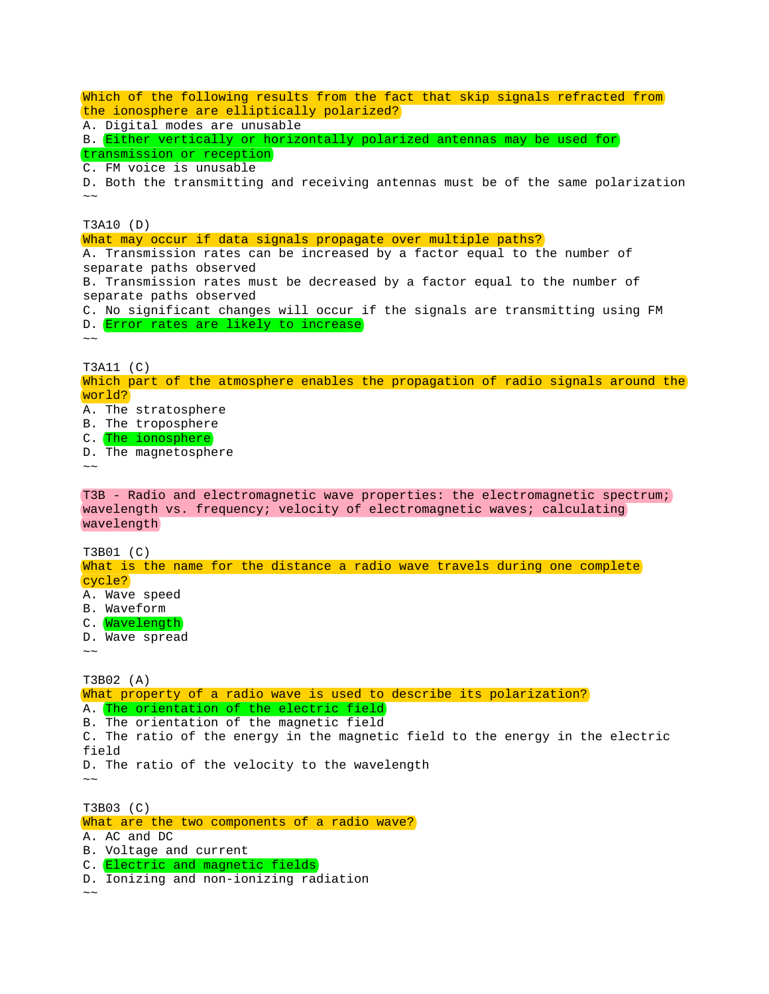Which of the following results from the fact that skip signals refracted from the ionosphere are elliptically polarized? A. Digital modes are unusable B. <mark>Either vertically or horizontally polarized antennas may be used for</mark> transmission or reception C. FM voice is unusable D. Both the transmitting and receiving antennas must be of the same polarization  $\sim\sim$ T3A10 (D) What may occur if data signals propagate over multiple paths? A. Transmission rates can be increased by a factor equal to the number of separate paths observed B. Transmission rates must be decreased by a factor equal to the number of separate paths observed C. No significant changes will occur if the signals are transmitting using FM D. Error rates are likely to increase  $\sim\sim$ T3A11 (C) Which part of the atmosphere enables the propagation of radio signals around the world? A. The stratosphere B. The troposphere C. The ionosphere D. The magnetosphere  $\sim\sim$ T3B - Radio and electromagnetic wave properties: the electromagnetic spectrum; wavelength vs. frequency; velocity of electromagnetic waves; calculating wavelength T3B01 (C) What is the name for the distance a radio wave travels during one complete cycle? A. Wave speed B. Waveform C. Wavelength D. Wave spread  $\sim$   $\sim$ T3B02 (A) What property of a radio wave is used to describe its polarization? A. The orientation of the electric field B. The orientation of the magnetic field C. The ratio of the energy in the magnetic field to the energy in the electric field D. The ratio of the velocity to the wavelength  $\sim\sim$ T3B03 (C) What are the two components of a radio wave? A. AC and DC B. Voltage and current C. Electric and magnetic fields D. Ionizing and non-ionizing radiation  $\sim\sim$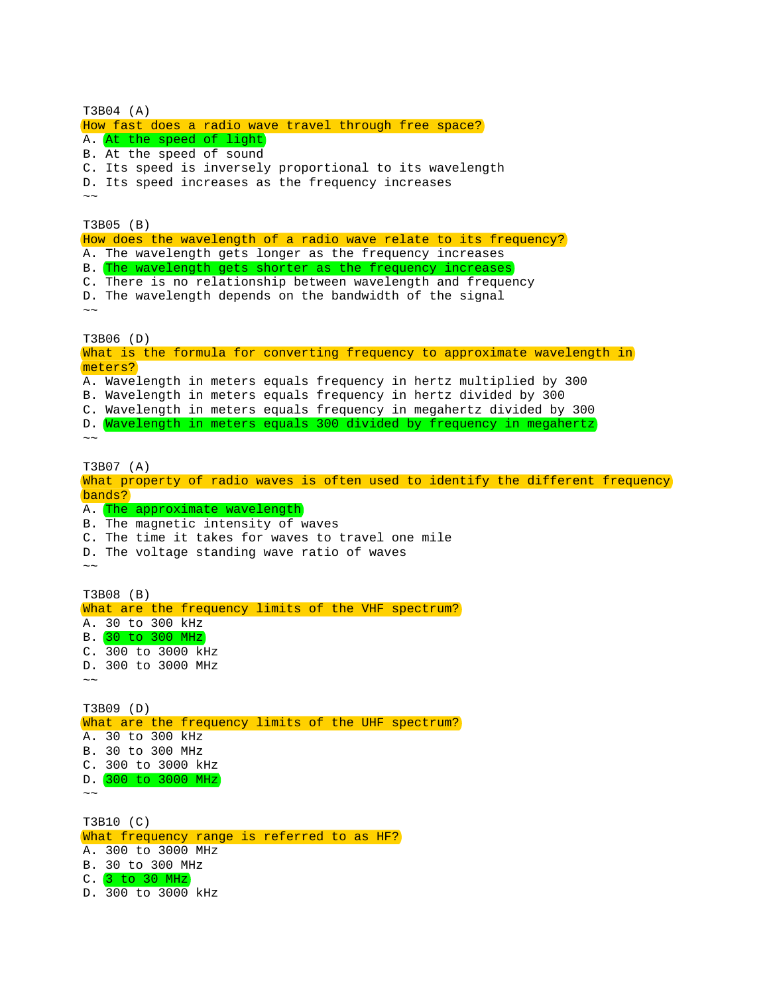T3B04 (A) How fast does a radio wave travel through free space? A. At the speed of light B. At the speed of sound C. Its speed is inversely proportional to its wavelength D. Its speed increases as the frequency increases  $\sim\sim$ T3B05 (B) How does the wavelength of a radio wave relate to its frequency? A. The wavelength gets longer as the frequency increases B. The wavelength gets shorter as the frequency increases C. There is no relationship between wavelength and frequency D. The wavelength depends on the bandwidth of the signal  $\sim\sim$ T3B06 (D) What is the formula for converting frequency to approximate wavelength in meters? A. Wavelength in meters equals frequency in hertz multiplied by 300 B. Wavelength in meters equals frequency in hertz divided by 300 C. Wavelength in meters equals frequency in megahertz divided by 300 D. Wavelength in meters equals 300 divided by frequency in megahertz  $\sim\!\sim$ T3B07 (A) What property of radio waves is often used to identify the different frequency bands? A. The approximate wavelength B. The magnetic intensity of waves C. The time it takes for waves to travel one mile D. The voltage standing wave ratio of waves  $\sim\sim$ T3B08 (B) What are the frequency limits of the VHF spectrum? A. 30 to 300 kHz B. 30 to 300 MHz C. 300 to 3000 kHz D. 300 to 3000 MHz  $\sim$   $\sim$ T3B09 (D) What are the frequency limits of the UHF spectrum? A. 30 to 300 kHz B. 30 to 300 MHz C. 300 to 3000 kHz D. 300 to 3000 MHz  $\sim\, \sim$ T3B10 (C) What frequency range is referred to as HF? A. 300 to 3000 MHz B. 30 to 300 MHz C.  $3$  to 30 MHz D. 300 to 3000 kHz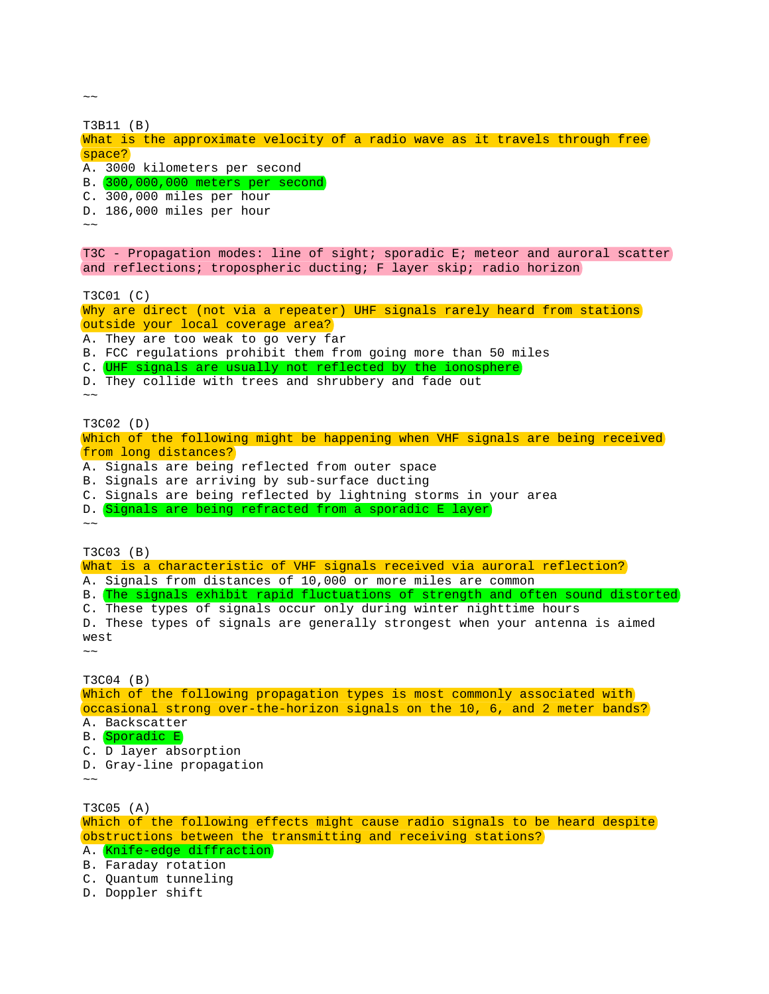$\sim$  ~

T3B11 (B) What is the approximate velocity of a radio wave as it travels through free space? A. 3000 kilometers per second B. 300,000,000 meters per second C. 300,000 miles per hour D. 186,000 miles per hour  $\sim\sim$ T3C - Propagation modes: line of sight; sporadic E; meteor and auroral scatter and reflections; tropospheric ducting; F layer skip; radio horizon T3C01 (C) Why are direct (not via a repeater) UHF signals rarely heard from stations outside your local coverage area? A. They are too weak to go very far B. FCC regulations prohibit them from going more than 50 miles C. UHF signals are usually not reflected by the ionosphere D. They collide with trees and shrubbery and fade out  $\sim\sim$ T3C02 (D) Which of the following might be happening when VHF signals are being received from long distances? A. Signals are being reflected from outer space B. Signals are arriving by sub-surface ducting C. Signals are being reflected by lightning storms in your area D. Signals are being refracted from a sporadic E layer  $\sim$  ~ T3C03 (B) What is a characteristic of VHF signals received via auroral reflection? A. Signals from distances of 10,000 or more miles are common B. The signals exhibit rapid fluctuations of strength and often sound distorted C. These types of signals occur only during winter nighttime hours D. These types of signals are generally strongest when your antenna is aimed west  $\sim$  ~ T3C04 (B) Which of the following propagation types is most commonly associated with occasional strong over-the-horizon signals on the 10, 6, and 2 meter bands? A. Backscatter B. Sporadic E C. D layer absorption D. Gray-line propagation  $\sim\sim$ T3C05 (A) Which of the following effects might cause radio signals to be heard despite obstructions between the transmitting and receiving stations? A. Knife-edge diffraction B. Faraday rotation C. Quantum tunneling D. Doppler shift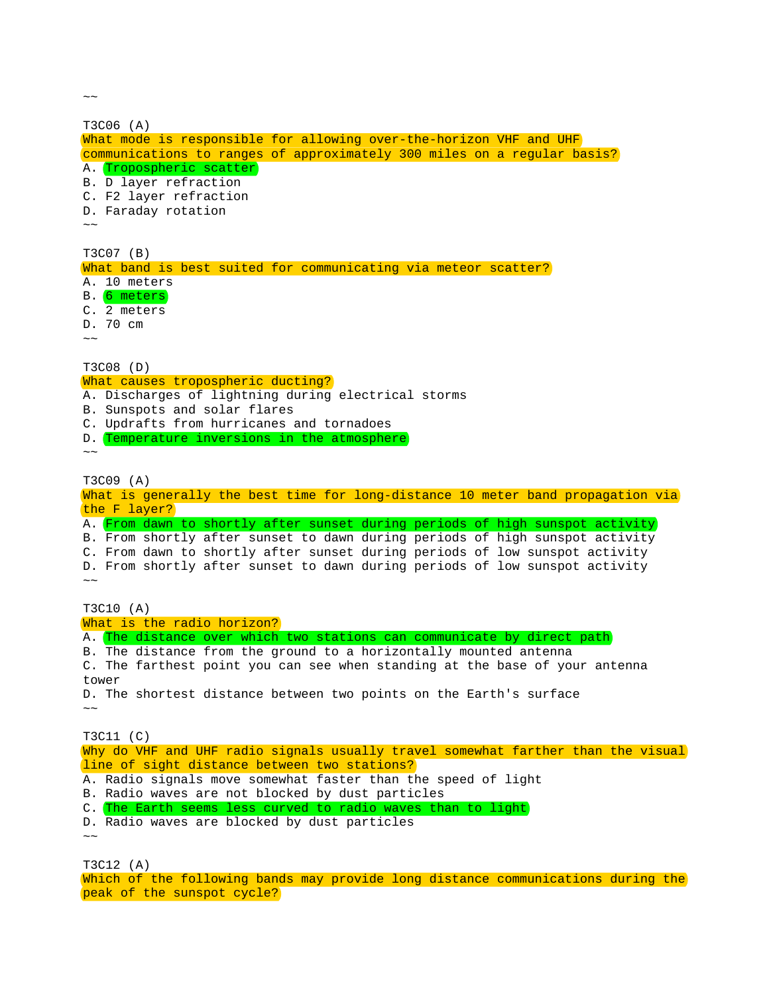$\sim\sim$ 

| T3C06 (A)                                                                                                                                                                                                                                                                                                                                              |
|--------------------------------------------------------------------------------------------------------------------------------------------------------------------------------------------------------------------------------------------------------------------------------------------------------------------------------------------------------|
| What mode is responsible for allowing over-the-horizon VHF and UHF                                                                                                                                                                                                                                                                                     |
| communications to ranges of approximately 300 miles on a regular basis?<br>A. <mark>Tropospheric scatter</mark><br>B. D layer refraction<br>C. F2 layer refraction<br>D. Faraday rotation<br>$\sim\,$                                                                                                                                                  |
| T3C07 (B)                                                                                                                                                                                                                                                                                                                                              |
| What band is best suited for communicating via meteor scatter?                                                                                                                                                                                                                                                                                         |
| A. 10 meters<br>B. 6 meters<br>C. 2 meters<br>D. 70 cm<br>$\sim$ $\sim$                                                                                                                                                                                                                                                                                |
| T3C08 (D)                                                                                                                                                                                                                                                                                                                                              |
| What causes tropospheric ducting?<br>A. Discharges of lightning during electrical storms<br>B. Sunspots and solar flares<br>C. Updrafts from hurricanes and tornadoes<br>D. Temperature inversions in the atmosphere<br>$\sim\,$                                                                                                                       |
| T3C09 (A)                                                                                                                                                                                                                                                                                                                                              |
| What is generally the best time for long-distance 10 meter band propagation via                                                                                                                                                                                                                                                                        |
| the F layer?<br>A. From dawn to shortly after sunset during periods of high sunspot activity<br>B. From shortly after sunset to dawn during periods of high sunspot activity<br>C. From dawn to shortly after sunset during periods of low sunspot activity<br>D. From shortly after sunset to dawn during periods of low sunspot activity<br>$\sim\!$ |
| T3C10 (A)                                                                                                                                                                                                                                                                                                                                              |
| What is the radio horizon?                                                                                                                                                                                                                                                                                                                             |
| A. The distance over which two stations can communicate by direct path<br>B. The distance from the ground to a horizontally mounted antenna<br>C. The farthest point you can see when standing at the base of your antenna<br>tower<br>D. The shortest distance between two points on the Earth's surface<br>$\sim\,$                                  |
| T3C11 (C)                                                                                                                                                                                                                                                                                                                                              |
| Why do VHF and UHF radio signals usually travel somewhat farther than the visual                                                                                                                                                                                                                                                                       |
| line of sight distance between two stations?<br>A. Radio signals move somewhat faster than the speed of light<br>B. Radio waves are not blocked by dust particles<br>C. The Earth seems less curved to radio waves than to light<br>D. Radio waves are blocked by dust particles<br>$\sim\, \sim$                                                      |
| T3C12 (A)                                                                                                                                                                                                                                                                                                                                              |
| Which of the following bands may provide long distance communications during the                                                                                                                                                                                                                                                                       |

peak of the sunspot cycle?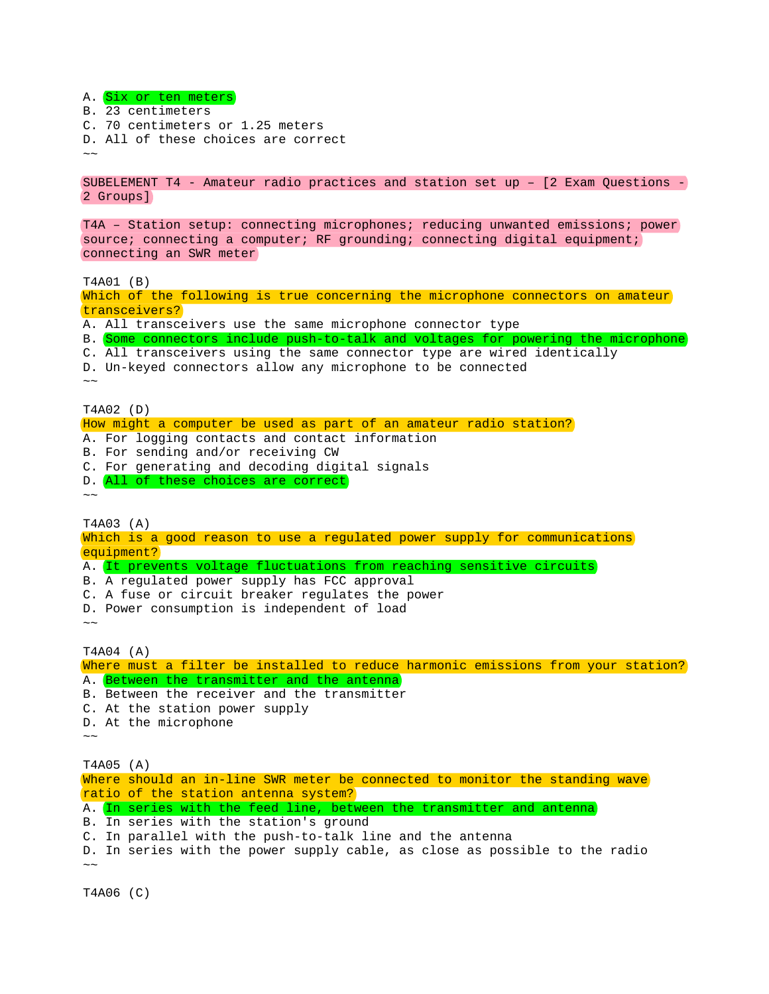A. Six or ten meters B. 23 centimeters C. 70 centimeters or 1.25 meters D. All of these choices are correct  $\sim\sim$ SUBELEMENT T4 - Amateur radio practices and station set up – [2 Exam Questions - 2 Groups] T4A – Station setup: connecting microphones; reducing unwanted emissions; power source; connecting a computer; RF grounding; connecting digital equipment; connecting an SWR meter T4A01 (B) Which of the following is true concerning the microphone connectors on amateur transceivers? A. All transceivers use the same microphone connector type B. Some connectors include push-to-talk and voltages for powering the microphone C. All transceivers using the same connector type are wired identically D. Un-keyed connectors allow any microphone to be connected  $\sim$  ~ T4A02 (D) How might a computer be used as part of an amateur radio station? A. For logging contacts and contact information B. For sending and/or receiving CW C. For generating and decoding digital signals D. All of these choices are correct  $\sim$  ~ T4A03 (A) Which is a good reason to use a regulated power supply for communications equipment? A. It prevents voltage fluctuations from reaching sensitive circuits B. A regulated power supply has FCC approval C. A fuse or circuit breaker regulates the power D. Power consumption is independent of load  $\sim\sim$ T4A04 (A) Where must a filter be installed to reduce harmonic emissions from your station? A. Between the transmitter and the antenna B. Between the receiver and the transmitter C. At the station power supply D. At the microphone ~~ T4A05 (A) Where should an in-line SWR meter be connected to monitor the standing wave ratio of the station antenna system? A. In series with the feed line, between the transmitter and antenna) B. In series with the station's ground C. In parallel with the push-to-talk line and the antenna D. In series with the power supply cable, as close as possible to the radio  $\sim\sim$ 

T4A06 (C)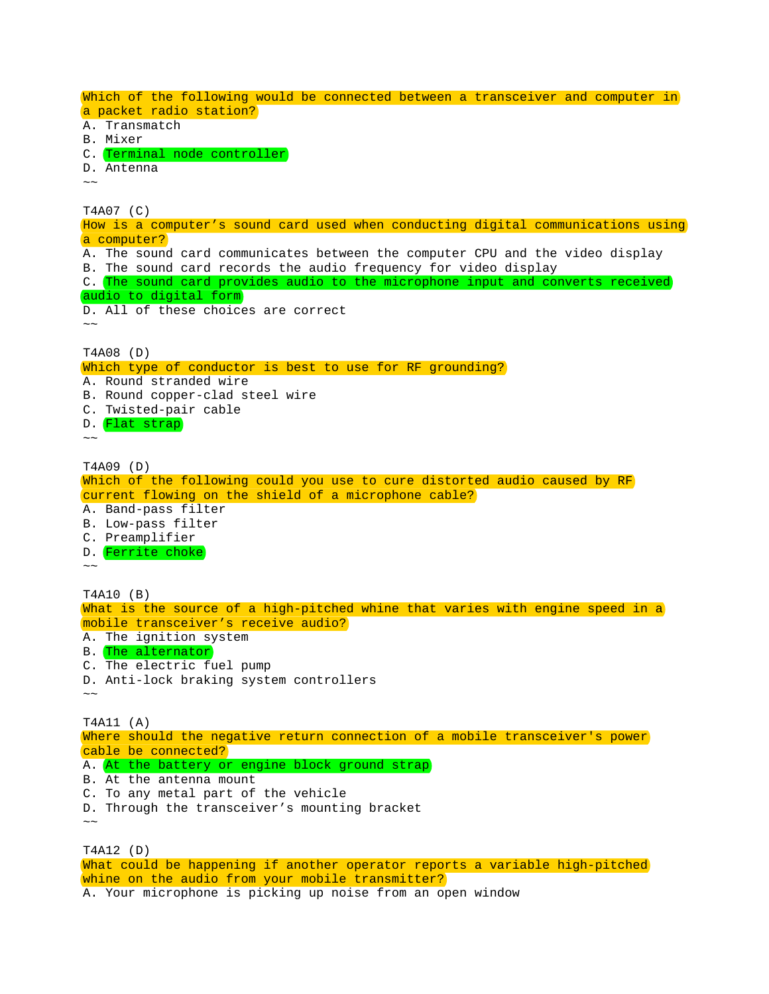Which of the following would be connected between a transceiver and computer in a packet radio station? A. Transmatch B. Mixer C. Terminal node controller D. Antenna  $\sim\sim$ T4A07 (C) How is a computer's sound card used when conducting digital communications using a computer? A. The sound card communicates between the computer CPU and the video display B. The sound card records the audio frequency for video display C. The sound card provides audio to the microphone input and converts received audio to digital form D. All of these choices are correct  $\sim\sim$ T4A08 (D) Which type of conductor is best to use for RF grounding? A. Round stranded wire B. Round copper-clad steel wire C. Twisted-pair cable D. Flat strap  $\sim\!\sim$ T4A09 (D) Which of the following could you use to cure distorted audio caused by RF current flowing on the shield of a microphone cable? A. Band-pass filter B. Low-pass filter C. Preamplifier D. Ferrite choke  $\sim\sim$ T4A10 (B) What is the source of a high-pitched whine that varies with engine speed in a mobile transceiver's receive audio? A. The ignition system B. The alternator C. The electric fuel pump D. Anti-lock braking system controllers  $\sim$  ~ T4A11 (A) Where should the negative return connection of a mobile transceiver's power cable be connected? A. At the battery or engine block ground strap B. At the antenna mount C. To any metal part of the vehicle D. Through the transceiver's mounting bracket  $\sim\, \sim$ T4A12 (D) What could be happening if another operator reports a variable high-pitched whine on the audio from your mobile transmitter?

A. Your microphone is picking up noise from an open window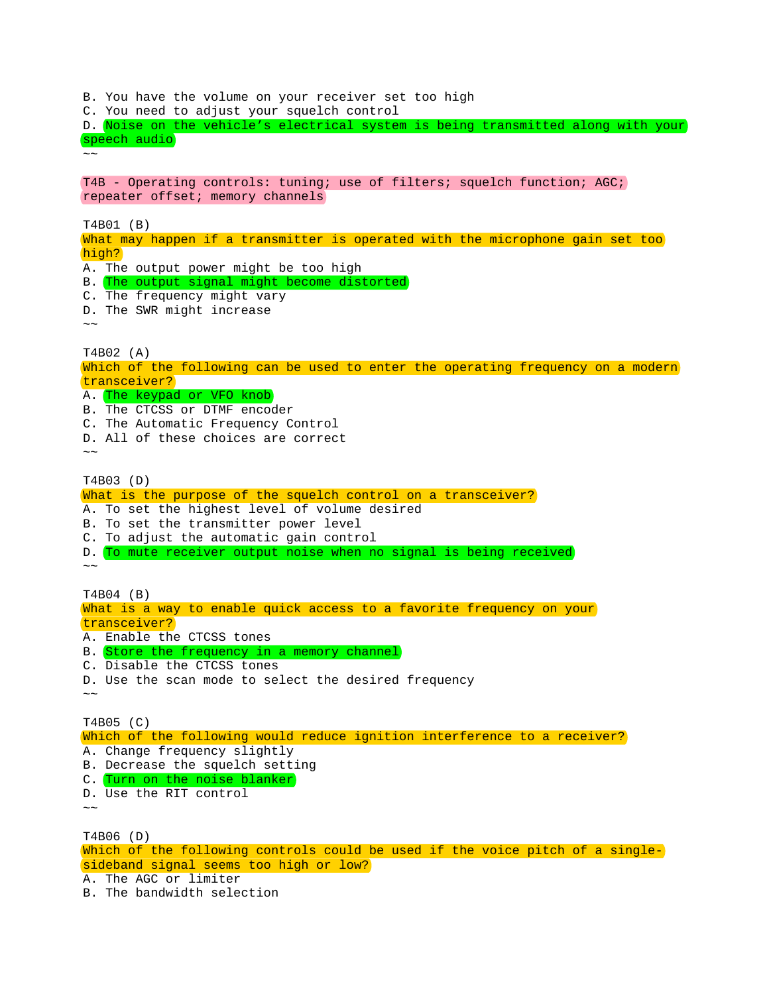B. You have the volume on your receiver set too high C. You need to adjust your squelch control D. Noise on the vehicle's electrical system is being transmitted along with your speech audio  $\sim\sim$ T4B - Operating controls: tuning; use of filters; squelch function; AGC; repeater offset; memory channels T4B01 (B) What may happen if a transmitter is operated with the microphone gain set too high? A. The output power might be too high B. The output signal might become distorted C. The frequency might vary D. The SWR might increase  $\sim\sim$ T4B02 (A) Which of the following can be used to enter the operating frequency on a modern transceiver? A. The keypad or VFO knob B. The CTCSS or DTMF encoder C. The Automatic Frequency Control D. All of these choices are correct  $\sim\sim$ T4B03 (D) What is the purpose of the squelch control on a transceiver? A. To set the highest level of volume desired B. To set the transmitter power level C. To adjust the automatic gain control D. To mute receiver output noise when no signal is being received  $\sim\sim$ T4B04 (B) What is a way to enable quick access to a favorite frequency on your transceiver? A. Enable the CTCSS tones B. Store the frequency in a memory channel C. Disable the CTCSS tones D. Use the scan mode to select the desired frequency  $\sim$  ~ T4B05 (C) Which of the following would reduce ignition interference to a receiver? A. Change frequency slightly B. Decrease the squelch setting C. Turn on the noise blanker D. Use the RIT control  $\sim\sim$ T4B06 (D) Which of the following controls could be used if the voice pitch of a singlesideband signal seems too high or low? A. The AGC or limiter B. The bandwidth selection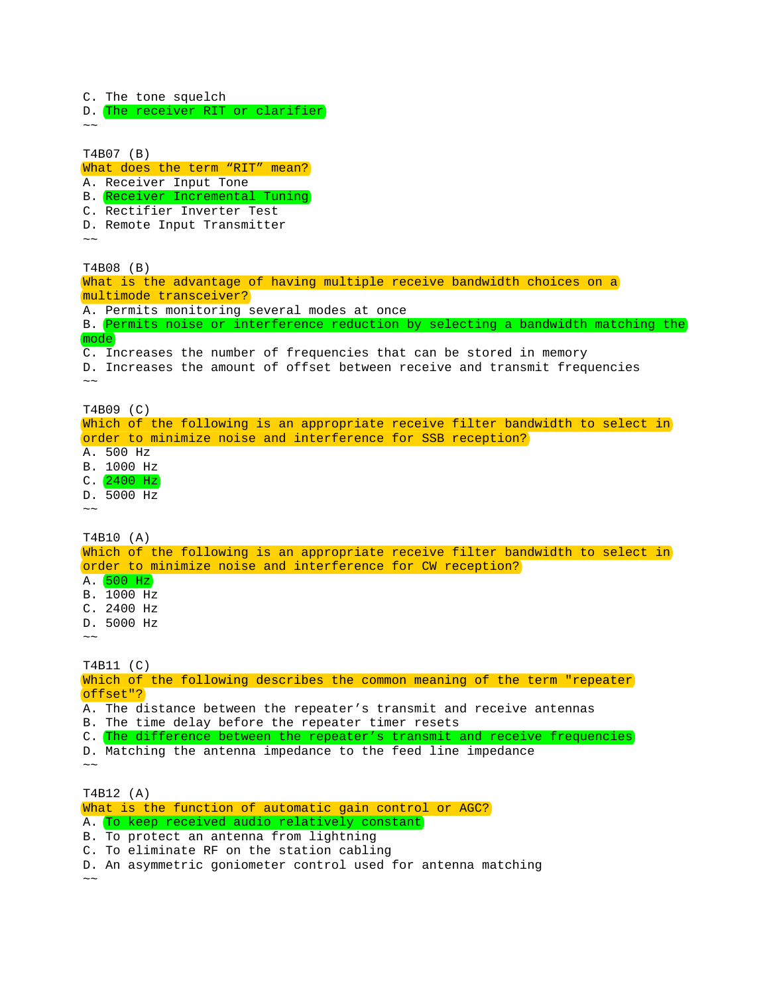C. The tone squelch D. The receiver RIT or clarifier  $\sim\sim$ T4B07 (B) What does the term "RIT" mean? A. Receiver Input Tone B. Receiver Incremental Tuning C. Rectifier Inverter Test D. Remote Input Transmitter  $\sim$  ~ T4B08 (B) What is the advantage of having multiple receive bandwidth choices on a multimode transceiver? A. Permits monitoring several modes at once B. Permits noise or interference reduction by selecting a bandwidth matching the mode C. Increases the number of frequencies that can be stored in memory D. Increases the amount of offset between receive and transmit frequencies  $\sim\sim$ T4B09 (C) Which of the following is an appropriate receive filter bandwidth to select in order to minimize noise and interference for SSB reception? A. 500 Hz B. 1000 Hz C. 2400 Hz D. 5000 Hz ~~ T4B10 (A) Which of the following is an appropriate receive filter bandwidth to select in order to minimize noise and interference for CW reception? A. 500 Hz B. 1000 Hz C. 2400 Hz D. 5000 Hz  $\sim$  ~ T4B11 (C) Which of the following describes the common meaning of the term "repeater offset"? A. The distance between the repeater's transmit and receive antennas B. The time delay before the repeater timer resets C. The difference between the repeater's transmit and receive frequencies D. Matching the antenna impedance to the feed line impedance  $\sim$  ~ T4B12 (A) What is the function of automatic gain control or AGC? A. To keep received audio relatively constant B. To protect an antenna from lightning C. To eliminate RF on the station cabling D. An asymmetric goniometer control used for antenna matching  $\sim\sim$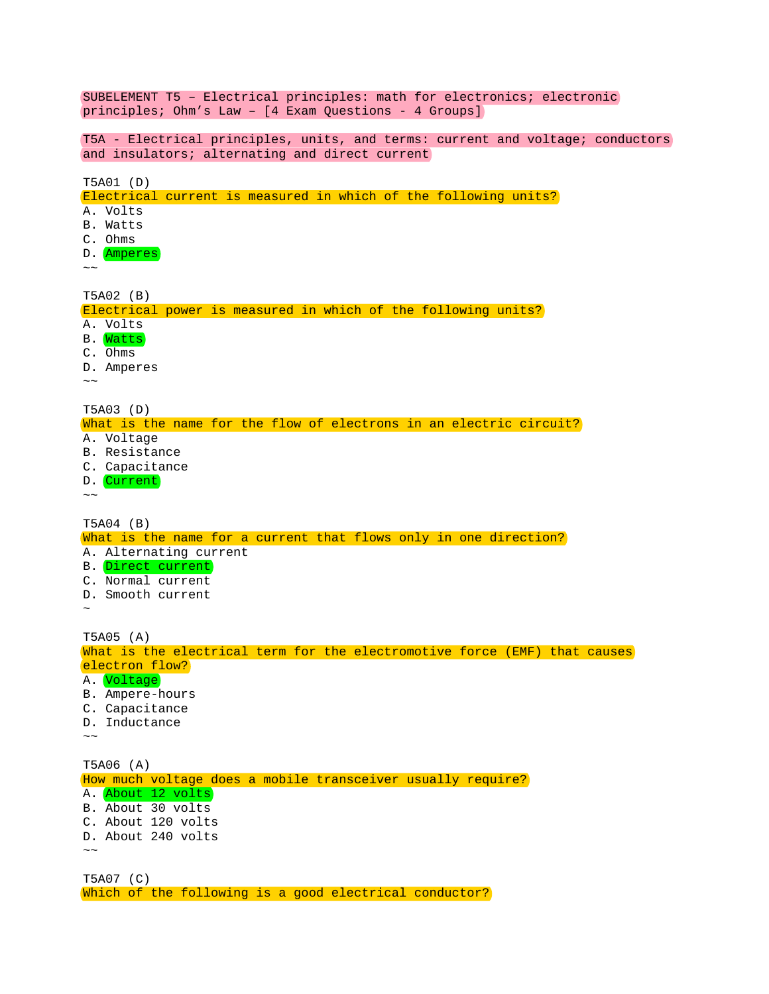| SUBELEMENT T5 - Electrical principles: math for electronics; electronic<br>principles; Ohm's Law - [4 Exam Questions - 4 Groups] |
|----------------------------------------------------------------------------------------------------------------------------------|
| T5A - Electrical principles, units, and terms: current and voltage; conductors<br>and insulators; alternating and direct current |
|                                                                                                                                  |
| T5A01 (D)                                                                                                                        |
| Electrical current is measured in which of the following units?                                                                  |
| A. Volts                                                                                                                         |
| B. Watts                                                                                                                         |
| C. Ohms                                                                                                                          |
| D. Amperes                                                                                                                       |
| $\sim\, \sim$                                                                                                                    |
| T5A02 (B)                                                                                                                        |
| Electrical power is measured in which of the following units?                                                                    |
| A. Volts                                                                                                                         |
| B. <mark>Watts</mark>                                                                                                            |
| C. Ohms                                                                                                                          |
| D. Amperes                                                                                                                       |
| $\sim\, \sim$                                                                                                                    |
| T5A03 (D)                                                                                                                        |
| What is the name for the flow of electrons in an electric circuit?                                                               |
| A. Voltage                                                                                                                       |
| B. Resistance                                                                                                                    |
| C. Capacitance                                                                                                                   |
| D. Current                                                                                                                       |
| $\sim\, \sim$                                                                                                                    |
|                                                                                                                                  |
| T5A04 (B)<br>What is the name for a current that flows only in one direction?                                                    |
| A. Alternating current                                                                                                           |
| B. <mark>Direct current</mark>                                                                                                   |
| C. Normal current                                                                                                                |
| D. Smooth current                                                                                                                |
|                                                                                                                                  |
|                                                                                                                                  |
| T5A05 (A)                                                                                                                        |
| What is the electrical term for the electromotive force (EMF) that causes                                                        |
| electron flow?<br>A. Voltage                                                                                                     |
| B. Ampere-hours                                                                                                                  |
| C. Capacitance                                                                                                                   |
| D. Inductance                                                                                                                    |
| $\sim\sim$                                                                                                                       |
|                                                                                                                                  |
| T5A06 (A)                                                                                                                        |
| How much voltage does a mobile transceiver usually require?                                                                      |
| A. <mark>About 12 volts</mark><br>B. About 30 volts                                                                              |
| C. About 120 volts                                                                                                               |
| D. About 240 volts                                                                                                               |
| $\sim\,$                                                                                                                         |
|                                                                                                                                  |
| T5A07 (C)                                                                                                                        |
| Which of the following is a good electrical conductor?                                                                           |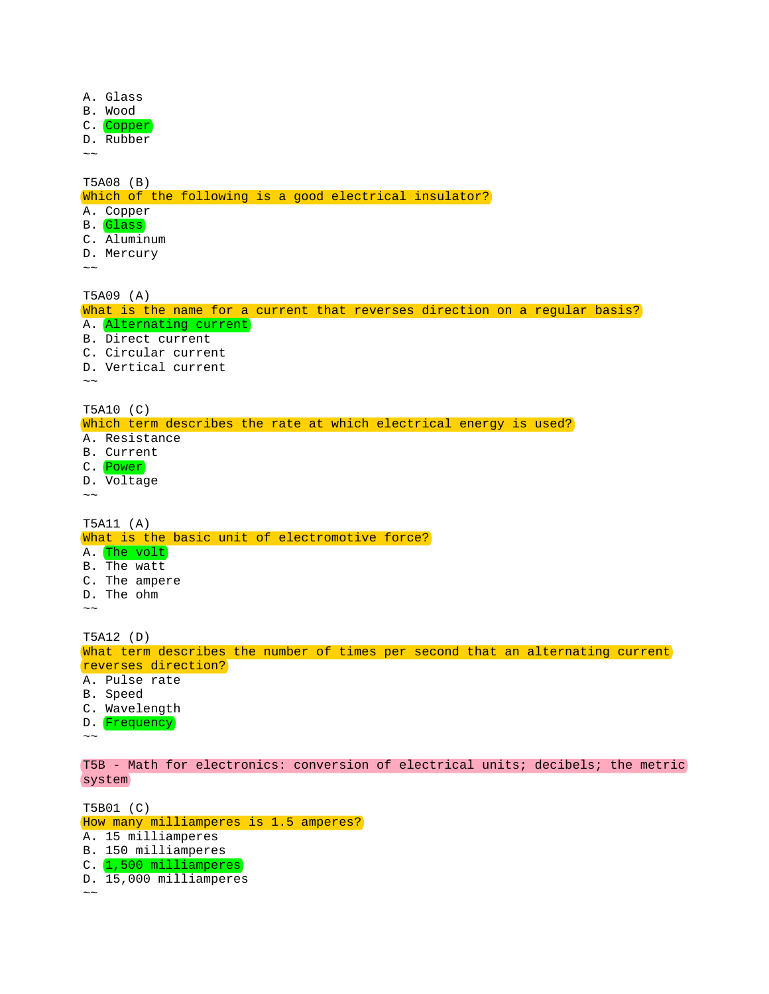| А. | Glass |
|----|-------|
|    |       |

- B. Wood
- C. Copper
- D. Rubber

 $\sim\sim$ 

T5A08 (B)

Which of the following is a good electrical insulator?

- A. Copper
- B. Glass
- C. Aluminum
- D. Mercury

 $\sim\, \sim$ 

T5A09 (A)

What is the name for a current that reverses direction on a regular basis? A. Alternating current B. Direct current C. Circular current D. Vertical current  $\sim$  ~ T5A10 (C) Which term describes the rate at which electrical energy is used? A. Resistance B. Current C. Power

D. Voltage  $\sim$  ~

T5A11 (A)

What is the basic unit of electromotive force? A. The volt B. The watt C. The ampere D. The ohm  $\sim\!\sim$ 

T5A12 (D)

What term describes the number of times per second that an alternating current reverses direction?

- A. Pulse rate
- B. Speed
- C. Wavelength
- D. Frequency

 $\sim\sim$ 

T5B - Math for electronics: conversion of electrical units; decibels; the metric system

T5B01 (C) How many milliamperes is 1.5 amperes? A. 15 milliamperes B. 150 milliamperes C. 1,500 milliamperes D. 15,000 milliamperes  $\sim\sim$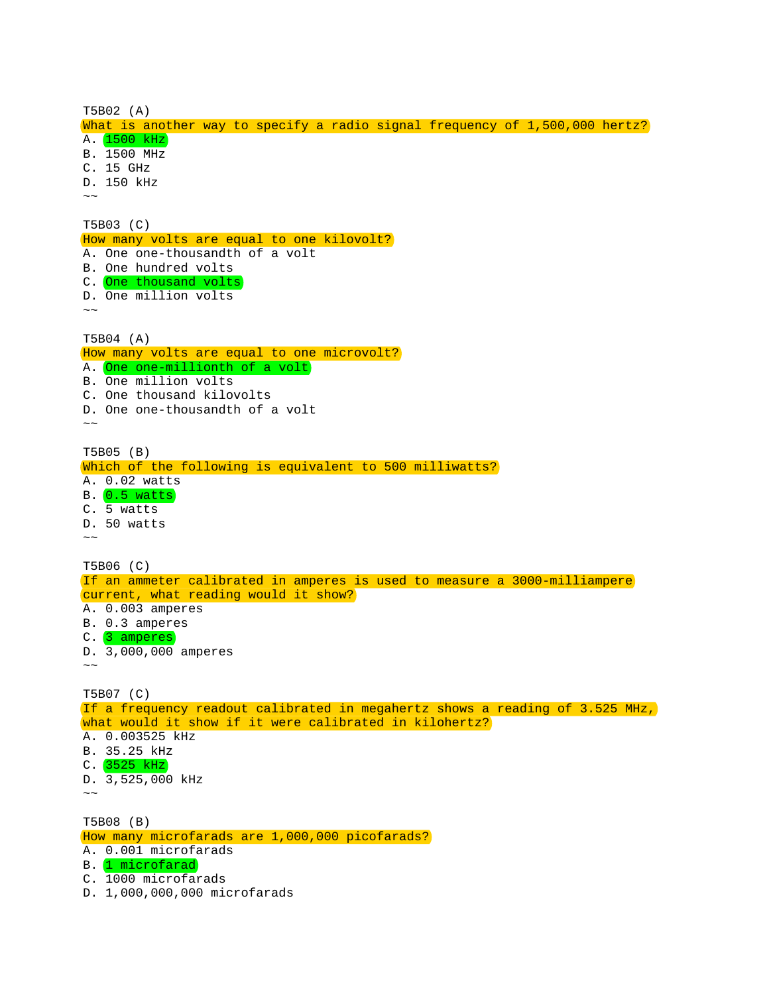T5B02 (A) What is another way to specify a radio signal frequency of 1,500,000 hertz? A. 1500 kHz B. 1500 MHz C. 15 GHz D. 150 kHz  $\sim\sim$ T5B03 (C) How many volts are equal to one kilovolt? A. One one-thousandth of a volt B. One hundred volts C. One thousand volts D. One million volts  $\sim$  ~ T5B04 (A) How many volts are equal to one microvolt? A. One one-millionth of a volt B. One million volts C. One thousand kilovolts D. One one-thousandth of a volt  $\sim\,$ T5B05 (B) Which of the following is equivalent to 500 milliwatts? A. 0.02 watts B. 0.5 watts C. 5 watts D. 50 watts  $\sim\sim$ T5B06 (C) If an ammeter calibrated in amperes is used to measure a 3000-milliampere current, what reading would it show? A. 0.003 amperes B. 0.3 amperes C. 3 amperes D. 3,000,000 amperes  $\sim\, \sim$ T5B07 (C) If a frequency readout calibrated in megahertz shows a reading of 3.525 MHz, what would it show if it were calibrated in kilohertz? A. 0.003525 kHz B. 35.25 kHz C. 3525 kHz D. 3,525,000 kHz  $\sim\,$ T5B08 (B) How many microfarads are 1,000,000 picofarads? A. 0.001 microfarads B. 1 microfarad C. 1000 microfarads D. 1,000,000,000 microfarads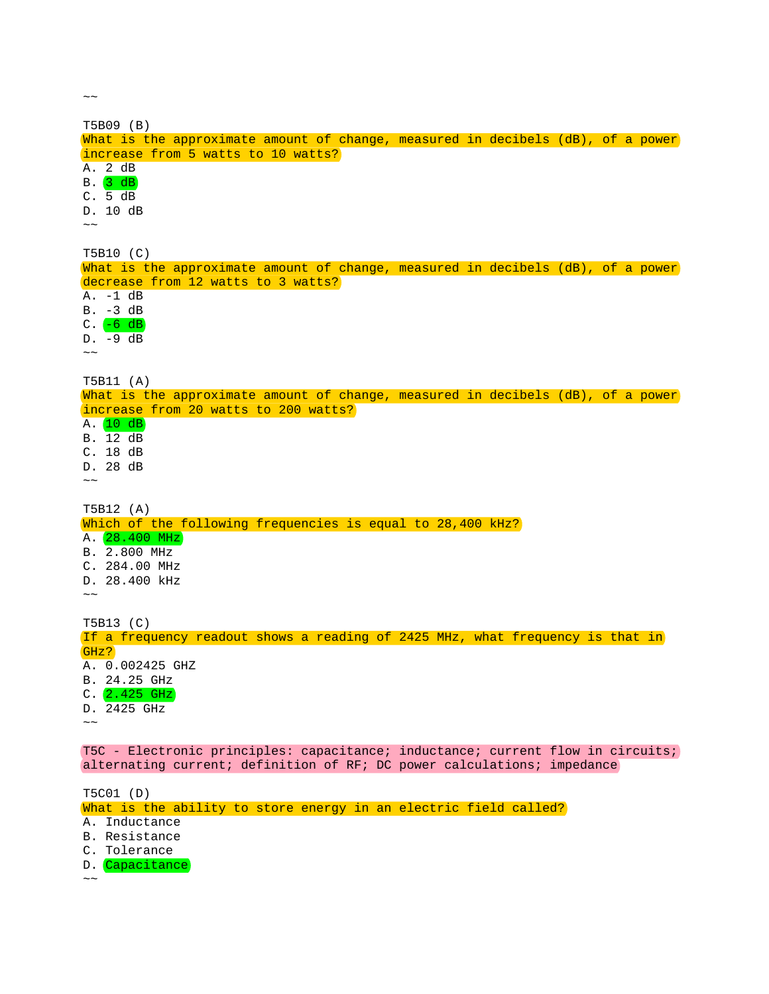$\sim$  ~

T5B09 (B) What is the approximate amount of change, measured in decibels (dB), of a power increase from 5 watts to 10 watts? A. 2 dB  $B. 3 dB$ C. 5 dB D. 10 dB  $\sim$  ~ T5B10 (C) What is the approximate amount of change, measured in decibels (dB), of a power decrease from 12 watts to 3 watts? A. -1 dB B. -3 dB  $C.$   $-6$  dB D. -9 dB  $\sim\sim$ T5B11 (A) What is the approximate amount of change, measured in decibels (dB), of a power increase from 20 watts to 200 watts? A. **10 dB** B. 12 dB C. 18 dB D. 28 dB  $\sim\sim$ T5B12 (A) Which of the following frequencies is equal to 28,400 kHz? A. 28.400 MHz B. 2.800 MHz C. 284.00 MHz D. 28.400 kHz  $\sim\sim$ T5B13 (C) If a frequency readout shows a reading of 2425 MHz, what frequency is that in GHz? A. 0.002425 GHZ B. 24.25 GHz C. 2.425 GHz D. 2425 GHz  $\sim\sim$ T5C - Electronic principles: capacitance; inductance; current flow in circuits; alternating current; definition of RF; DC power calculations; impedance T5C01 (D) What is the ability to store energy in an electric field called? A. Inductance B. Resistance C. Tolerance D. Capacitance  $\sim\sim$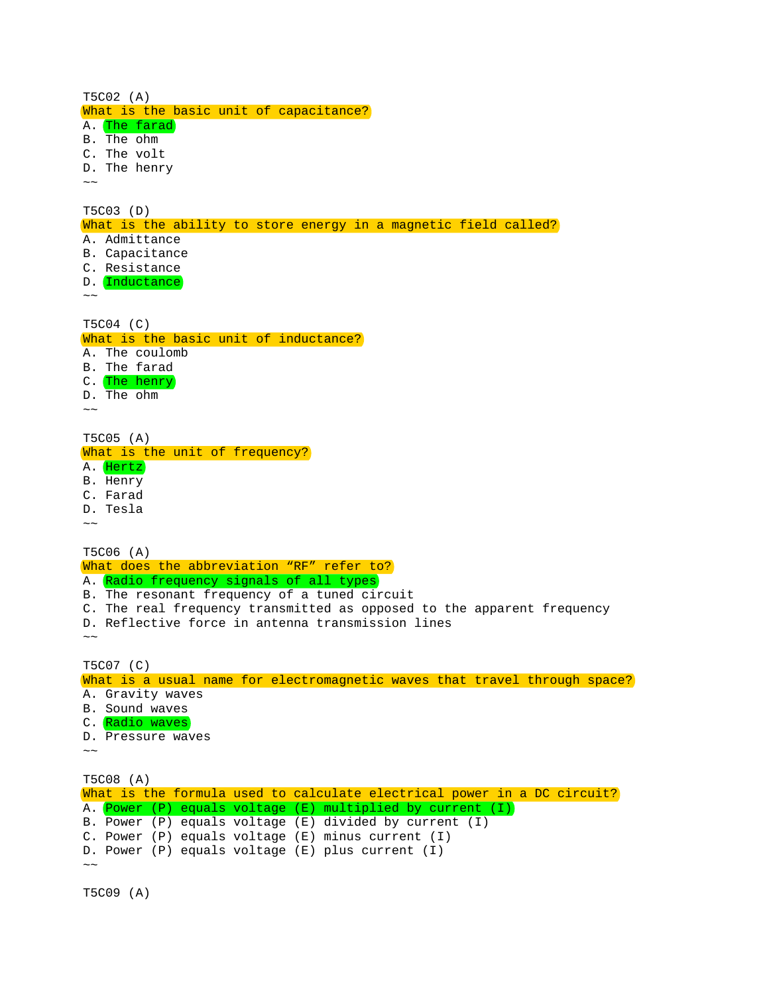T5C02 (A) What is the basic unit of capacitance? A. The farad B. The ohm C. The volt D. The henry  $\sim\sim$ T5C03 (D) What is the ability to store energy in a magnetic field called? A. Admittance B. Capacitance C. Resistance D. Inductance  $\sim\sim$ T5C04 (C) What is the basic unit of inductance? A. The coulomb B. The farad C. The henry D. The ohm  $\sim\, \sim$ T5C05 (A) What is the unit of frequency? A. Hertz B. Henry C. Farad D. Tesla  $\sim\sim$ T5C06 (A) What does the abbreviation "RF" refer to? A. Radio frequency signals of all types B. The resonant frequency of a tuned circuit C. The real frequency transmitted as opposed to the apparent frequency D. Reflective force in antenna transmission lines  $\sim\sim$ T5C07 (C) What is a usual name for electromagnetic waves that travel through space? A. Gravity waves B. Sound waves C. Radio waves D. Pressure waves  $\sim\sim$ T5C08 (A) What is the formula used to calculate electrical power in a DC circuit? A. Power (P) equals voltage (E) multiplied by current (I) B. Power (P) equals voltage (E) divided by current (I) C. Power (P) equals voltage (E) minus current (I) D. Power (P) equals voltage (E) plus current (I)  $\sim$   $\sim$ 

T5C09 (A)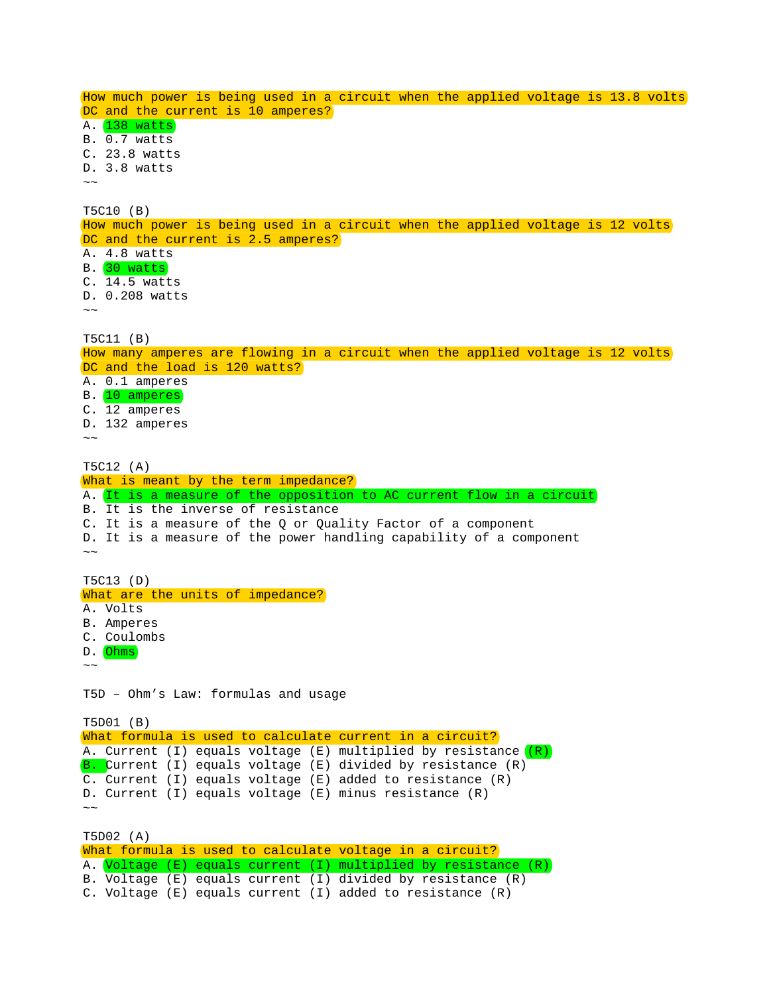How much power is being used in a circuit when the applied voltage is 13.8 volts DC and the current is 10 amperes? A. 138 watts B. 0.7 watts C. 23.8 watts D. 3.8 watts  $\sim\sim$ T5C10 (B) How much power is being used in a circuit when the applied voltage is 12 volts DC and the current is 2.5 amperes? A. 4.8 watts B. 30 watts C. 14.5 watts D. 0.208 watts  $\sim\sim$ T5C11 (B) How many amperes are flowing in a circuit when the applied voltage is 12 volts DC and the load is 120 watts? A. 0.1 amperes B. 10 amperes C. 12 amperes D. 132 amperes  $\sim$   $\sim$ T5C12 (A) What is meant by the term impedance? A. It is a measure of the opposition to AC current flow in a circuit B. It is the inverse of resistance C. It is a measure of the Q or Quality Factor of a component D. It is a measure of the power handling capability of a component  $\sim\sim$ T5C13 (D) What are the units of impedance? A. Volts B. Amperes C. Coulombs D. Ohms  $\sim\, \sim$ T5D – Ohm's Law: formulas and usage T5D01 (B) What formula is used to calculate current in a circuit? A. Current (I) equals voltage (E) multiplied by resistance  $((R))$ **B.** Current (I) equals voltage (E) divided by resistance  $(R)$ C. Current (I) equals voltage (E) added to resistance (R) D. Current (I) equals voltage (E) minus resistance (R)  $\sim\sim$ T5D02 (A) What formula is used to calculate voltage in a circuit? A.  $Voltage (E)$  equals current (I) multiplied by resistance  $(R)$ B. Voltage (E) equals current (I) divided by resistance (R) C. Voltage (E) equals current (I) added to resistance (R)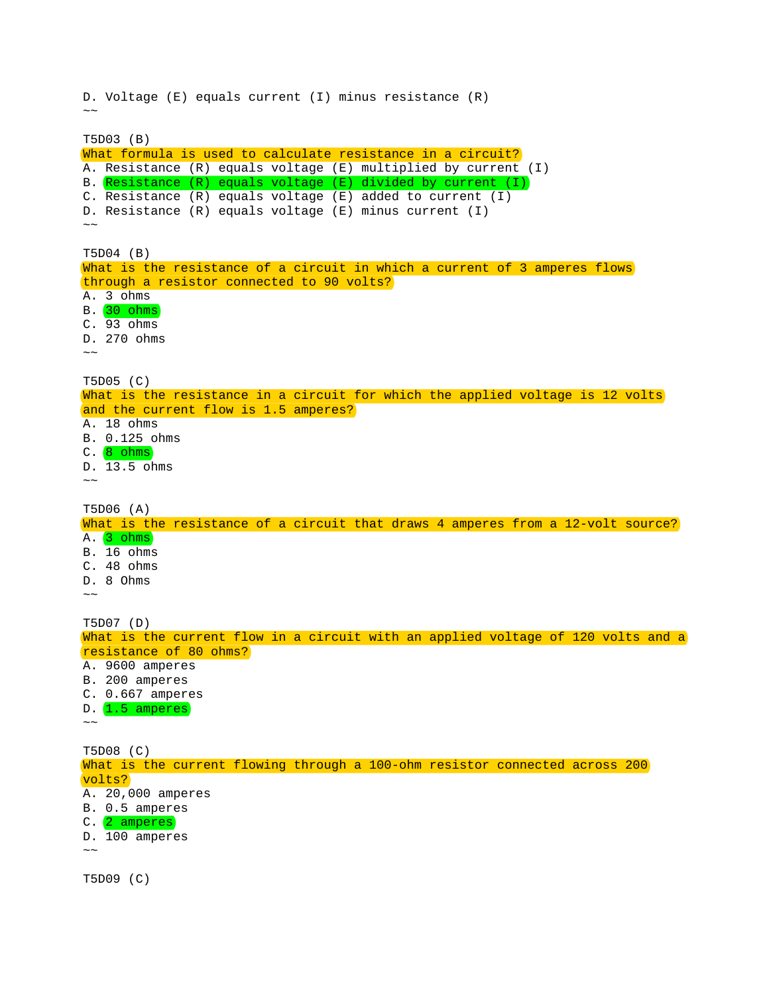D. Voltage (E) equals current (I) minus resistance (R)  $\sim\sim$ T5D03 (B) What formula is used to calculate resistance in a circuit? A. Resistance (R) equals voltage (E) multiplied by current (I) B. Resistance  $(R)$  equals voltage  $(E)$  divided by current  $(I)$ C. Resistance (R) equals voltage (E) added to current (I) D. Resistance (R) equals voltage (E) minus current (I)  $\sim\sim$ T5D04 (B) What is the resistance of a circuit in which a current of 3 amperes flows through a resistor connected to 90 volts? A. 3 ohms B. 30 ohms C. 93 ohms D. 270 ohms  $\sim$   $\sim$ T5D05 (C) What is the resistance in a circuit for which the applied voltage is 12 volts and the current flow is 1.5 amperes? A. 18 ohms B. 0.125 ohms C. 8 ohms D. 13.5 ohms  $\sim\sim$ T5D06 (A) What is the resistance of a circuit that draws 4 amperes from a 12-volt source? A. 3 ohms B. 16 ohms C. 48 ohms D. 8 Ohms  $\sim\sim$ T5D07 (D) What is the current flow in a circuit with an applied voltage of 120 volts and a resistance of 80 ohms? A. 9600 amperes B. 200 amperes C. 0.667 amperes D. (1.5 amperes)  $\sim\, \sim$ T5D08 (C) What is the current flowing through a 100-ohm resistor connected across 200 volts? A. 20,000 amperes B. 0.5 amperes C. 2 amperes D. 100 amperes  $\sim\sim$ T5D09 (C)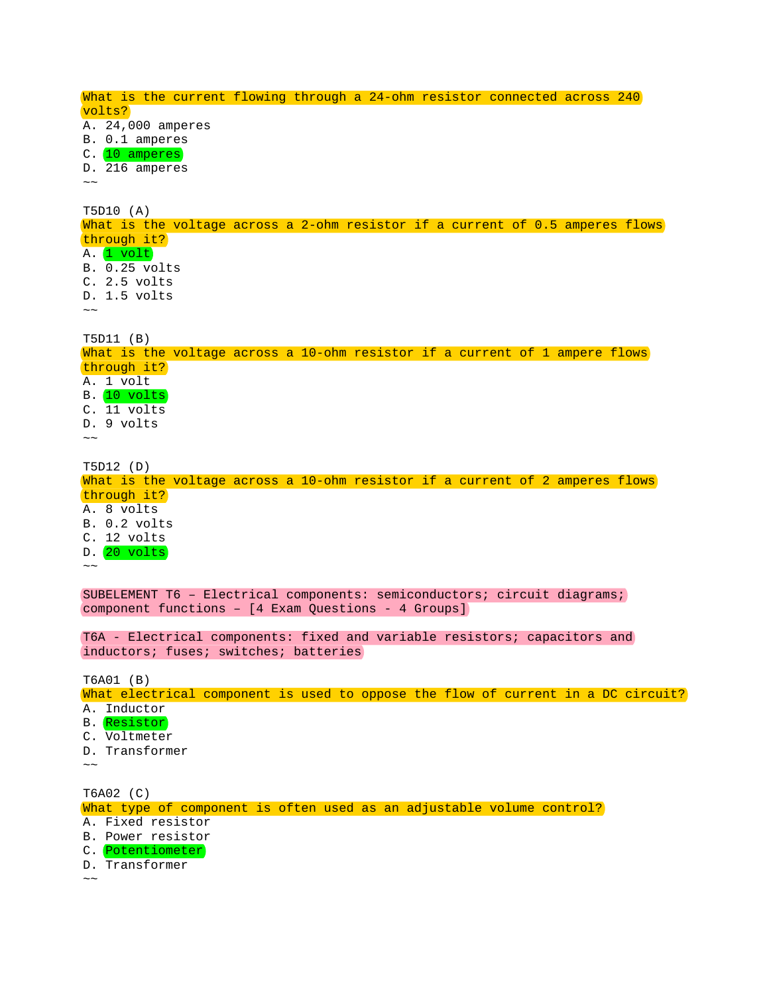What is the current flowing through a 24-ohm resistor connected across 240 volts? A. 24,000 amperes B. 0.1 amperes C. 10 amperes D. 216 amperes  $\sim\sim$ T5D10 (A) What is the voltage across a 2-ohm resistor if a current of 0.5 amperes flows through it? A. 1 volt B. 0.25 volts C. 2.5 volts D. 1.5 volts  $\sim\sim$ T5D11 (B) What is the voltage across a 10-ohm resistor if a current of 1 ampere flows through it? A. 1 volt B. 10 volts C. 11 volts D. 9 volts  $\sim$   $\sim$ T5D12 (D) What is the voltage across a 10-ohm resistor if a current of 2 amperes flows through it? A. 8 volts B. 0.2 volts C. 12 volts D. 20 volts  $\sim\sim$ SUBELEMENT T6 – Electrical components: semiconductors; circuit diagrams; component functions – [4 Exam Questions - 4 Groups] T6A - Electrical components: fixed and variable resistors; capacitors and inductors; fuses; switches; batteries T6A01 (B) What electrical component is used to oppose the flow of current in a DC circuit?

- A. Inductor
- B. Resistor
- C. Voltmeter
- D. Transformer

 $\sim$  ~

T6A02 (C)

What type of component is often used as an adjustable volume control? A. Fixed resistor

- B. Power resistor
- C. Potentiometer
- D. Transformer

 $\sim\sim$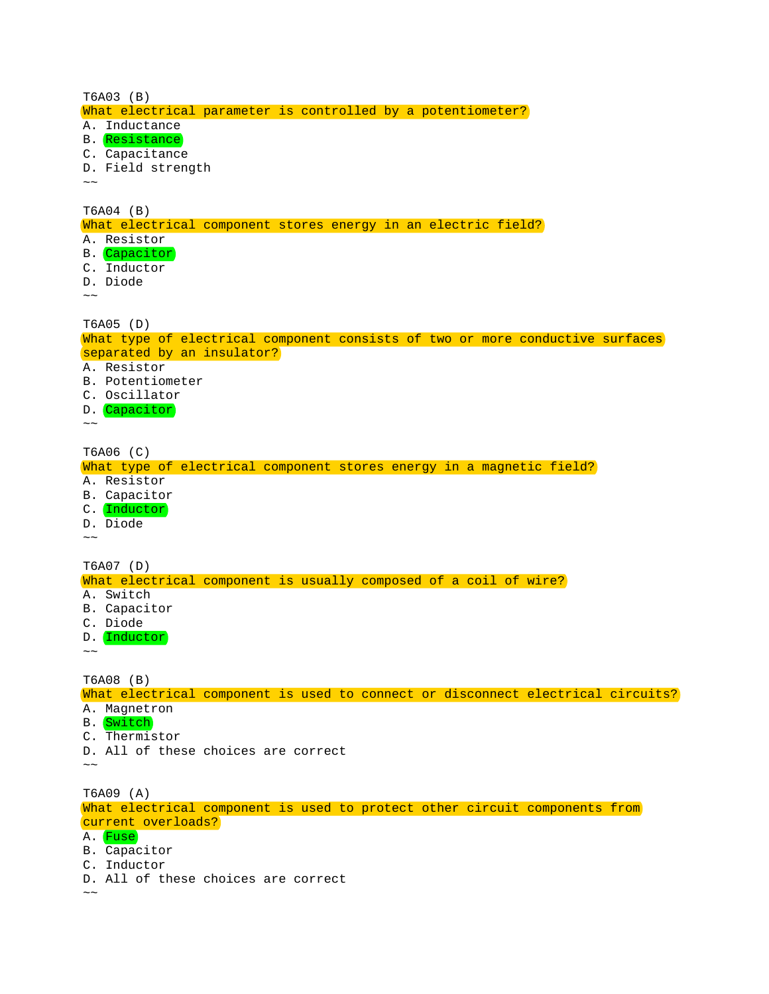T6A03 (B) What electrical parameter is controlled by a potentiometer? A. Inductance B. Resistance C. Capacitance D. Field strength  $\sim\sim$ T6A04 (B) What electrical component stores energy in an electric field? A. Resistor B. Capacitor C. Inductor D. Diode  $\sim\sim$ T6A05 (D) What type of electrical component consists of two or more conductive surfaces separated by an insulator? A. Resistor B. Potentiometer C. Oscillator D. Capacitor  $\sim\, \sim$ T6A06 (C) What type of electrical component stores energy in a magnetic field? A. Resistor B. Capacitor C. Inductor D. Diode  $\sim\sim$ T6A07 (D) What electrical component is usually composed of a coil of wire? A. Switch B. Capacitor C. Diode D. Inductor  $\sim$   $\sim$ T6A08 (B) What electrical component is used to connect or disconnect electrical circuits? A. Magnetron B. Switch C. Thermistor D. All of these choices are correct  $\sim$  ~ T6A09 (A) What electrical component is used to protect other circuit components from current overloads? A. Fuse B. Capacitor C. Inductor D. All of these choices are correct  $\sim$  ~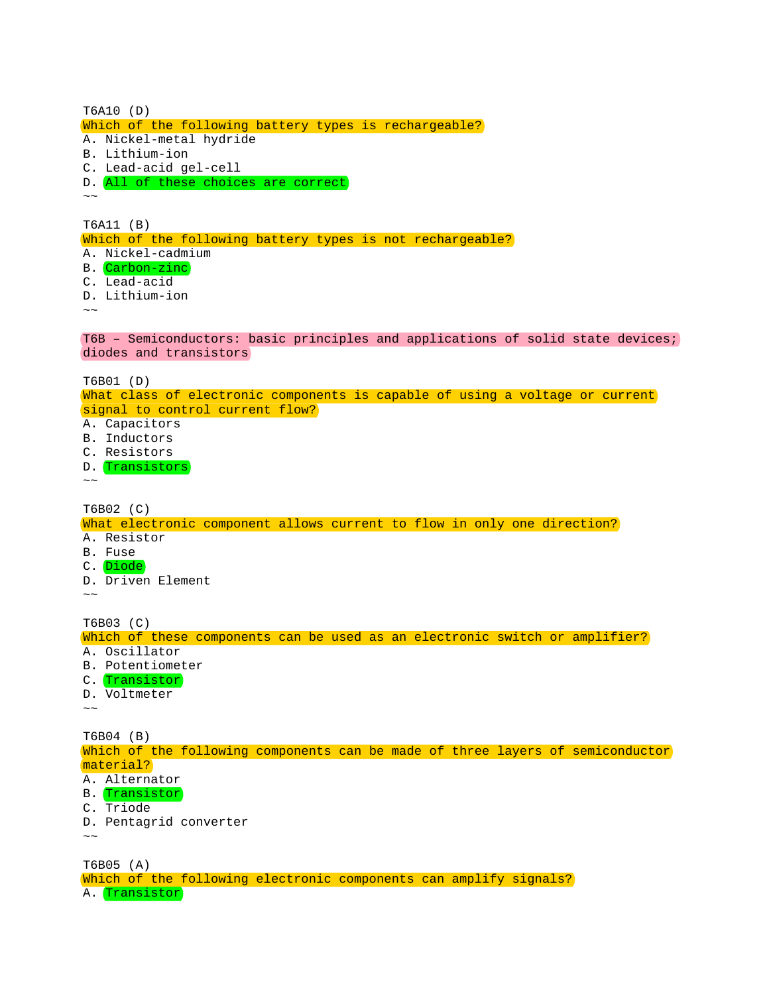T6A10 (D) Which of the following battery types is rechargeable? A. Nickel-metal hydride B. Lithium-ion C. Lead-acid gel-cell D. All of these choices are correct  $\sim\sim$ T6A11 (B) Which of the following battery types is not rechargeable? A. Nickel-cadmium B. Carbon-zinc C. Lead-acid D. Lithium-ion  $\sim\sim$ T6B – Semiconductors: basic principles and applications of solid state devices; diodes and transistors T6B01 (D) What class of electronic components is capable of using a voltage or current signal to control current flow? A. Capacitors B. Inductors C. Resistors D. Transistors  $\sim\sim$ T6B02 (C) What electronic component allows current to flow in only one direction? A. Resistor B. Fuse C. Diode D. Driven Element  $\sim\sim$ T6B03 (C) Which of these components can be used as an electronic switch or amplifier? A. Oscillator B. Potentiometer C. Transistor D. Voltmeter  $\sim\sim$ T6B04 (B) Which of the following components can be made of three layers of semiconductor material? A. Alternator B. Transistor C. Triode D. Pentagrid converter  $\sim\, \sim$ T6B05 (A)

Which of the following electronic components can amplify signals? A. Transistor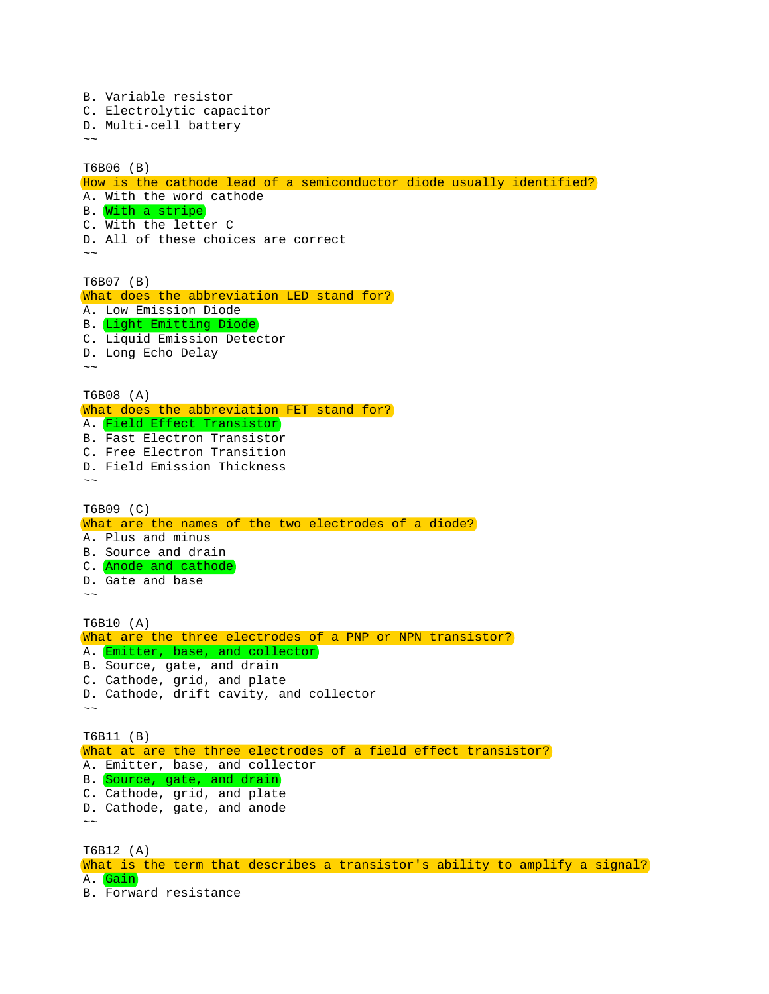B. Variable resistor C. Electrolytic capacitor D. Multi-cell battery  $\sim\!\sim$ T6B06 (B) How is the cathode lead of a semiconductor diode usually identified? A. With the word cathode B. With a stripe C. With the letter C D. All of these choices are correct  $\sim$  ~ T6B07 (B) What does the abbreviation LED stand for? A. Low Emission Diode B. Light Emitting Diode C. Liquid Emission Detector D. Long Echo Delay  $\sim\sim$ T6B08 (A) What does the abbreviation FET stand for? A. Field Effect Transistor B. Fast Electron Transistor C. Free Electron Transition D. Field Emission Thickness  $\sim\sim$ T6B09 (C) What are the names of the two electrodes of a diode? A. Plus and minus B. Source and drain C. Anode and cathode D. Gate and base  $\sim\sim$ T6B10 (A) What are the three electrodes of a PNP or NPN transistor? A. Emitter, base, and collector B. Source, gate, and drain C. Cathode, grid, and plate D. Cathode, drift cavity, and collector  $\sim$  ~ T6B11 (B) What at are the three electrodes of a field effect transistor? A. Emitter, base, and collector B. Source, gate, and drain C. Cathode, grid, and plate D. Cathode, gate, and anode  $\sim\!\sim$ T6B12 (A) What is the term that describes a transistor's ability to amplify a signal? A. Gain

B. Forward resistance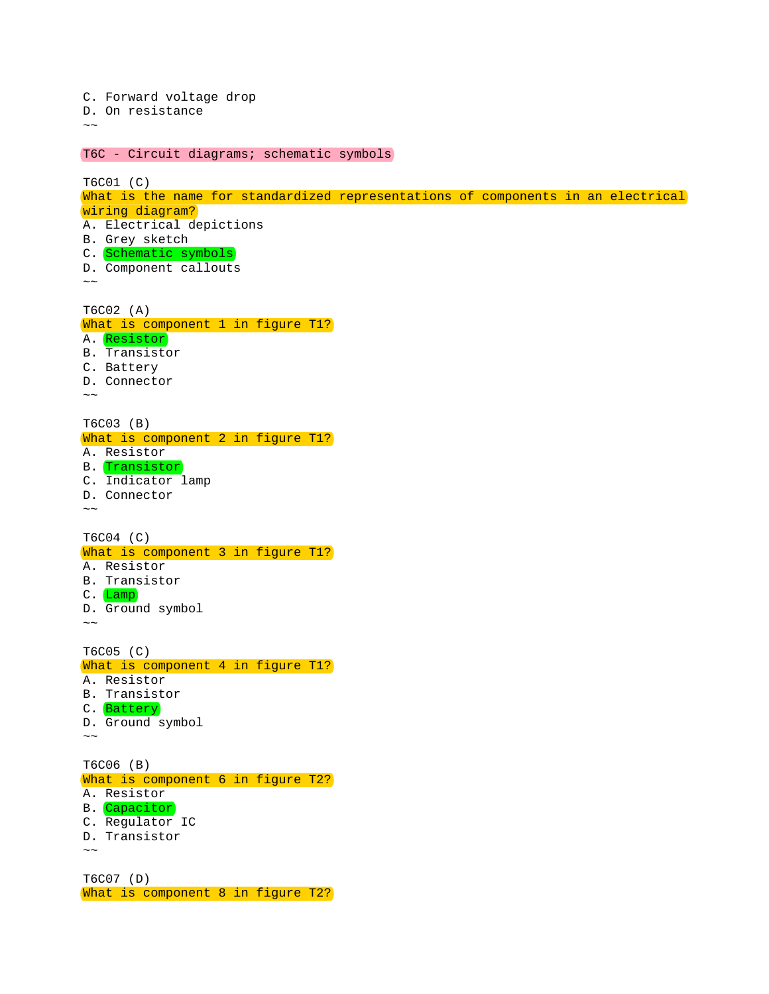C. Forward voltage drop D. On resistance  $\sim\sim$ T6C - Circuit diagrams; schematic symbols T6C01 (C) What is the name for standardized representations of components in an electrical wiring diagram? A. Electrical depictions B. Grey sketch C. Schematic symbols D. Component callouts  $\sim\sim$ T6C02 (A) What is component 1 in figure T1? A. Resistor B. Transistor C. Battery D. Connector  $\sim$  ~ T6C03 (B) What is component 2 in figure T1? A. Resistor B. Transistor C. Indicator lamp D. Connector ~~ T6C04 (C) What is component 3 in figure T1? A. Resistor B. Transistor C. Lamp D. Ground symbol  $\sim\sim$ T6C05 (C) What is component 4 in figure T1? A. Resistor B. Transistor C. Battery D. Ground symbol  $\sim\sim$ T6C06 (B) What is component 6 in figure T2? A. Resistor B. Capacitor C. Regulator IC D. Transistor  $\sim\sim$ T6C07 (D)

What is component 8 in figure T2?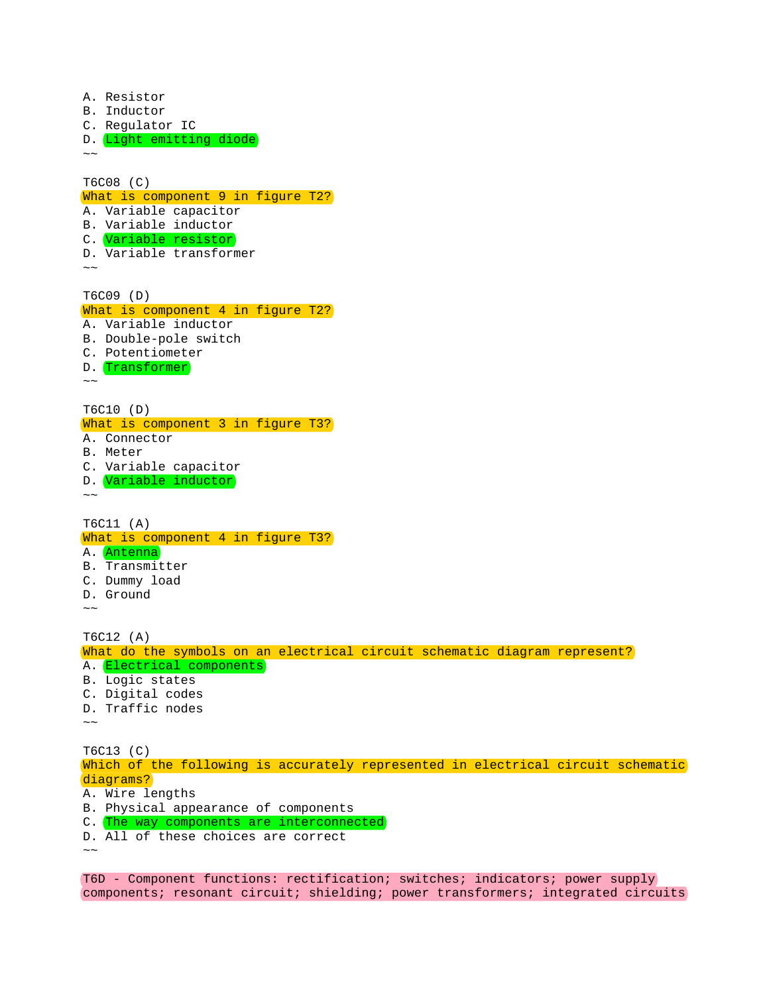A. Resistor B. Inductor C. Regulator IC D. Light emitting diode  $\sim\sim$ T6C08 (C) What is component 9 in figure T2? A. Variable capacitor B. Variable inductor C. Variable resistor D. Variable transformer  $\sim\sim$ T6C09 (D) What is component 4 in figure T2? A. Variable inductor B. Double-pole switch C. Potentiometer D. Transformer  $\sim\sim$ T6C10 (D) What is component 3 in figure T3? A. Connector B. Meter C. Variable capacitor D. Variable inductor  $\sim$  ~ T6C11 (A) What is component 4 in figure T3? A. Antenna B. Transmitter C. Dummy load D. Ground  $\sim\!\sim$ T6C12 (A) What do the symbols on an electrical circuit schematic diagram represent? A. Electrical components B. Logic states C. Digital codes D. Traffic nodes  $\sim\sim$ T6C13 (C) Which of the following is accurately represented in electrical circuit schematic diagrams? A. Wire lengths B. Physical appearance of components C. The way components are interconnected D. All of these choices are correct  $\sim\sim$ 

T6D - Component functions: rectification; switches; indicators; power supply components; resonant circuit; shielding; power transformers; integrated circuits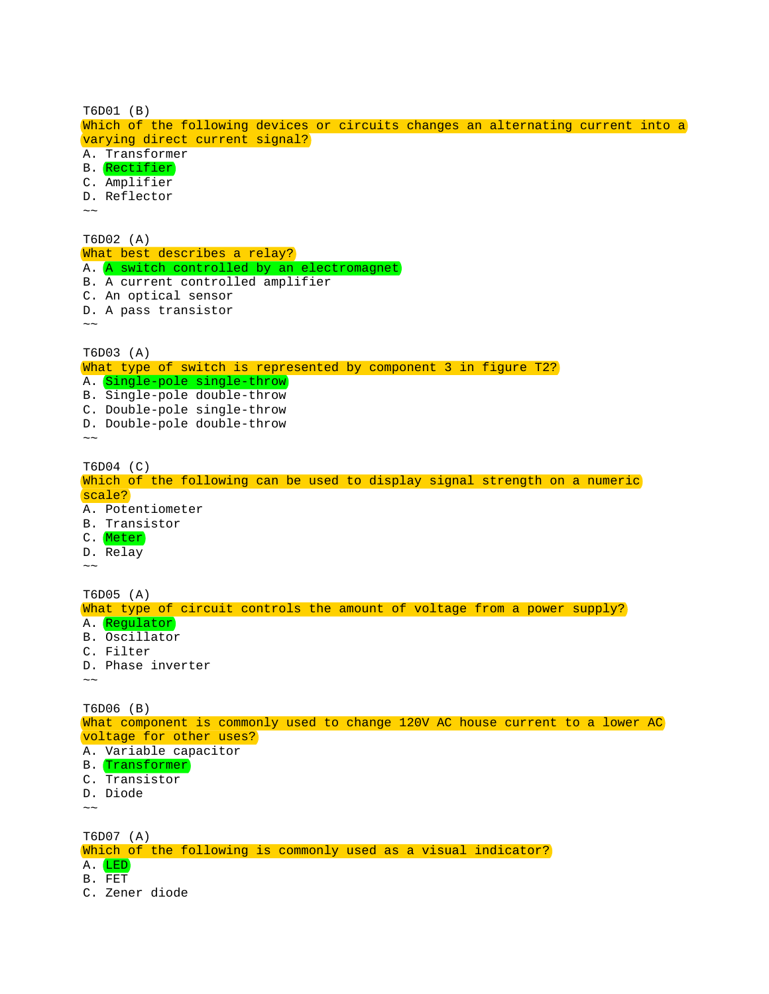```
T6D01 (B)
Which of the following devices or circuits changes an alternating current into a
varying direct current signal?
A. Transformer
B. Rectifier
C. Amplifier
D. Reflector
\sim\simT6D02 (A)
What best describes a relay?
A. A switch controlled by an electromagnet
B. A current controlled amplifier
C. An optical sensor
D. A pass transistor
\sim\simT6D03 (A)
What type of switch is represented by component 3 in figure T2?
A. Single-pole single-throw
B. Single-pole double-throw
C. Double-pole single-throw
D. Double-pole double-throw
\sim\!\simT6D04 (C)
Which of the following can be used to display signal strength on a numeric
scale?
A. Potentiometer
B. Transistor
C. Meter
D. Relay
\sim\simT6D05 (A)
What type of circuit controls the amount of voltage from a power supply?
A. Regulator
B. Oscillator
C. Filter
D. Phase inverter
\sim \simT6D06 (B)
What component is commonly used to change 120V AC house current to a lower AC
voltage for other uses?
A. Variable capacitor
B. Transformer
C. Transistor
D. Diode
\sim\simT6D07 (A)
```
Which of the following is commonly used as a visual indicator? A. LED

- B. FET
- C. Zener diode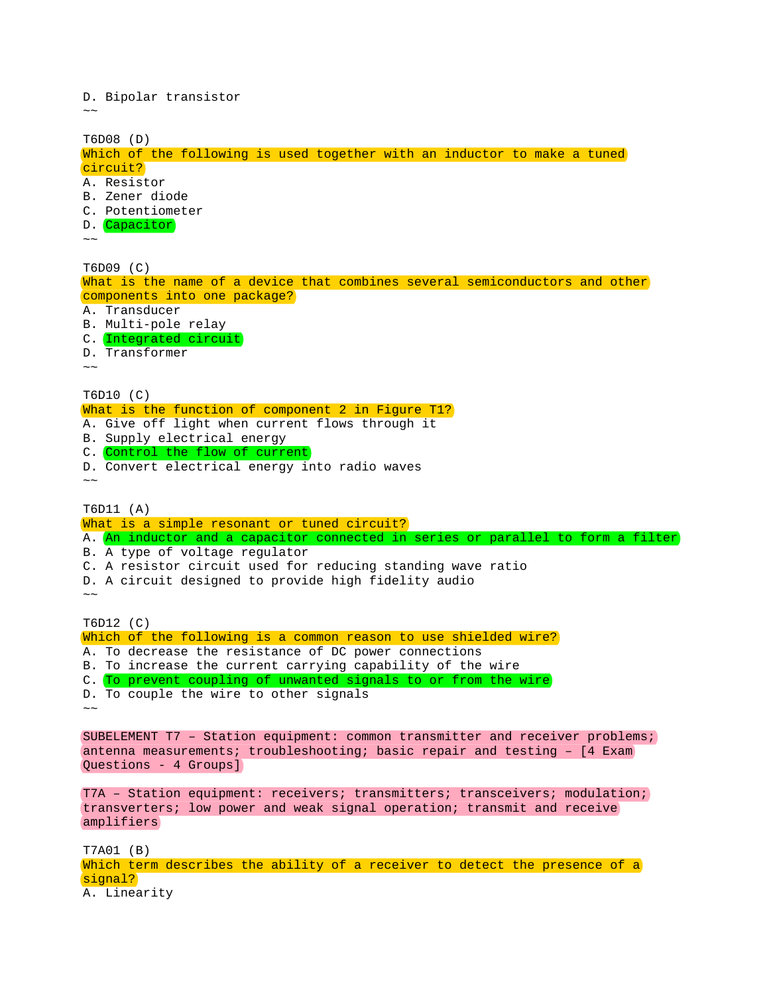D. Bipolar transistor ~~ T6D08 (D) Which of the following is used together with an inductor to make a tuned circuit? A. Resistor B. Zener diode C. Potentiometer D. Capacitor  $\sim$  ~ T6D09 (C) What is the name of a device that combines several semiconductors and other components into one package? A. Transducer B. Multi-pole relay C. Integrated circuit D. Transformer  $\sim\sim$ T6D10 (C) What is the function of component 2 in Figure T1? A. Give off light when current flows through it B. Supply electrical energy C. Control the flow of current D. Convert electrical energy into radio waves  $\sim\sim$ T6D11 (A) What is a simple resonant or tuned circuit? A. <mark>An inductor and a capacitor connected in series or parallel to form a filter</mark> B. A type of voltage regulator C. A resistor circuit used for reducing standing wave ratio D. A circuit designed to provide high fidelity audio  $\sim\sim$ T6D12 (C) Which of the following is a common reason to use shielded wire? A. To decrease the resistance of DC power connections B. To increase the current carrying capability of the wire C. To prevent coupling of unwanted signals to or from the wire D. To couple the wire to other signals  $\sim\sim$ SUBELEMENT T7 – Station equipment: common transmitter and receiver problems; antenna measurements; troubleshooting; basic repair and testing – [4 Exam Questions - 4 Groups] T7A – Station equipment: receivers; transmitters; transceivers; modulation; transverters; low power and weak signal operation; transmit and receive amplifiers T7A01 (B) Which term describes the ability of a receiver to detect the presence of a signal?

A. Linearity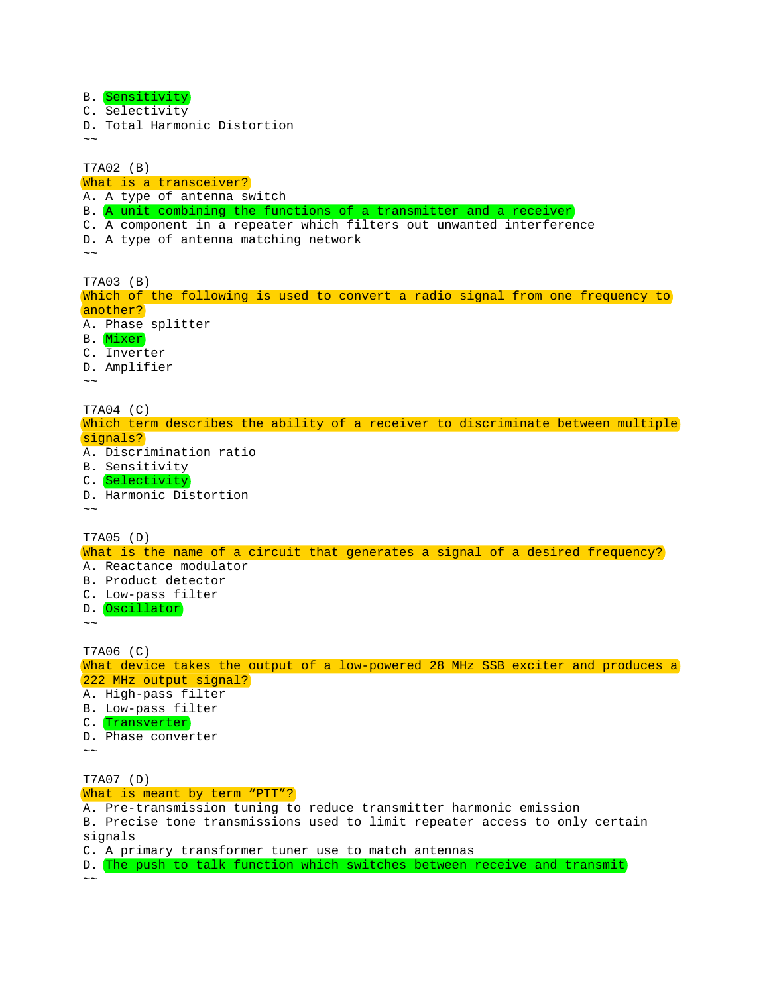B. Sensitivity C. Selectivity D. Total Harmonic Distortion  $\sim\sim$ T7A02 (B) What is a transceiver? A. A type of antenna switch B. A unit combining the functions of a transmitter and a receiver C. A component in a repeater which filters out unwanted interference D. A type of antenna matching network  $\sim$  ~ T7A03 (B) Which of the following is used to convert a radio signal from one frequency to another? A. Phase splitter B. Mixer C. Inverter D. Amplifier  $\sim$  ~ T7A04 (C) Which term describes the ability of a receiver to discriminate between multiple signals? A. Discrimination ratio B. Sensitivity C. Selectivity D. Harmonic Distortion ~~ T7A05 (D) What is the name of a circuit that generates a signal of a desired frequency? A. Reactance modulator B. Product detector C. Low-pass filter D. Oscillator  $\sim\, \sim$ T7A06 (C) What device takes the output of a low-powered 28 MHz SSB exciter and produces a 222 MHz output signal? A. High-pass filter B. Low-pass filter C. Transverter D. Phase converter  $\sim\sim$ T7A07 (D) What is meant by term "PTT"? A. Pre-transmission tuning to reduce transmitter harmonic emission B. Precise tone transmissions used to limit repeater access to only certain signals C. A primary transformer tuner use to match antennas D. The push to talk function which switches between receive and transmit  $\sim\sim$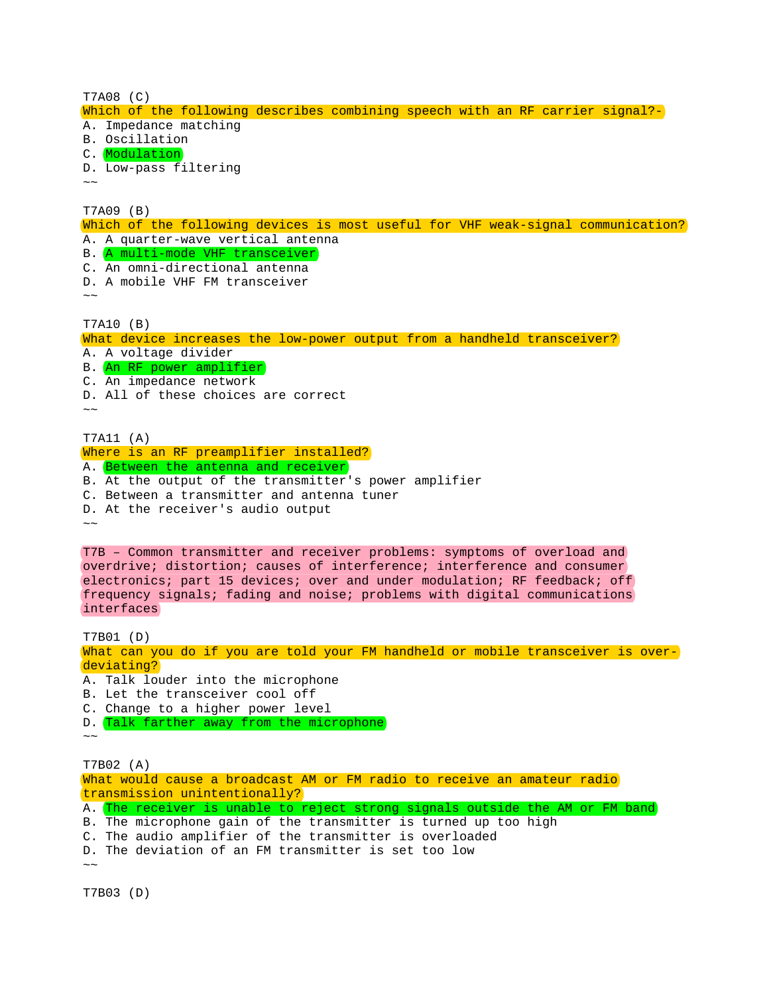T7A08 (C) Which of the following describes combining speech with an RF carrier signal?-A. Impedance matching B. Oscillation C. Modulation D. Low-pass filtering  $\sim\sim$ T7A09 (B) Which of the following devices is most useful for VHF weak-signal communication? A. A quarter-wave vertical antenna B. A multi-mode VHF transceiver C. An omni-directional antenna D. A mobile VHF FM transceiver  $\sim$  ~ T7A10 (B) What device increases the low-power output from a handheld transceiver? A. A voltage divider B. An RF power amplifier C. An impedance network D. All of these choices are correct  $\sim\sim$ T7A11 (A) Where is an RF preamplifier installed? A. Between the antenna and receiver B. At the output of the transmitter's power amplifier C. Between a transmitter and antenna tuner D. At the receiver's audio output  $\sim\sim$ T7B – Common transmitter and receiver problems: symptoms of overload and overdrive; distortion; causes of interference; interference and consumer electronics; part 15 devices; over and under modulation; RF feedback; off frequency signals; fading and noise; problems with digital communications interfaces T7B01 (D) What can you do if you are told your FM handheld or mobile transceiver is overdeviating? A. Talk louder into the microphone B. Let the transceiver cool off C. Change to a higher power level D. Talk farther away from the microphone  $\sim\sim$ T7B02 (A) What would cause a broadcast AM or FM radio to receive an amateur radio transmission unintentionally? A. The receiver is unable to reject strong signals outside the AM or FM band B. The microphone gain of the transmitter is turned up too high C. The audio amplifier of the transmitter is overloaded D. The deviation of an FM transmitter is set too low  $\sim\sim$ 

T7B03 (D)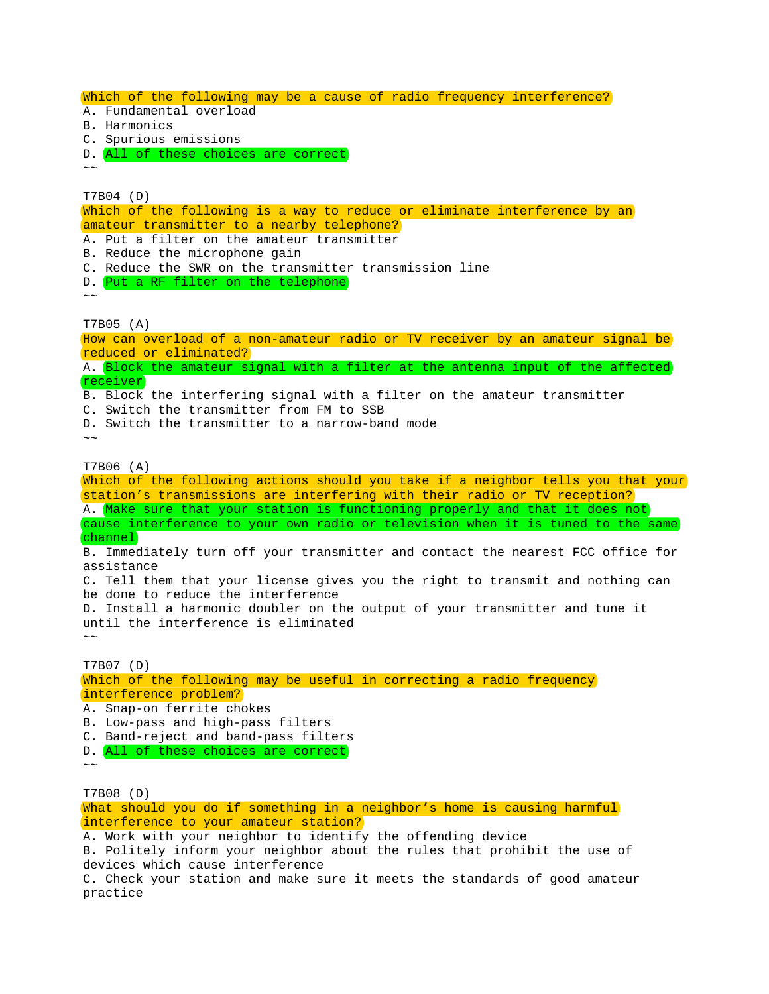Which of the following may be a cause of radio frequency interference? A. Fundamental overload B. Harmonics C. Spurious emissions D. All of these choices are correct  $\sim\, \sim$ T7B04 (D) Which of the following is a way to reduce or eliminate interference by an amateur transmitter to a nearby telephone? A. Put a filter on the amateur transmitter B. Reduce the microphone gain C. Reduce the SWR on the transmitter transmission line D. Put a RF filter on the telephone  $\sim$  ~ T7B05 (A) How can overload of a non-amateur radio or TV receiver by an amateur signal be reduced or eliminated? A. Block the amateur signal with a filter at the antenna input of the affected receiver B. Block the interfering signal with a filter on the amateur transmitter C. Switch the transmitter from FM to SSB D. Switch the transmitter to a narrow-band mode  $\sim\sim$ T7B06 (A) Which of the following actions should you take if a neighbor tells you that your station's transmissions are interfering with their radio or TV reception? A. Make sure that your station is functioning properly and that it does not cause interference to your own radio or television when it is tuned to the same channel B. Immediately turn off your transmitter and contact the nearest FCC office for assistance C. Tell them that your license gives you the right to transmit and nothing can be done to reduce the interference D. Install a harmonic doubler on the output of your transmitter and tune it until the interference is eliminated  $\sim$  ~ T7B07 (D) Which of the following may be useful in correcting a radio frequency interference problem? A. Snap-on ferrite chokes B. Low-pass and high-pass filters C. Band-reject and band-pass filters D. All of these choices are correct  $\sim\sim$ T7B08 (D) What should you do if something in a neighbor's home is causing harmful interference to your amateur station?

A. Work with your neighbor to identify the offending device

B. Politely inform your neighbor about the rules that prohibit the use of devices which cause interference

C. Check your station and make sure it meets the standards of good amateur practice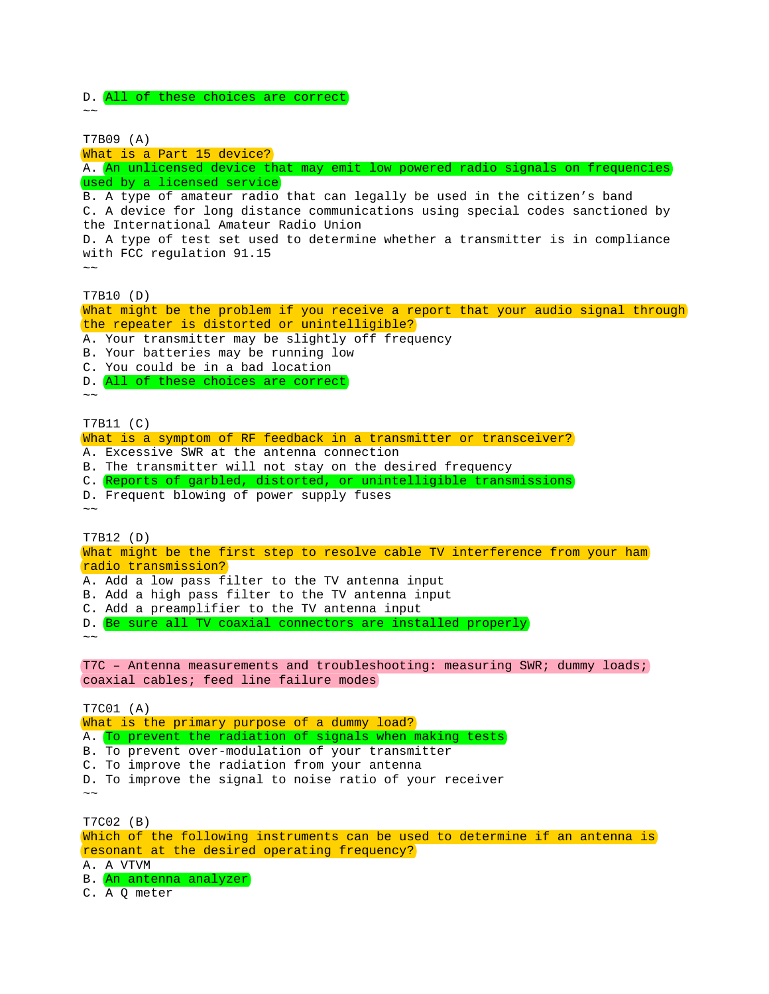## D. All of these choices are correct

T7B09 (A)

 $\sim\sim$ 

What is a Part 15 device? A. An unlicensed device that may emit low powered radio signals on frequencies used by a licensed service B. A type of amateur radio that can legally be used in the citizen's band C. A device for long distance communications using special codes sanctioned by the International Amateur Radio Union D. A type of test set used to determine whether a transmitter is in compliance with FCC regulation 91.15  $\sim\, \sim$ T7B10 (D) What might be the problem if you receive a report that your audio signal through the repeater is distorted or unintelligible? A. Your transmitter may be slightly off frequency B. Your batteries may be running low C. You could be in a bad location D. All of these choices are correct  $\sim\sim$ T7B11 (C) What is a symptom of RF feedback in a transmitter or transceiver? A. Excessive SWR at the antenna connection B. The transmitter will not stay on the desired frequency C. Reports of garbled, distorted, or unintelligible transmissions D. Frequent blowing of power supply fuses ~~ T7B12 (D) What might be the first step to resolve cable TV interference from your ham radio transmission? A. Add a low pass filter to the TV antenna input B. Add a high pass filter to the TV antenna input C. Add a preamplifier to the TV antenna input D. Be sure all TV coaxial connectors are installed properly  $\sim\sim$ T7C – Antenna measurements and troubleshooting: measuring SWR; dummy loads; coaxial cables; feed line failure modes T7C01 (A) What is the primary purpose of a dummy load? A. To prevent the radiation of signals when making tests B. To prevent over-modulation of your transmitter C. To improve the radiation from your antenna D. To improve the signal to noise ratio of your receiver  $\sim\,$ T7C02 (B) Which of the following instruments can be used to determine if an antenna is resonant at the desired operating frequency? A. A VTVM B. An antenna analyzer C. A Q meter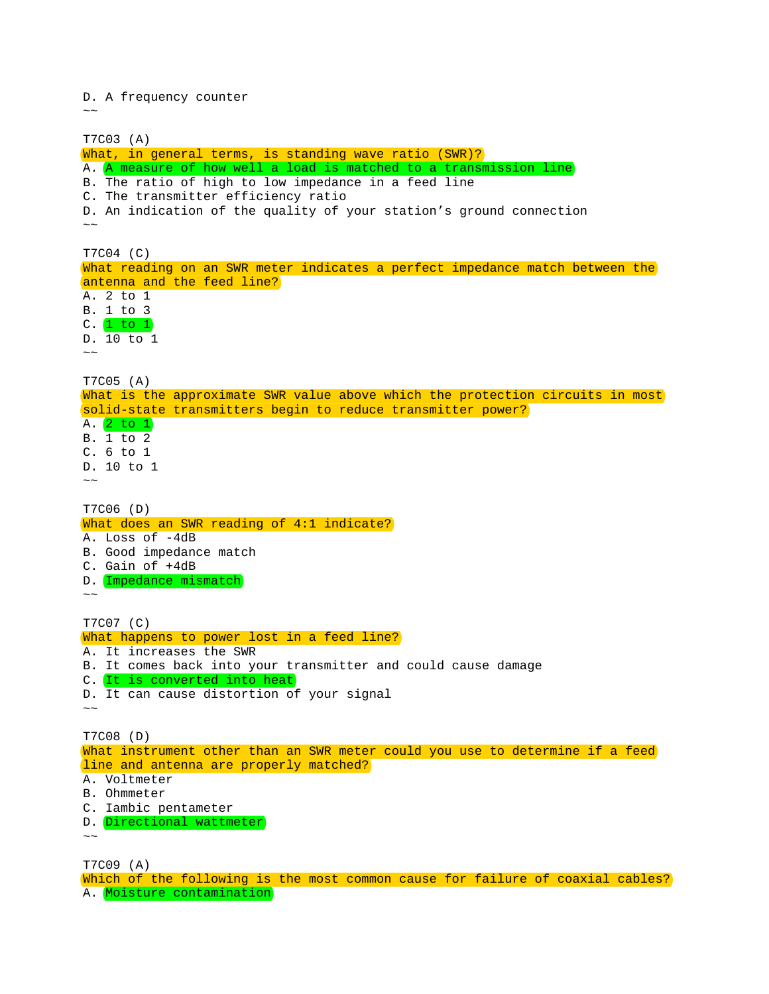D. A frequency counter  $\sim\sim$ T7C03 (A) What, in general terms, is standing wave ratio (SWR)? A. A measure of how well a load is matched to a transmission line B. The ratio of high to low impedance in a feed line C. The transmitter efficiency ratio D. An indication of the quality of your station's ground connection  $\sim\sim$ T7C04 (C) What reading on an SWR meter indicates a perfect impedance match between the antenna and the feed line? A. 2 to 1 B. 1 to 3 C. 1 to 1 D. 10 to 1 ~~ T7C05 (A) What is the approximate SWR value above which the protection circuits in most solid-state transmitters begin to reduce transmitter power? A. 2 to 1 B. 1 to 2 C. 6 to 1 D. 10 to 1  $\sim\sim$ T7C06 (D) What does an SWR reading of 4:1 indicate? A. Loss of -4dB B. Good impedance match C. Gain of +4dB D. Impedance mismatch  $\sim\, \sim$ T7C07 (C) What happens to power lost in a feed line? A. It increases the SWR B. It comes back into your transmitter and could cause damage C. It is converted into heat D. It can cause distortion of your signal  $\sim\sim$ T7C08 (D) What instrument other than an SWR meter could you use to determine if a feed line and antenna are properly matched? A. Voltmeter B. Ohmmeter C. Iambic pentameter D. Directional wattmeter  $\sim\sim$ T7C09 (A)

Which of the following is the most common cause for failure of coaxial cables? A. Moisture contamination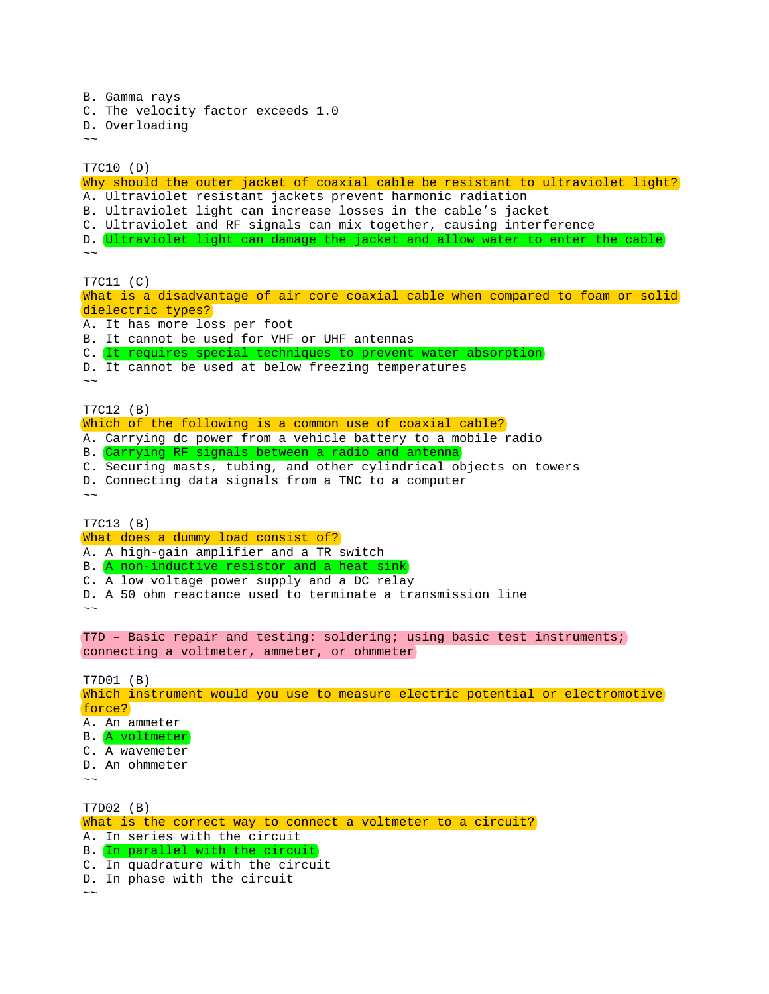B. Gamma rays C. The velocity factor exceeds 1.0 D. Overloading  $\sim$   $\sim$ T7C10 (D) Why should the outer jacket of coaxial cable be resistant to ultraviolet light? A. Ultraviolet resistant jackets prevent harmonic radiation B. Ultraviolet light can increase losses in the cable's jacket C. Ultraviolet and RF signals can mix together, causing interference D. Ultraviolet light can damage the jacket and allow water to enter the cable  $\sim\sim$ T7C11 (C) What is a disadvantage of air core coaxial cable when compared to foam or solid dielectric types? A. It has more loss per foot B. It cannot be used for VHF or UHF antennas C. It requires special techniques to prevent water absorption D. It cannot be used at below freezing temperatures  $\sim\sim$ T7C12 (B) Which of the following is a common use of coaxial cable? A. Carrying dc power from a vehicle battery to a mobile radio B. Carrying RF signals between a radio and antenna C. Securing masts, tubing, and other cylindrical objects on towers D. Connecting data signals from a TNC to a computer  $\sim$  ~ T7C13 (B) What does a dummy load consist of? A. A high-gain amplifier and a TR switch B. A non-inductive resistor and a heat sink C. A low voltage power supply and a DC relay D. A 50 ohm reactance used to terminate a transmission line  $\sim\sim$ T7D – Basic repair and testing: soldering; using basic test instruments; connecting a voltmeter, ammeter, or ohmmeter T7D01 (B) Which instrument would you use to measure electric potential or electromotive force? A. An ammeter B. A voltmeter C. A wavemeter D. An ohmmeter  $\sim\sim$ T7D02 (B) What is the correct way to connect a voltmeter to a circuit? A. In series with the circuit B. In parallel with the circuit C. In quadrature with the circuit D. In phase with the circuit  $\sim$  ~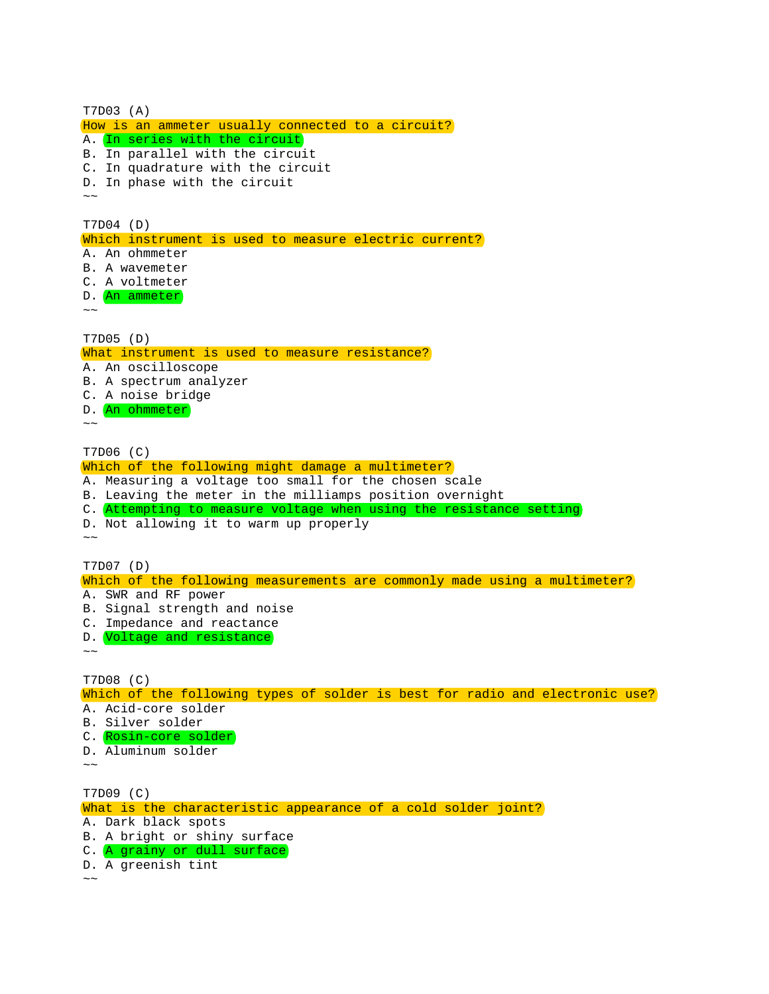T7D03 (A) How is an ammeter usually connected to a circuit? A. In series with the circuit B. In parallel with the circuit C. In quadrature with the circuit D. In phase with the circuit  $\sim\sim$ T7D04 (D) Which instrument is used to measure electric current? A. An ohmmeter B. A wavemeter C. A voltmeter D. An ammeter  $\sim\sim$ T7D05 (D) What instrument is used to measure resistance? A. An oscilloscope B. A spectrum analyzer C. A noise bridge D. An ohmmeter  $\sim\, \sim$ T7D06 (C) Which of the following might damage a multimeter? A. Measuring a voltage too small for the chosen scale B. Leaving the meter in the milliamps position overnight C. Attempting to measure voltage when using the resistance setting D. Not allowing it to warm up properly  $\sim\!\sim$ T7D07 (D) Which of the following measurements are commonly made using a multimeter? A. SWR and RF power B. Signal strength and noise C. Impedance and reactance D. Voltage and resistance  $\sim$   $\sim$ T7D08 (C) Which of the following types of solder is best for radio and electronic use? A. Acid-core solder B. Silver solder C. Rosin-core solder D. Aluminum solder  $\sim\sim$ T7D09 (C) What is the characteristic appearance of a cold solder joint? A. Dark black spots B. A bright or shiny surface C. A grainy or dull surface D. A greenish tint  $\sim\sim$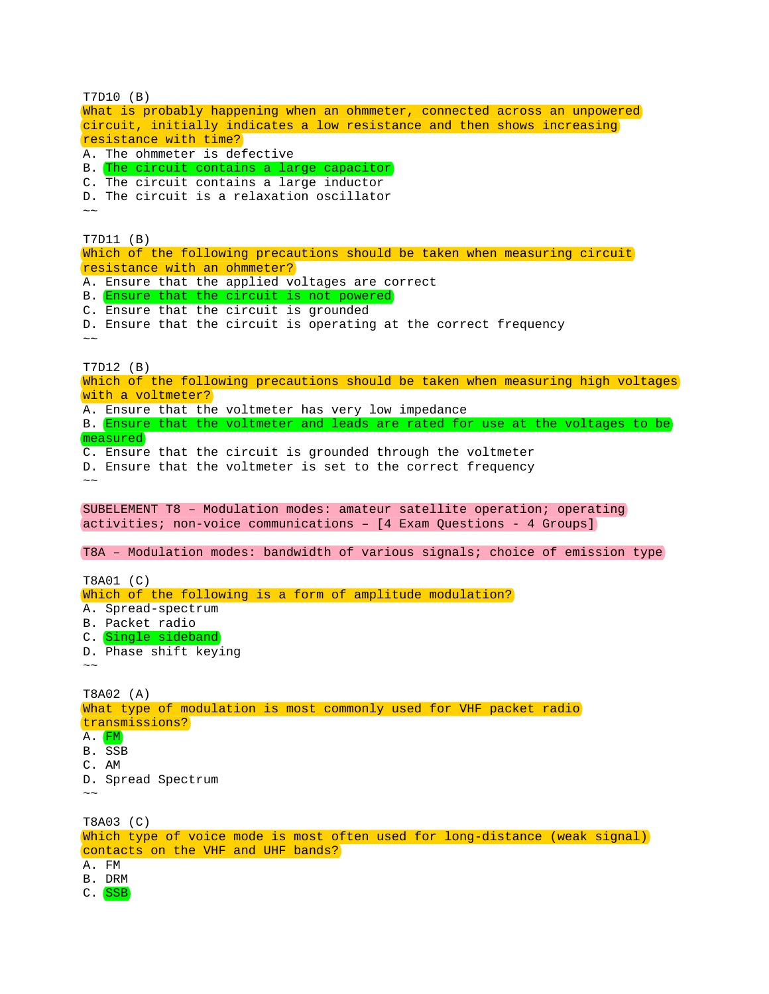T7D10 (B) What is probably happening when an ohmmeter, connected across an unpowered circuit, initially indicates a low resistance and then shows increasing resistance with time? A. The ohmmeter is defective B. The circuit contains a large capacitor C. The circuit contains a large inductor D. The circuit is a relaxation oscillator  $\sim\sim$ T7D11 (B) Which of the following precautions should be taken when measuring circuit resistance with an ohmmeter? A. Ensure that the applied voltages are correct B. Ensure that the circuit is not powered C. Ensure that the circuit is grounded D. Ensure that the circuit is operating at the correct frequency  $\sim$   $\sim$ T7D12 (B) Which of the following precautions should be taken when measuring high voltages with a voltmeter? A. Ensure that the voltmeter has very low impedance B. Ensure that the voltmeter and leads are rated for use at the voltages to be measured C. Ensure that the circuit is grounded through the voltmeter D. Ensure that the voltmeter is set to the correct frequency  $\sim\sim$ SUBELEMENT T8 – Modulation modes: amateur satellite operation; operating activities; non-voice communications – [4 Exam Questions - 4 Groups] T8A – Modulation modes: bandwidth of various signals; choice of emission type T8A01 (C) Which of the following is a form of amplitude modulation? A. Spread-spectrum B. Packet radio C. Single sideband D. Phase shift keying  $\sim\, \sim$ T8A02 (A) What type of modulation is most commonly used for VHF packet radio transmissions? A. FM B. SSB C. AM D. Spread Spectrum  $\sim\,$ T8A03 (C) Which type of voice mode is most often used for long-distance (weak signal) contacts on the VHF and UHF bands? A. FM B. DRM C. SSB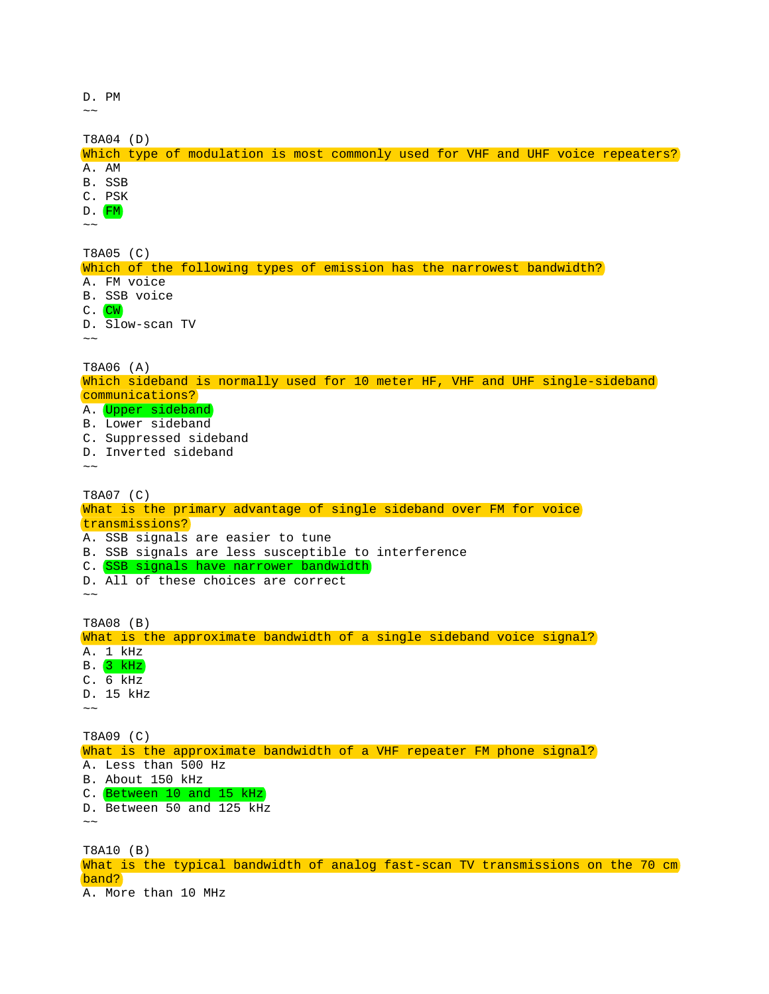D. PM  $\sim\sim$ T8A04 (D) Which type of modulation is most commonly used for VHF and UHF voice repeaters? A. AM B. SSB C. PSK D. FM  $\sim\sim$ T8A05 (C) Which of the following types of emission has the narrowest bandwidth? A. FM voice B. SSB voice C. CW D. Slow-scan TV  $\sim\sim$ T8A06 (A) Which sideband is normally used for 10 meter HF, VHF and UHF single-sideband communications? A. Upper sideband B. Lower sideband C. Suppressed sideband D. Inverted sideband  $\sim\sim$ T8A07 (C) What is the primary advantage of single sideband over FM for voice transmissions? A. SSB signals are easier to tune B. SSB signals are less susceptible to interference C. SSB signals have narrower bandwidth D. All of these choices are correct  $\sim\sim$ T8A08 (B) What is the approximate bandwidth of a single sideband voice signal? A. 1 kHz B. 3 kHz C. 6 kHz D. 15 kHz  $\sim\sim$ T8A09 (C) What is the approximate bandwidth of a VHF repeater FM phone signal? A. Less than 500 Hz B. About 150 kHz C. Between 10 and 15 kHz D. Between 50 and 125 kHz  $\sim\!\sim$ T8A10 (B) What is the typical bandwidth of analog fast-scan TV transmissions on the 70 cm band?

A. More than 10 MHz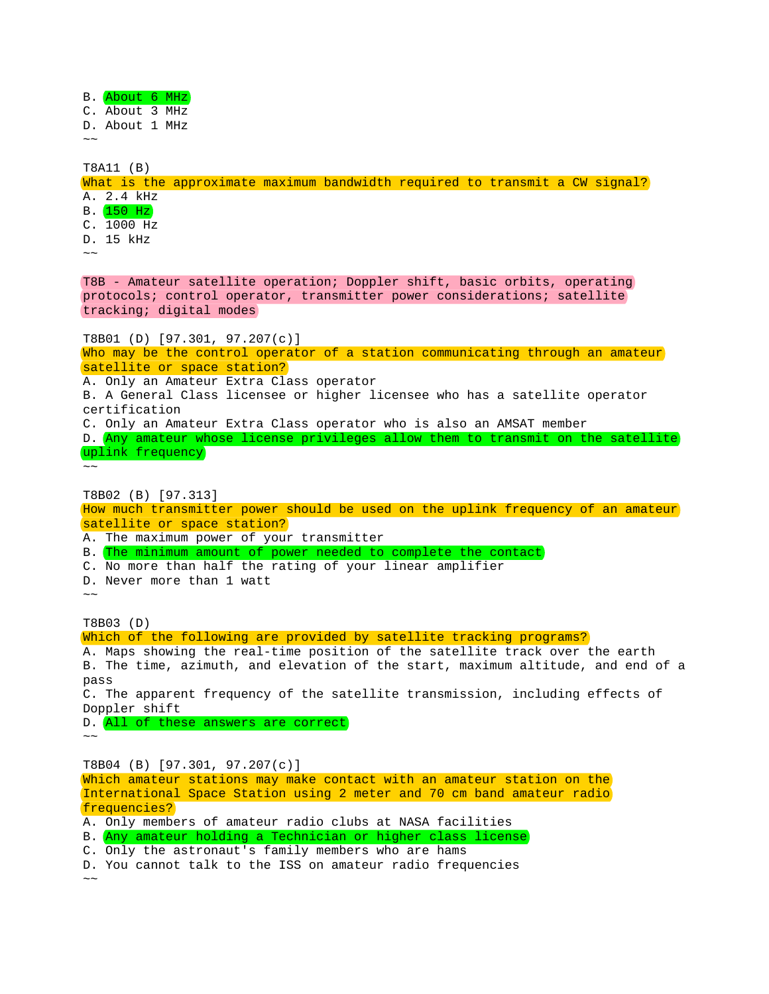B. About 6 MHz C. About 3 MHz D. About 1 MHz  $\sim\sim$ T8A11 (B) What is the approximate maximum bandwidth required to transmit a CW signal? A. 2.4 kHz B. 150 Hz C. 1000 Hz D. 15 kHz  $\sim\sim$ T8B - Amateur satellite operation; Doppler shift, basic orbits, operating protocols; control operator, transmitter power considerations; satellite tracking; digital modes T8B01 (D) [97.301, 97.207(c)] Who may be the control operator of a station communicating through an amateur satellite or space station? A. Only an Amateur Extra Class operator B. A General Class licensee or higher licensee who has a satellite operator certification C. Only an Amateur Extra Class operator who is also an AMSAT member D. Any amateur whose license privileges allow them to transmit on the satellite uplink frequency  $\sim\sim$ T8B02 (B) [97.313] How much transmitter power should be used on the uplink frequency of an amateur satellite or space station? A. The maximum power of your transmitter B. The minimum amount of power needed to complete the contact C. No more than half the rating of your linear amplifier D. Never more than 1 watt  $\sim\sim$ T8B03 (D) Which of the following are provided by satellite tracking programs? A. Maps showing the real-time position of the satellite track over the earth B. The time, azimuth, and elevation of the start, maximum altitude, and end of a pass C. The apparent frequency of the satellite transmission, including effects of Doppler shift D. All of these answers are correct ~~ T8B04 (B) [97.301, 97.207(c)] Which amateur stations may make contact with an amateur station on the International Space Station using 2 meter and 70 cm band amateur radio frequencies? A. Only members of amateur radio clubs at NASA facilities B. Any amateur holding a Technician or higher class license C. Only the astronaut's family members who are hams D. You cannot talk to the ISS on amateur radio frequencies

 $\sim\sim$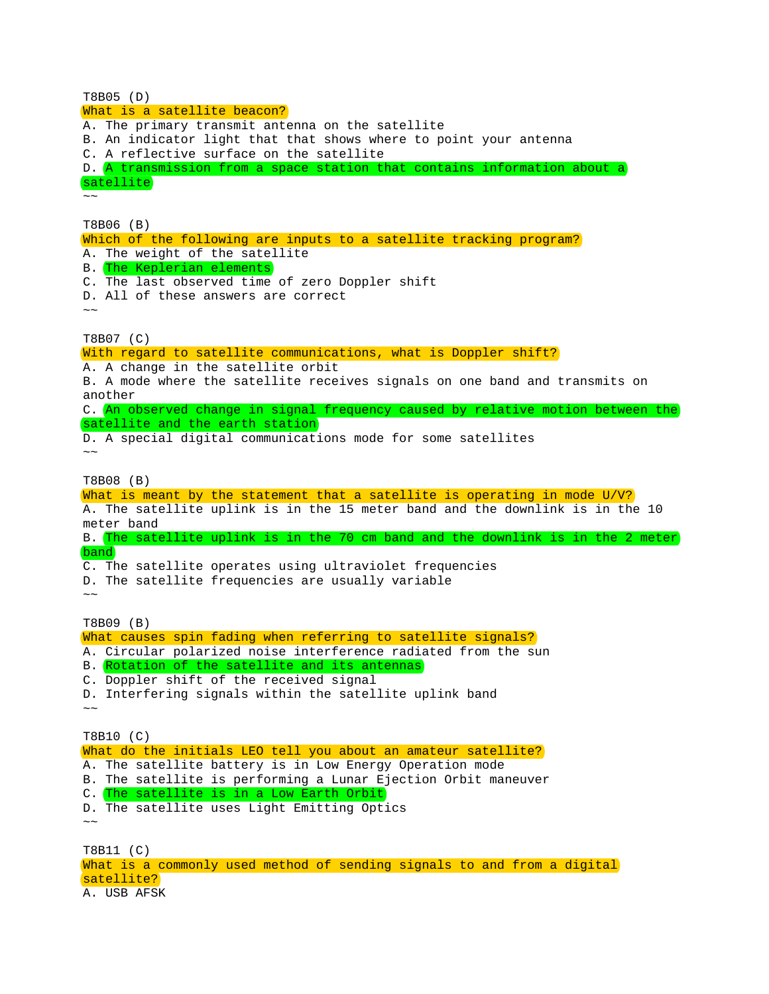| T8B05 (D)<br>What is a satellite beacon?<br>A. The primary transmit antenna on the satellite<br>B. An indicator light that that shows where to point your antenna<br>C. A reflective surface on the satellite<br>D. A transmission from a space station that contains information about a<br>satellite<br>$\sim\!\sim$<br>T8B06 (B)<br>Which of the following are inputs to a satellite tracking program?<br>A. The weight of the satellite |
|---------------------------------------------------------------------------------------------------------------------------------------------------------------------------------------------------------------------------------------------------------------------------------------------------------------------------------------------------------------------------------------------------------------------------------------------|
| B. The Keplerian elements<br>C. The last observed time of zero Doppler shift<br>D. All of these answers are correct<br>$\sim\!\sim$                                                                                                                                                                                                                                                                                                         |
| T8B07 (C)<br>With regard to satellite communications, what is Doppler shift?<br>A. A change in the satellite orbit<br>B. A mode where the satellite receives signals on one band and transmits on<br>another<br>C. An observed change in signal frequency caused by relative motion between the                                                                                                                                             |
| satellite and the earth station<br>D. A special digital communications mode for some satellites<br>$\sim\!$                                                                                                                                                                                                                                                                                                                                 |
| T8B08 (B)<br>What is meant by the statement that a satellite is operating in mode U/V?<br>A. The satellite uplink is in the 15 meter band and the downlink is in the 10<br>meter band                                                                                                                                                                                                                                                       |
| B. The satellite uplink is in the 70 cm band and the downlink is in the 2 meter)<br>band<br>C. The satellite operates using ultraviolet frequencies<br>D. The satellite frequencies are usually variable<br>$\sim\!\sim$                                                                                                                                                                                                                    |
| T8B09 (B)                                                                                                                                                                                                                                                                                                                                                                                                                                   |
| What causes spin fading when referring to satellite signals?<br>A. Circular polarized noise interference radiated from the sun<br>B. Rotation of the satellite and its antennas<br>C. Doppler shift of the received signal<br>D. Interfering signals within the satellite uplink band<br>$\sim\!$                                                                                                                                           |
| T8B10 (C)                                                                                                                                                                                                                                                                                                                                                                                                                                   |
| What do the initials LEO tell you about an amateur satellite?<br>A. The satellite battery is in Low Energy Operation mode<br>B. The satellite is performing a Lunar Ejection Orbit maneuver<br>C. The satellite is in a Low Earth Orbit<br>D. The satellite uses Light Emitting Optics<br>$\sim\! \sim$                                                                                                                                     |
| T8B11 (C)<br>What is a commonly used method of sending signals to and from a digital<br>satellite?<br>A. USB AFSK                                                                                                                                                                                                                                                                                                                           |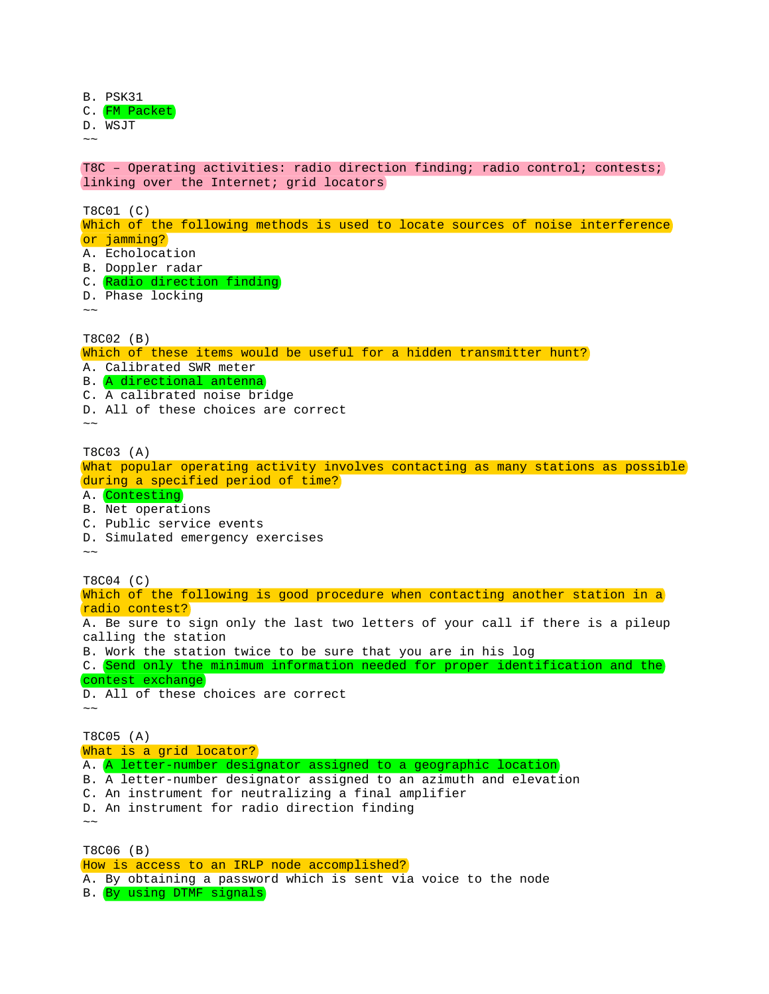B. PSK31

- C. FM Packet
- D. WSJT

 $\sim\sim$ 

T8C – Operating activities: radio direction finding; radio control; contests; linking over the Internet; grid locators

T8C01 (C)

Which of the following methods is used to locate sources of noise interference or jamming?

- A. Echolocation
- B. Doppler radar
- C. Radio direction finding
- D. Phase locking

 $\sim\sim$ 

T8C02 (B)

Which of these items would be useful for a hidden transmitter hunt? A. Calibrated SWR meter B. A directional antenna C. A calibrated noise bridge D. All of these choices are correct  $\sim\sim$ T8C03 (A) What popular operating activity involves contacting as many stations as possible during a specified period of time? A. Contesting B. Net operations C. Public service events D. Simulated emergency exercises  $\sim\sim$ T8C04 (C) Which of the following is good procedure when contacting another station in a radio contest? A. Be sure to sign only the last two letters of your call if there is a pileup calling the station B. Work the station twice to be sure that you are in his log C. Send only the minimum information needed for proper identification and the contest exchange D. All of these choices are correct  $\sim$  ~ T8C05 (A) What is a grid locator? A. A letter-number designator assigned to a geographic location B. A letter-number designator assigned to an azimuth and elevation C. An instrument for neutralizing a final amplifier D. An instrument for radio direction finding  $\sim$   $\sim$ T8C06 (B) How is access to an IRLP node accomplished? A. By obtaining a password which is sent via voice to the node

B. By using DTMF signals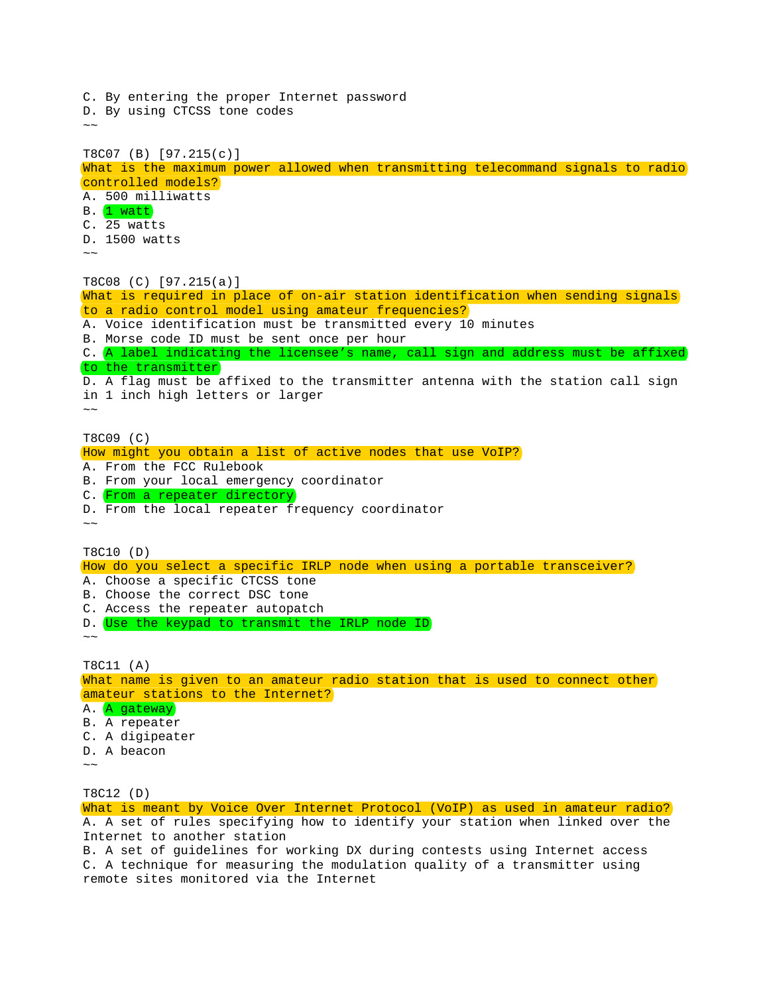```
C. By entering the proper Internet password
D. By using CTCSS tone codes
\sim\simT8C07 (B) [97.215(c)]
What is the maximum power allowed when transmitting telecommand signals to radio
controlled models?
A. 500 milliwatts
B. 1 watt
C. 25 watts
D. 1500 watts
\sim\simT8C08 (C) [97.215(a)]
What is required in place of on-air station identification when sending signals
to a radio control model using amateur frequencies?
A. Voice identification must be transmitted every 10 minutes
B. Morse code ID must be sent once per hour
C. A label indicating the licensee's name, call sign and address must be affixed
to the transmitter
D. A flag must be affixed to the transmitter antenna with the station call sign
in 1 inch high letters or larger
\sim\simT8C09 (C)
How might you obtain a list of active nodes that use VoIP?
A. From the FCC Rulebook
B. From your local emergency coordinator
C. From a repeater directory
D. From the local repeater frequency coordinator
\sim\simT8C10 (D)
How do you select a specific IRLP node when using a portable transceiver?
A. Choose a specific CTCSS tone
B. Choose the correct DSC tone
C. Access the repeater autopatch
D. Use the keypad to transmit the IRLP node ID
\sim\simT8C11 (A)
What name is given to an amateur radio station that is used to connect other
amateur stations to the Internet?
A. A gateway
B. A repeater
C. A digipeater
D. A beacon
\sim ~
T8C12 (D)
What is meant by Voice Over Internet Protocol (VoIP) as used in amateur radio?
```
A. A set of rules specifying how to identify your station when linked over the Internet to another station

B. A set of guidelines for working DX during contests using Internet access C. A technique for measuring the modulation quality of a transmitter using remote sites monitored via the Internet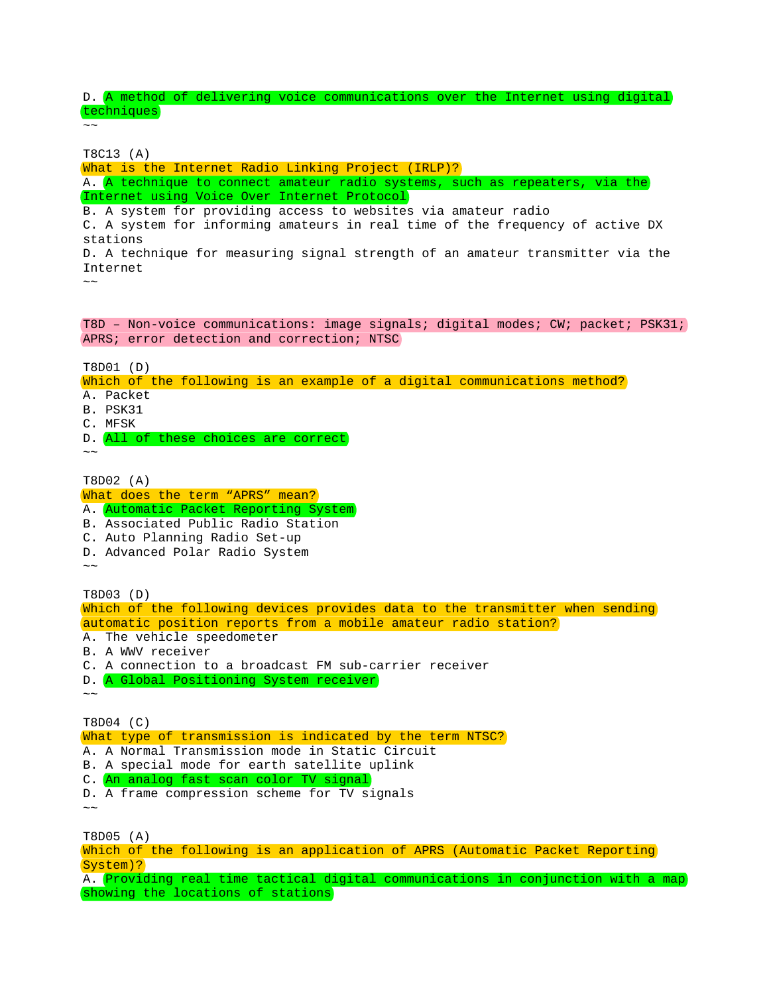D. A method of delivering voice communications over the Internet using digital techniques

 $\sim\sim$ 

T8C13 (A) What is the Internet Radio Linking Project (IRLP)? A. A technique to connect amateur radio systems, such as repeaters, via the Internet using Voice Over Internet Protocol B. A system for providing access to websites via amateur radio C. A system for informing amateurs in real time of the frequency of active DX stations D. A technique for measuring signal strength of an amateur transmitter via the Internet  $\sim$   $\sim$ T8D – Non-voice communications: image signals; digital modes; CW; packet; PSK31; APRS; error detection and correction; NTSC T8D01 (D) Which of the following is an example of a digital communications method? A. Packet B. PSK31 C. MFSK D. All of these choices are correct  $\sim\sim$ T8D02 (A) What does the term "APRS" mean? A. Automatic Packet Reporting System B. Associated Public Radio Station C. Auto Planning Radio Set-up D. Advanced Polar Radio System  $\sim$   $\sim$ T8D03 (D) Which of the following devices provides data to the transmitter when sending automatic position reports from a mobile amateur radio station? A. The vehicle speedometer B. A WWV receiver C. A connection to a broadcast FM sub-carrier receiver

D. A Global Positioning System receiver

 $\sim\sim$ 

T8D04 (C)

What type of transmission is indicated by the term NTSC?

A. A Normal Transmission mode in Static Circuit B. A special mode for earth satellite uplink

C. An analog fast scan color TV signal

D. A frame compression scheme for TV signals  $\sim\sim$ 

T8D05 (A)

Which of the following is an application of APRS (Automatic Packet Reporting System)?

A. Providing real time tactical digital communications in conjunction with a map showing the locations of stations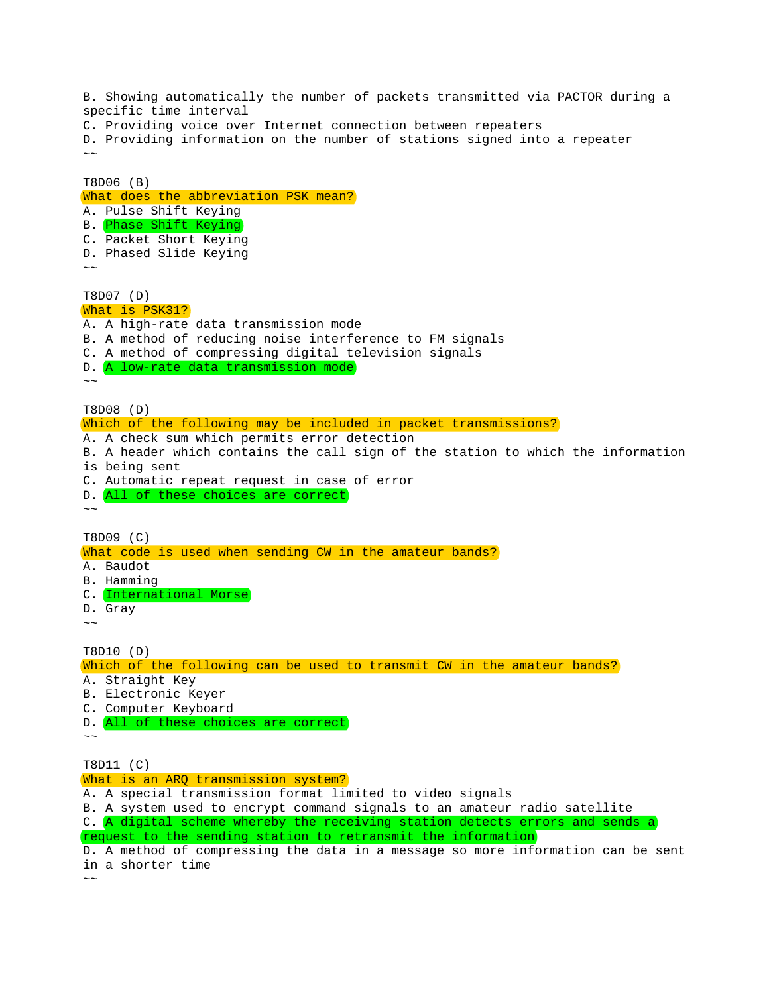B. Showing automatically the number of packets transmitted via PACTOR during a specific time interval C. Providing voice over Internet connection between repeaters D. Providing information on the number of stations signed into a repeater  $\sim$   $\sim$ T8D06 (B) What does the abbreviation PSK mean? A. Pulse Shift Keying B. Phase Shift Keying C. Packet Short Keying D. Phased Slide Keying  $\sim\, \sim$ T8D07 (D) What is PSK31? A. A high-rate data transmission mode B. A method of reducing noise interference to FM signals C. A method of compressing digital television signals D. A low-rate data transmission mode  $\sim$  ~ T8D08 (D) Which of the following may be included in packet transmissions? A. A check sum which permits error detection B. A header which contains the call sign of the station to which the information is being sent C. Automatic repeat request in case of error D. All of these choices are correct  $\sim$  ~ T8D09 (C) What code is used when sending CW in the amateur bands? A. Baudot B. Hamming C. International Morse D. Gray  $\sim\, \sim$ T8D10 (D) Which of the following can be used to transmit CW in the amateur bands? A. Straight Key B. Electronic Keyer C. Computer Keyboard D. All of these choices are correct  $\sim\sim$ T8D11 (C) What is an ARQ transmission system? A. A special transmission format limited to video signals B. A system used to encrypt command signals to an amateur radio satellite C. A digital scheme whereby the receiving station detects errors and sends a request to the sending station to retransmit the information D. A method of compressing the data in a message so more information can be sent in a shorter time  $\sim\sim$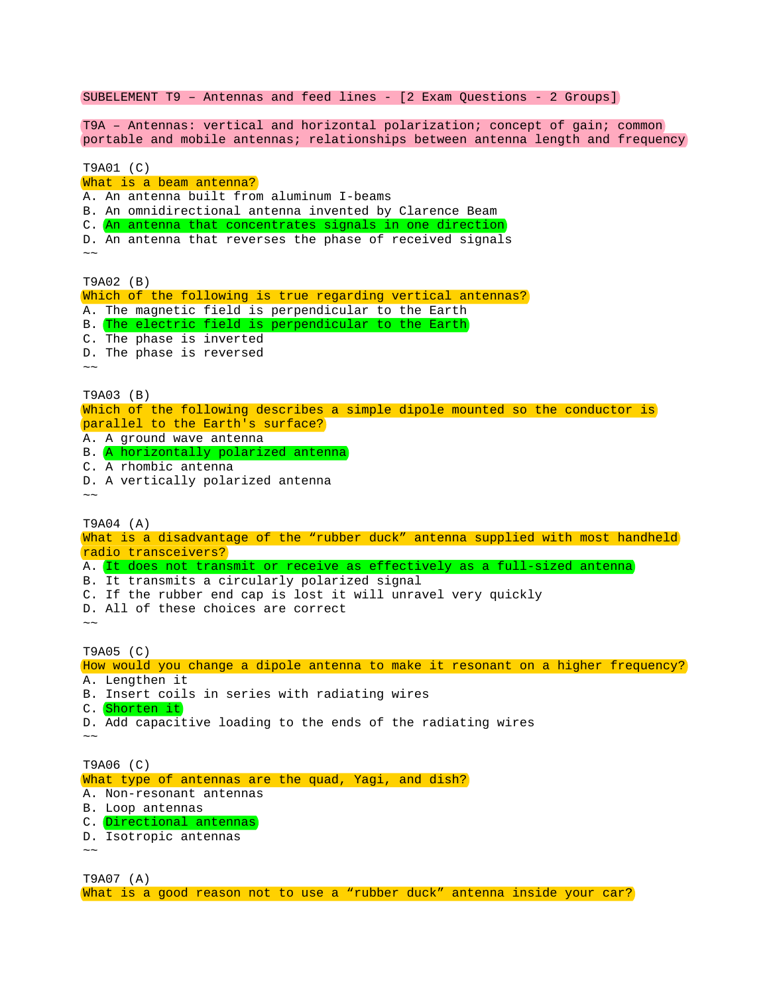SUBELEMENT T9 – Antennas and feed lines - [2 Exam Questions - 2 Groups] T9A – Antennas: vertical and horizontal polarization; concept of gain; common portable and mobile antennas; relationships between antenna length and frequency T9A01 (C) What is a beam antenna? A. An antenna built from aluminum I-beams B. An omnidirectional antenna invented by Clarence Beam C. An antenna that concentrates signals in one direction D. An antenna that reverses the phase of received signals  $\sim$  ~ T9A02 (B) Which of the following is true regarding vertical antennas? A. The magnetic field is perpendicular to the Earth B. The electric field is perpendicular to the Earth C. The phase is inverted D. The phase is reversed  $\sim\sim$ T9A03 (B) Which of the following describes a simple dipole mounted so the conductor is parallel to the Earth's surface? A. A ground wave antenna B. A horizontally polarized antenna C. A rhombic antenna D. A vertically polarized antenna  $\sim$  ~ T9A04 (A) What is a disadvantage of the "rubber duck" antenna supplied with most handheld radio transceivers? A. It does not transmit or receive as effectively as a full-sized antenna B. It transmits a circularly polarized signal C. If the rubber end cap is lost it will unravel very quickly D. All of these choices are correct  $\sim\sim$ T9A05 (C) How would you change a dipole antenna to make it resonant on a higher frequency? A. Lengthen it B. Insert coils in series with radiating wires C. Shorten it D. Add capacitive loading to the ends of the radiating wires  $\sim\sim$ T9A06 (C) What type of antennas are the quad, Yagi, and dish? A. Non-resonant antennas B. Loop antennas C. Directional antennas D. Isotropic antennas  $\sim\, \sim$ T9A07 (A) What is a good reason not to use a "rubber duck" antenna inside your car?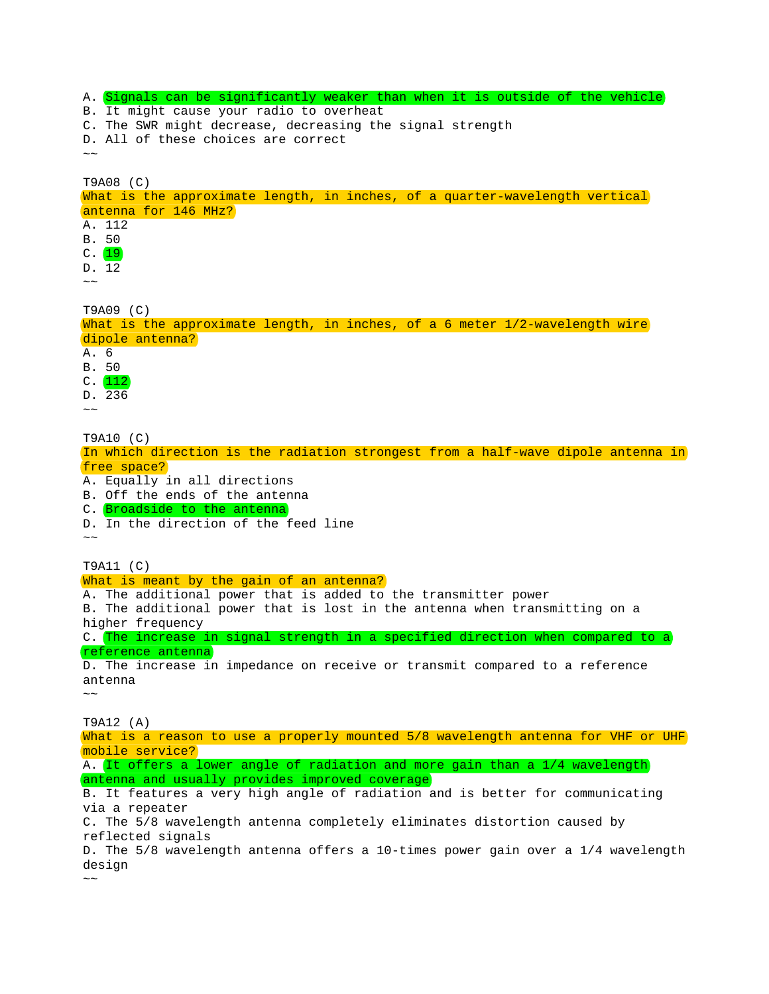```
A. Signals can be significantly weaker than when it is outside of the vehicle
B. It might cause your radio to overheat
C. The SWR might decrease, decreasing the signal strength
D. All of these choices are correct
\sim \simT9A08 (C)
What is the approximate length, in inches, of a quarter-wavelength vertical
antenna for 146 MHz?
A. 112
B. 50
C. 19
D. 12
\sim\simT9A09 (C)
What is the approximate length, in inches, of a 6 meter 1/2-wavelength wire
dipole antenna?
A. 6
B. 50
C. 112D. 236
\sim\simT9A10 (C)
In which direction is the radiation strongest from a half-wave dipole antenna in
free space?
A. Equally in all directions
B. Off the ends of the antenna
C. Broadside to the antenna
D. In the direction of the feed line
\sim\simT9A11 (C)
What is meant by the gain of an antenna?
A. The additional power that is added to the transmitter power
B. The additional power that is lost in the antenna when transmitting on a
higher frequency
C. The increase in signal strength in a specified direction when compared to a
reference antenna
D. The increase in impedance on receive or transmit compared to a reference
antenna
\sim ~
T9A12 (A)
What is a reason to use a properly mounted 5/8 wavelength antenna for VHF or UHF
mobile service?
A. It offers a lower angle of radiation and more gain than a 1/4 wavelength
antenna and usually provides improved coverage
B. It features a very high angle of radiation and is better for communicating
via a repeater
C. The 5/8 wavelength antenna completely eliminates distortion caused by
reflected signals
D. The 5/8 wavelength antenna offers a 10-times power gain over a 1/4 wavelength
design
\sim \sim
```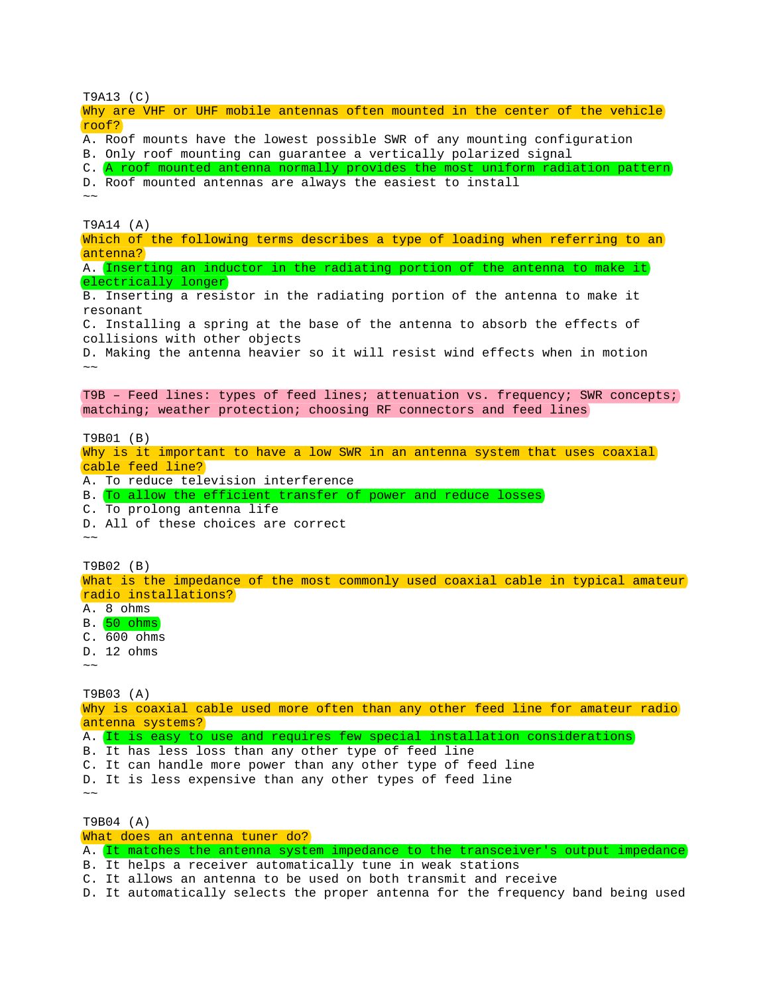T9A13 (C) Why are VHF or UHF mobile antennas often mounted in the center of the vehicle roof? A. Roof mounts have the lowest possible SWR of any mounting configuration B. Only roof mounting can guarantee a vertically polarized signal C. A roof mounted antenna normally provides the most uniform radiation pattern D. Roof mounted antennas are always the easiest to install  $\sim\sim$ T9A14 (A) Which of the following terms describes a type of loading when referring to an antenna? A. Inserting an inductor in the radiating portion of the antenna to make it electrically longer B. Inserting a resistor in the radiating portion of the antenna to make it resonant C. Installing a spring at the base of the antenna to absorb the effects of collisions with other objects D. Making the antenna heavier so it will resist wind effects when in motion  $\sim\sim$ T9B – Feed lines: types of feed lines; attenuation vs. frequency; SWR concepts; matching; weather protection; choosing RF connectors and feed lines T9B01 (B) Why is it important to have a low SWR in an antenna system that uses coaxial cable feed line? A. To reduce television interference B. To allow the efficient transfer of power and reduce losses C. To prolong antenna life D. All of these choices are correct  $\sim$  ~ T9B02 (B) What is the impedance of the most commonly used coaxial cable in typical amateur radio installations? A. 8 ohms B. 50 ohms C. 600 ohms D. 12 ohms  $\sim\, \sim$ T9B03 (A) Why is coaxial cable used more often than any other feed line for amateur radio antenna systems? A. It is easy to use and requires few special installation considerations B. It has less loss than any other type of feed line C. It can handle more power than any other type of feed line D. It is less expensive than any other types of feed line  $\sim\,$ T9B04 (A) What does an antenna tuner do? A. It matches the antenna system impedance to the transceiver's output impedance

B. It helps a receiver automatically tune in weak stations

C. It allows an antenna to be used on both transmit and receive

D. It automatically selects the proper antenna for the frequency band being used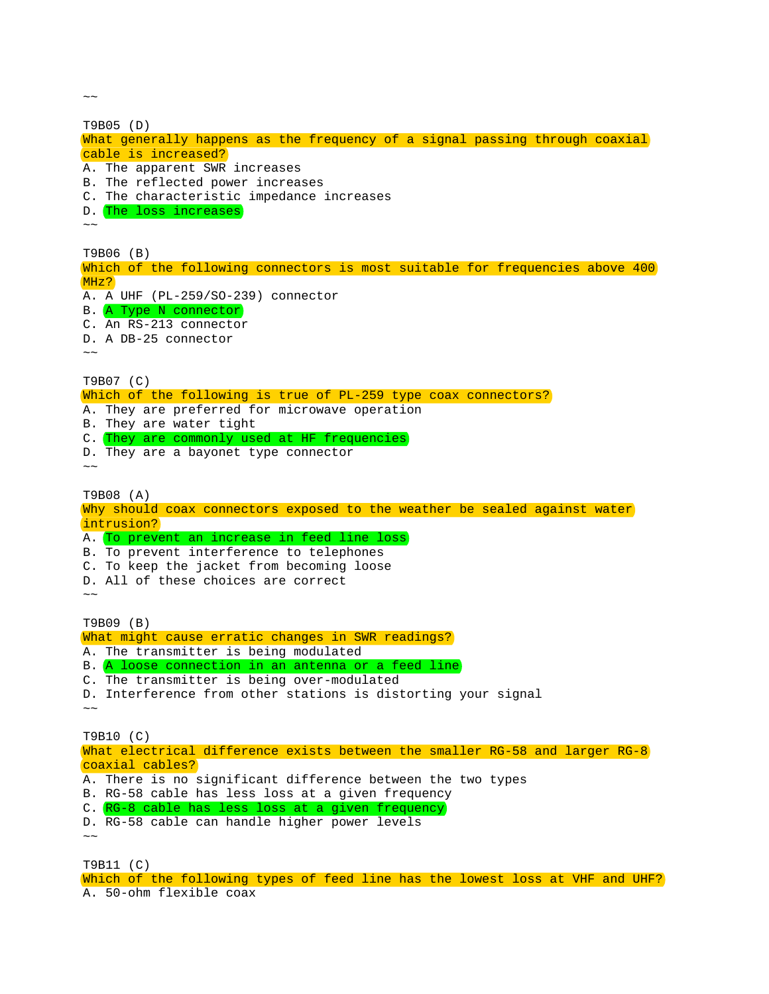$\sim$   $\sim$ 

T9B05 (D) What generally happens as the frequency of a signal passing through coaxial cable is increased? A. The apparent SWR increases B. The reflected power increases C. The characteristic impedance increases D. The loss increases  $\sim$  ~ T9B06 (B) Which of the following connectors is most suitable for frequencies above 400 MHz? A. A UHF (PL-259/SO-239) connector B. A Type N connector C. An RS-213 connector D. A DB-25 connector ~~ T9B07 (C) Which of the following is true of PL-259 type coax connectors? A. They are preferred for microwave operation B. They are water tight C. They are commonly used at HF frequencies D. They are a bayonet type connector  $\sim\sim$ T9B08 (A) Why should coax connectors exposed to the weather be sealed against water intrusion? A. To prevent an increase in feed line loss B. To prevent interference to telephones C. To keep the jacket from becoming loose D. All of these choices are correct  $\sim\sim$ T9B09 (B) What might cause erratic changes in SWR readings? A. The transmitter is being modulated B. A loose connection in an antenna or a feed line C. The transmitter is being over-modulated D. Interference from other stations is distorting your signal  $\sim\sim$ T9B10 (C) What electrical difference exists between the smaller RG-58 and larger RG-8 coaxial cables? A. There is no significant difference between the two types B. RG-58 cable has less loss at a given frequency C. RG-8 cable has less loss at a given frequency D. RG-58 cable can handle higher power levels  $\sim\sim$ T9B11 (C)

Which of the following types of feed line has the lowest loss at VHF and UHF? A. 50-ohm flexible coax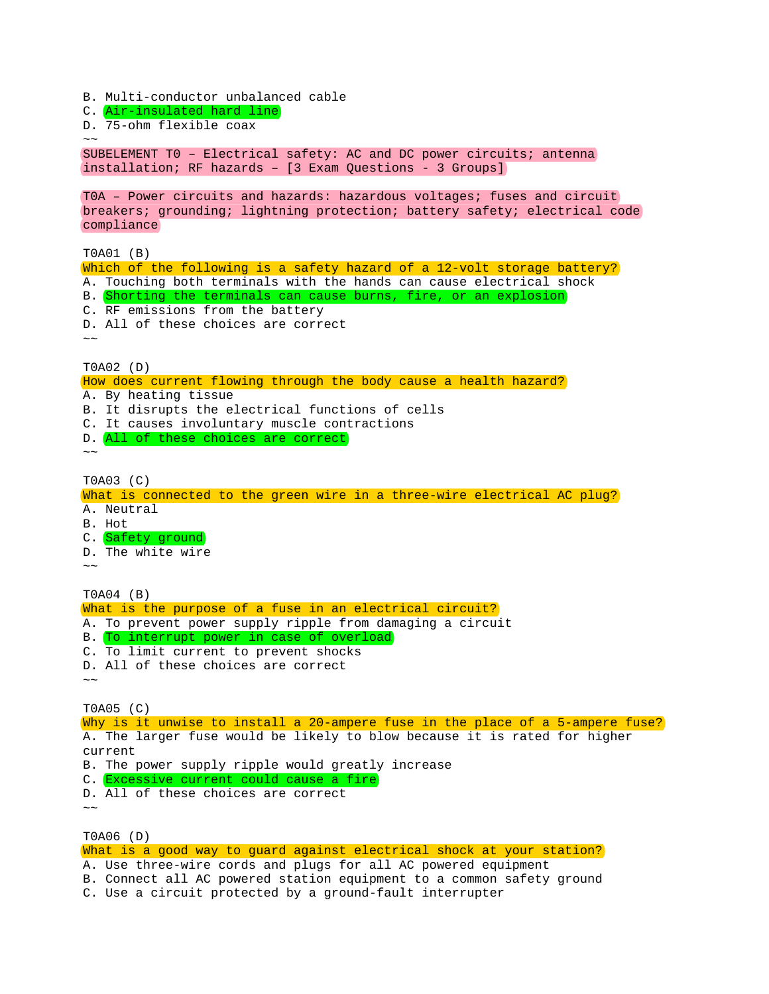```
B. Multi-conductor unbalanced cable
C. Air-insulated hard line
D. 75-ohm flexible coax
\sim\simSUBELEMENT T0 – Electrical safety: AC and DC power circuits; antenna
installation; RF hazards – [3 Exam Questions - 3 Groups]
T0A – Power circuits and hazards: hazardous voltages; fuses and circuit
breakers; grounding; lightning protection; battery safety; electrical code
compliance
T0A01 (B)
Which of the following is a safety hazard of a 12-volt storage battery?
A. Touching both terminals with the hands can cause electrical shock
B. Shorting the terminals can cause burns, fire, or an explosion
C. RF emissions from the battery
D. All of these choices are correct
\sim\simT0A02 (D)
How does current flowing through the body cause a health hazard?
A. By heating tissue
B. It disrupts the electrical functions of cells
C. It causes involuntary muscle contractions
D. All of these choices are correct
\sim\simT0A03 (C)
What is connected to the green wire in a three-wire electrical AC plug?
A. Neutral
B. Hot
C. Safety ground
D. The white wire
\sim\simT0A04 (B)
What is the purpose of a fuse in an electrical circuit?
A. To prevent power supply ripple from damaging a circuit
B. To interrupt power in case of overload
C. To limit current to prevent shocks
D. All of these choices are correct
\sim \simT0A05 (C)
Why is it unwise to install a 20-ampere fuse in the place of a 5-ampere fuse?
A. The larger fuse would be likely to blow because it is rated for higher
current
B. The power supply ripple would greatly increase
C. Excessive current could cause a fire
D. All of these choices are correct
\sim\simT0A06 (D)
What is a good way to quard against electrical shock at your station?
A. Use three-wire cords and plugs for all AC powered equipment
```
B. Connect all AC powered station equipment to a common safety ground

C. Use a circuit protected by a ground-fault interrupter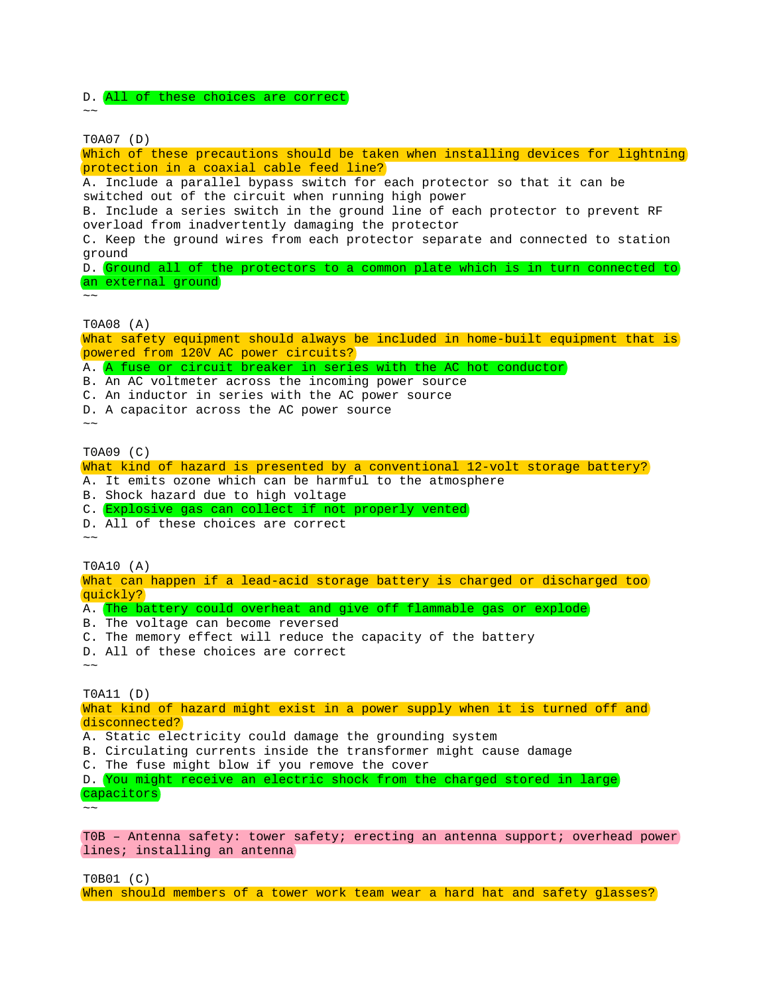## D. All of these choices are correct

T0A07 (D)

 $\sim$  ~

| 10AU / UU                                                                                                                               |
|-----------------------------------------------------------------------------------------------------------------------------------------|
| Which of these precautions should be taken when installing devices for lightning                                                        |
| protection in a coaxial cable feed line?                                                                                                |
| A. Include a parallel bypass switch for each protector so that it can be<br>switched out of the circuit when running high power         |
| B. Include a series switch in the ground line of each protector to prevent RF                                                           |
| overload from inadvertently damaging the protector                                                                                      |
| C. Keep the ground wires from each protector separate and connected to station<br>ground                                                |
| D. Ground all of the protectors to a common plate which is in turn connected to                                                         |
| an external ground                                                                                                                      |
| $\sim\sim$                                                                                                                              |
| T0A08 (A)                                                                                                                               |
| What safety equipment should always be included in home-built equipment that is                                                         |
| powered from 120V AC power circuits?                                                                                                    |
| A. A fuse or circuit breaker in series with the AC hot conductor                                                                        |
| B. An AC voltmeter across the incoming power source                                                                                     |
| C. An inductor in series with the AC power source                                                                                       |
| D. A capacitor across the AC power source                                                                                               |
| $\sim\sim$                                                                                                                              |
|                                                                                                                                         |
| T0A09 (C)                                                                                                                               |
| What kind of hazard is presented by a conventional 12-volt storage battery?<br>A. It emits ozone which can be harmful to the atmosphere |
| B. Shock hazard due to high voltage                                                                                                     |
| C. Explosive gas can collect if not properly vented                                                                                     |
| D. All of these choices are correct                                                                                                     |
| $\sim$ $\sim$                                                                                                                           |
|                                                                                                                                         |
| T0A10 (A)                                                                                                                               |
| What can happen if a lead-acid storage battery is charged or discharged too                                                             |
| quickly?                                                                                                                                |
| A. The battery could overheat and give off flammable gas or explode                                                                     |
| B. The voltage can become reversed                                                                                                      |
| C. The memory effect will reduce the capacity of the battery<br>D. All of these choices are correct                                     |
| $\sim\sim$                                                                                                                              |
|                                                                                                                                         |
| TOA11 (D)                                                                                                                               |
| What kind of hazard might exist in a power supply when it is turned off and                                                             |
| disconnected?                                                                                                                           |
| A. Static electricity could damage the grounding system                                                                                 |
| B. Circulating currents inside the transformer might cause damage                                                                       |
| C. The fuse might blow if you remove the cover                                                                                          |
| D. You might receive an electric shock from the charged stored in large                                                                 |
| capacitors                                                                                                                              |
| $\sim\!\sim$                                                                                                                            |
| TOB - Antenna safety: tower safety; erecting an antenna support; overhead power                                                         |

lines; installing an antenna

T0B01 (C) When should members of a tower work team wear a hard hat and safety glasses?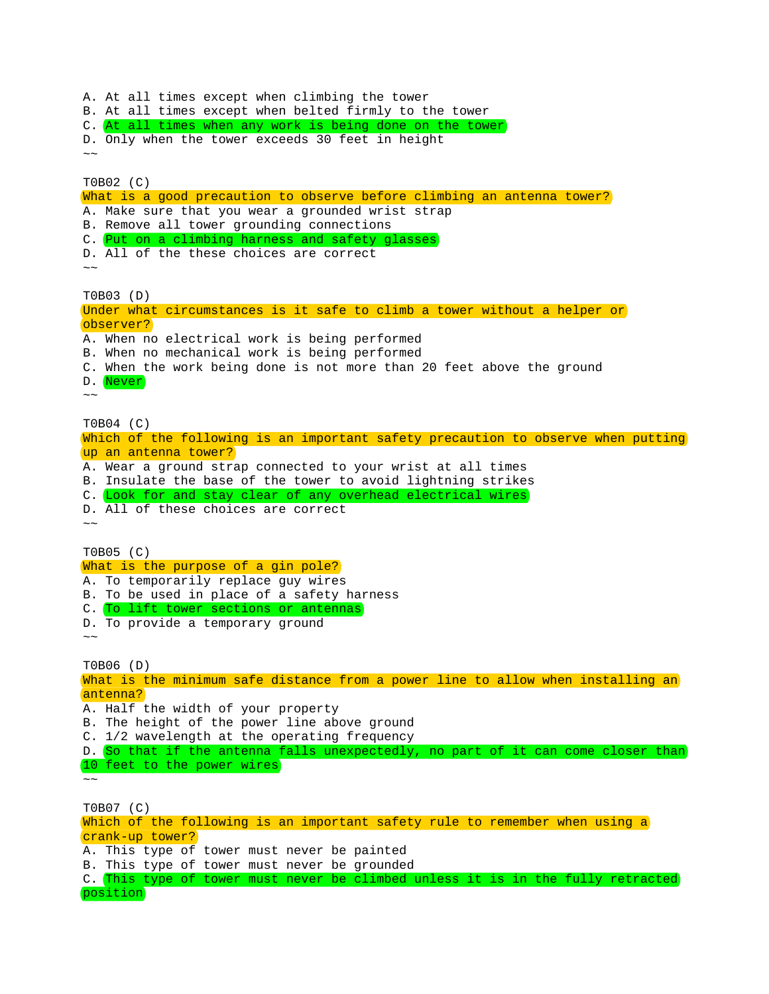A. At all times except when climbing the tower B. At all times except when belted firmly to the tower C. At all times when any work is being done on the tower D. Only when the tower exceeds 30 feet in height  $\sim\sim$ T0B02 (C) What is a good precaution to observe before climbing an antenna tower? A. Make sure that you wear a grounded wrist strap B. Remove all tower grounding connections C. Put on a climbing harness and safety glasses D. All of the these choices are correct  $\sim\sim$ T0B03 (D) Under what circumstances is it safe to climb a tower without a helper or observer? A. When no electrical work is being performed B. When no mechanical work is being performed C. When the work being done is not more than 20 feet above the ground D. Never  $\sim\sim$ T0B04 (C) Which of the following is an important safety precaution to observe when putting up an antenna tower? A. Wear a ground strap connected to your wrist at all times B. Insulate the base of the tower to avoid lightning strikes C. Look for and stay clear of any overhead electrical wires D. All of these choices are correct  $\sim\sim$ T0B05 (C) What is the purpose of a gin pole? A. To temporarily replace guy wires B. To be used in place of a safety harness C. To lift tower sections or antennas D. To provide a temporary ground  $\sim\sim$ T0B06 (D) What is the minimum safe distance from a power line to allow when installing an antenna? A. Half the width of your property B. The height of the power line above ground C. 1/2 wavelength at the operating frequency D. So that if the antenna falls unexpectedly, no part of it can come closer than 10 feet to the power wires  $\overline{\phantom{a}}$ T0B07 (C) Which of the following is an important safety rule to remember when using a crank-up tower? A. This type of tower must never be painted B. This type of tower must never be grounded C. This type of tower must never be climbed unless it is in the fully retracted position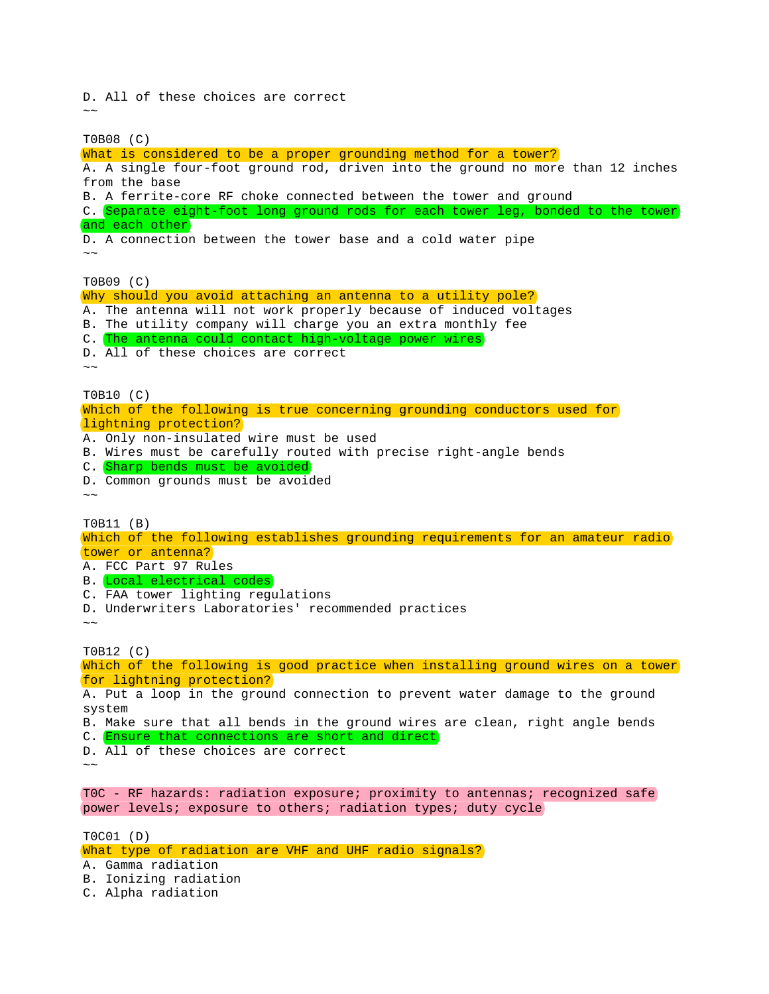D. All of these choices are correct ~~ T0B08 (C) What is considered to be a proper grounding method for a tower? A. A single four-foot ground rod, driven into the ground no more than 12 inches from the base B. A ferrite-core RF choke connected between the tower and ground C. Separate eight-foot long ground rods for each tower leg, bonded to the tower and each other D. A connection between the tower base and a cold water pipe  $\sim$   $\sim$ T0B09 (C) Why should you avoid attaching an antenna to a utility pole? A. The antenna will not work properly because of induced voltages B. The utility company will charge you an extra monthly fee C. The antenna could contact high-voltage power wires D. All of these choices are correct  $\sim\sim$ T0B10 (C) Which of the following is true concerning grounding conductors used for lightning protection? A. Only non-insulated wire must be used B. Wires must be carefully routed with precise right-angle bends C. Sharp bends must be avoided D. Common grounds must be avoided  $\sim$  ~ T0B11 (B) Which of the following establishes grounding requirements for an amateur radio tower or antenna? A. FCC Part 97 Rules B. Local electrical codes C. FAA tower lighting regulations D. Underwriters Laboratories' recommended practices  $\sim\sim$ T0B12 (C) Which of the following is good practice when installing ground wires on a tower for lightning protection? A. Put a loop in the ground connection to prevent water damage to the ground system B. Make sure that all bends in the ground wires are clean, right angle bends C. Ensure that connections are short and direct D. All of these choices are correct  $\sim$  ~ T0C - RF hazards: radiation exposure; proximity to antennas; recognized safe power levels; exposure to others; radiation types; duty cycle T0C01 (D) What type of radiation are VHF and UHF radio signals? A. Gamma radiation B. Ionizing radiation C. Alpha radiation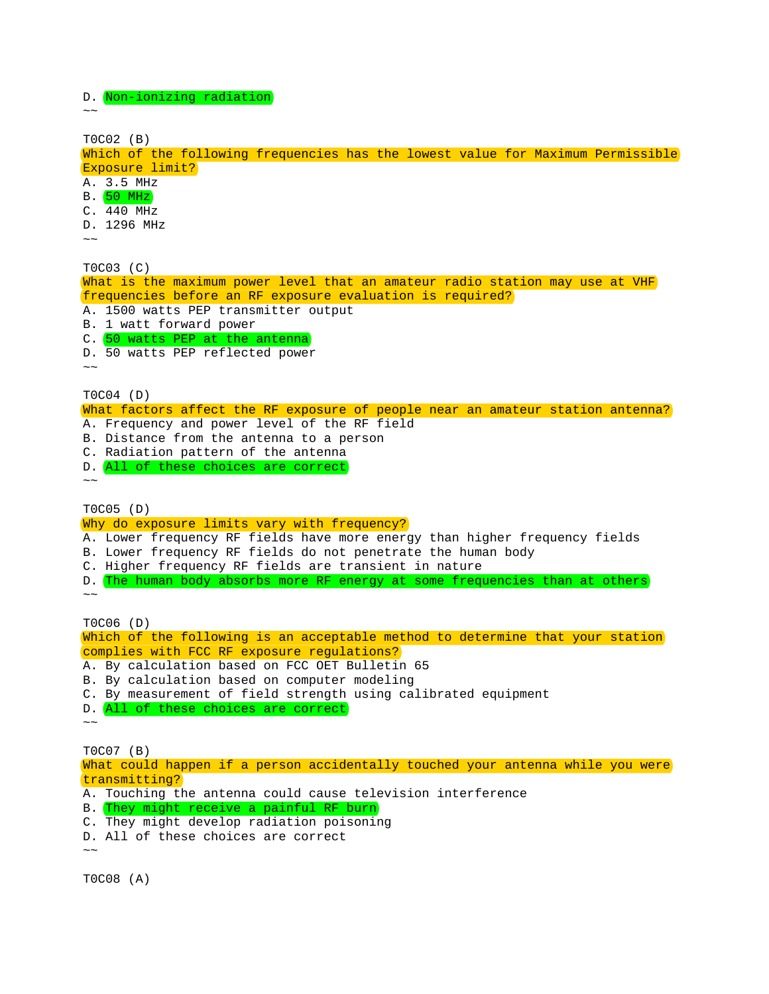## D. Non-ionizing radiation

 $\sim\sim$ 

T0C02 (B)

Which of the following frequencies has the lowest value for Maximum Permissible Exposure limit? A. 3.5 MHz B. 50 MHz C. 440 MHz D. 1296 MHz  $\sim\sim$ T0C03 (C) What is the maximum power level that an amateur radio station may use at VHF frequencies before an RF exposure evaluation is required? A. 1500 watts PEP transmitter output B. 1 watt forward power C. 50 watts PEP at the antenna D. 50 watts PEP reflected power  $\sim\sim$ T0C04 (D) What factors affect the RF exposure of people near an amateur station antenna? A. Frequency and power level of the RF field B. Distance from the antenna to a person C. Radiation pattern of the antenna D. All of these choices are correct  $\sim\sim$ T0C05 (D) Why do exposure limits vary with frequency? A. Lower frequency RF fields have more energy than higher frequency fields B. Lower frequency RF fields do not penetrate the human body C. Higher frequency RF fields are transient in nature D. The human body absorbs more RF energy at some frequencies than at others  $\sim$   $\sim$ T0C06 (D) Which of the following is an acceptable method to determine that your station complies with FCC RF exposure regulations? A. By calculation based on FCC OET Bulletin 65 B. By calculation based on computer modeling C. By measurement of field strength using calibrated equipment D. All of these choices are correct  $\sim$  ~ T0C07 (B) What could happen if a person accidentally touched your antenna while you were transmitting? A. Touching the antenna could cause television interference B. They might receive a painful RF burn C. They might develop radiation poisoning D. All of these choices are correct  $\sim\sim$ T0C08 (A)